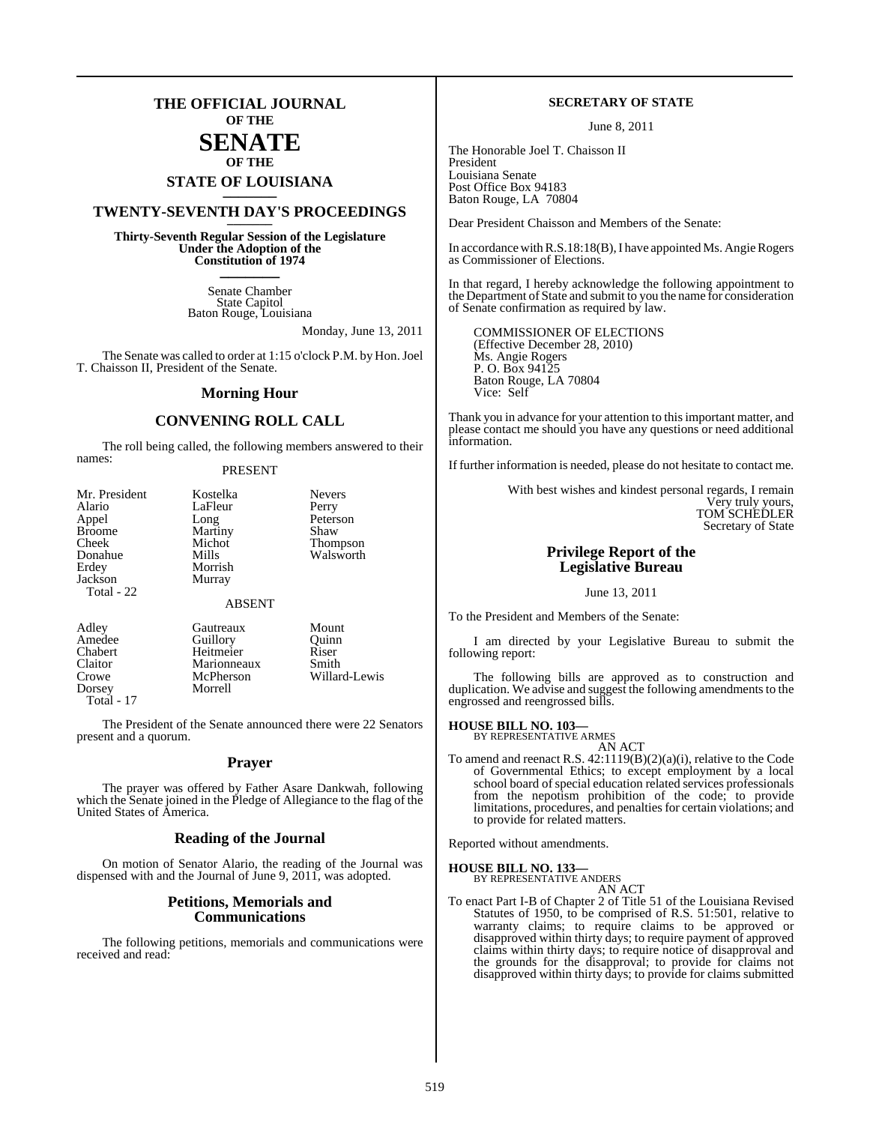### **THE OFFICIAL JOURNAL OF THE**

### **SENATE OF THE**

## **STATE OF LOUISIANA \_\_\_\_\_\_\_**

### **TWENTY-SEVENTH DAY'S PROCEEDINGS \_\_\_\_\_\_\_**

**Thirty-Seventh Regular Session of the Legislature Under the Adoption of the Constitution of 1974 \_\_\_\_\_\_\_**

> Senate Chamber State Capitol Baton Rouge, Louisiana

> > Monday, June 13, 2011

The Senate was called to order at 1:15 o'clock P.M. by Hon. Joel T. Chaisson II, President of the Senate.

#### **Morning Hour**

### **CONVENING ROLL CALL**

The roll being called, the following members answered to their names:

#### PRESENT

| Kostelka      | <b>Nevers</b> |
|---------------|---------------|
| LaFleur       | Perry         |
| Long          | Peterson      |
| Martiny       | Shaw          |
| Michot        | Thompson      |
| Mills         | Walsworth     |
| Morrish       |               |
| Murray        |               |
|               |               |
| <b>ABSENT</b> |               |
|               |               |

| Adley      | Gautreaux   | Mount         |
|------------|-------------|---------------|
| Amedee     | Guillory    | Ouinn         |
| Chabert    | Heitmeier   | Riser         |
| Claitor    | Marionneaux | Smith         |
| Crowe      | McPherson   | Willard-Lewis |
| Dorsey     | Morrell     |               |
| Total - 17 |             |               |

The President of the Senate announced there were 22 Senators present and a quorum.

#### **Prayer**

The prayer was offered by Father Asare Dankwah, following which the Senate joined in the Pledge of Allegiance to the flag of the United States of America.

#### **Reading of the Journal**

On motion of Senator Alario, the reading of the Journal was dispensed with and the Journal of June 9, 2011, was adopted.

#### **Petitions, Memorials and Communications**

The following petitions, memorials and communications were received and read:

#### **SECRETARY OF STATE**

June 8, 2011

The Honorable Joel T. Chaisson II President Louisiana Senate Post Office Box 94183 Baton Rouge, LA 70804

Dear President Chaisson and Members of the Senate:

In accordance with R.S.18:18(B), I have appointed Ms. Angie Rogers as Commissioner of Elections.

In that regard, I hereby acknowledge the following appointment to the Department of State and submit to you the name for consideration of Senate confirmation as required by law.

COMMISSIONER OF ELECTIONS (Effective December 28, 2010) Ms. Angie Rogers P. O. Box 94125 Baton Rouge, LA 70804 Vice: Self

Thank you in advance for your attention to this important matter, and please contact me should you have any questions or need additional information.

If further information is needed, please do not hesitate to contact me.

With best wishes and kindest personal regards, I remain Very truly yours, TOM SCHEDLER Secretary of State

### **Privilege Report of the Legislative Bureau**

#### June 13, 2011

To the President and Members of the Senate:

I am directed by your Legislative Bureau to submit the following report:

The following bills are approved as to construction and duplication. We advise and suggest the following amendments to the engrossed and reengrossed bills.

### **HOUSE BILL NO. 103—** BY REPRESENTATIVE ARMES

AN ACT

To amend and reenact R.S. 42:1119(B)(2)(a)(i), relative to the Code of Governmental Ethics; to except employment by a local school board of special education related services professionals from the nepotism prohibition of the code; to provide limitations, procedures, and penalties for certain violations; and to provide for related matters.

Reported without amendments.

#### **HOUSE BILL NO. 133—**

BY REPRESENTATIVE ANDERS AN ACT

To enact Part I-B of Chapter 2 of Title 51 of the Louisiana Revised Statutes of 1950, to be comprised of R.S. 51:501, relative to warranty claims; to require claims to be approved or disapproved within thirty days; to require payment of approved claims within thirty days; to require notice of disapproval and the grounds for the disapproval; to provide for claims not disapproved within thirty days; to provide for claims submitted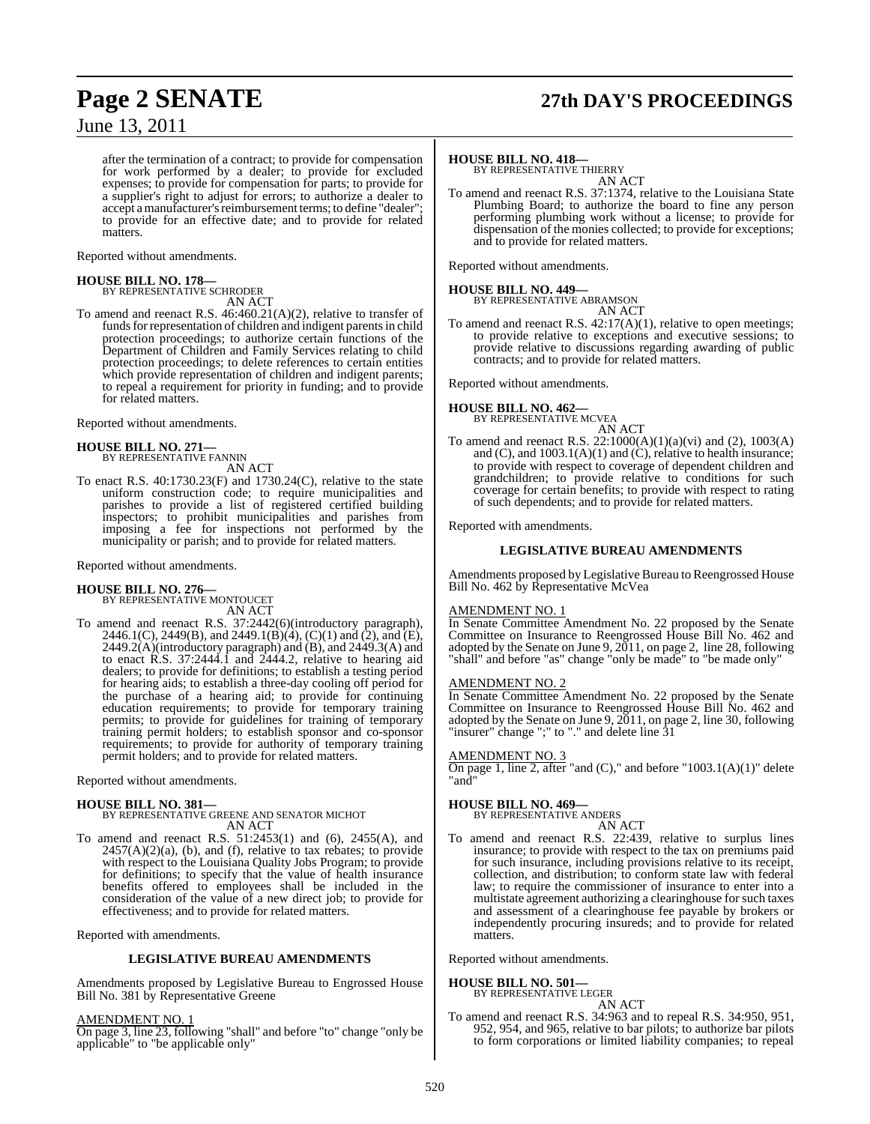## **Page 2 SENATE 27th DAY'S PROCEEDINGS**

June 13, 2011

after the termination of a contract; to provide for compensation for work performed by a dealer; to provide for excluded expenses; to provide for compensation for parts; to provide for a supplier's right to adjust for errors; to authorize a dealer to accept a manufacturer's reimbursement terms; to define "dealer"; to provide for an effective date; and to provide for related matters.

Reported without amendments.

#### **HOUSE BILL NO. 178—**

BY REPRESENTATIVE SCHRODER AN ACT

To amend and reenact R.S. 46:460.21(A)(2), relative to transfer of funds for representation of children and indigent parents in child protection proceedings; to authorize certain functions of the Department of Children and Family Services relating to child protection proceedings; to delete references to certain entities which provide representation of children and indigent parents; to repeal a requirement for priority in funding; and to provide for related matters.

Reported without amendments.

## **HOUSE BILL NO. 271—** BY REPRESENTATIVE FANNIN

AN ACT

To enact R.S. 40:1730.23(F) and 1730.24(C), relative to the state uniform construction code; to require municipalities and parishes to provide a list of registered certified building inspectors; to prohibit municipalities and parishes from imposing a fee for inspections not performed by the municipality or parish; and to provide for related matters.

Reported without amendments.

#### **HOUSE BILL NO. 276—**

BY REPRESENTATIVE MONTOUCET AN ACT

To amend and reenact R.S. 37:2442(6)(introductory paragraph), 2446.1(C), 2449(B), and 2449.1(B)(4), (C)(1) and (2), and (E),  $2449.2(A)$ (introductory paragraph) and  $(B)$ , and  $2449.3(A)$  and to enact R.S. 37:2444.1 and 2444.2, relative to hearing aid dealers; to provide for definitions; to establish a testing period for hearing aids; to establish a three-day cooling off period for the purchase of a hearing aid; to provide for continuing education requirements; to provide for temporary training permits; to provide for guidelines for training of temporary training permit holders; to establish sponsor and co-sponsor requirements; to provide for authority of temporary training permit holders; and to provide for related matters.

Reported without amendments.

**HOUSE BILL NO. 381—** BY REPRESENTATIVE GREENE AND SENATOR MICHOT AN ACT

To amend and reenact R.S. 51:2453(1) and (6), 2455(A), and  $2457(A)(2)(a)$ , (b), and (f), relative to tax rebates; to provide with respect to the Louisiana Quality Jobs Program; to provide for definitions; to specify that the value of health insurance benefits offered to employees shall be included in the consideration of the value of a new direct job; to provide for effectiveness; and to provide for related matters.

Reported with amendments.

#### **LEGISLATIVE BUREAU AMENDMENTS**

Amendments proposed by Legislative Bureau to Engrossed House Bill No. 381 by Representative Greene

#### AMENDMENT NO. 1

On page 3, line 23, following "shall" and before "to" change "only be applicable" to "be applicable only"

### **HOUSE BILL NO. 418—** BY REPRESENTATIVE THIERRY

AN ACT

To amend and reenact R.S. 37:1374, relative to the Louisiana State Plumbing Board; to authorize the board to fine any person performing plumbing work without a license; to provide for dispensation of the monies collected; to provide for exceptions; and to provide for related matters.

Reported without amendments.

**HOUSE BILL NO. 449—** BY REPRESENTATIVE ABRAMSON

AN ACT To amend and reenact R.S. 42:17(A)(1), relative to open meetings; to provide relative to exceptions and executive sessions; to provide relative to discussions regarding awarding of public contracts; and to provide for related matters.

Reported without amendments.

#### **HOUSE BILL NO. 462—**

BY REPRESENTATIVE MCVEA AN ACT

To amend and reenact R.S. 22:1000(A)(1)(a)(vi) and (2), 1003(A) and (C), and  $1003.1(A)(1)$  and (C), relative to health insurance; to provide with respect to coverage of dependent children and grandchildren; to provide relative to conditions for such coverage for certain benefits; to provide with respect to rating of such dependents; and to provide for related matters.

Reported with amendments.

#### **LEGISLATIVE BUREAU AMENDMENTS**

Amendments proposed by Legislative Bureau to Reengrossed House Bill No. 462 by Representative McVea

#### AMENDMENT NO. 1

In Senate Committee Amendment No. 22 proposed by the Senate Committee on Insurance to Reengrossed House Bill No. 462 and adopted by the Senate on June 9,  $2011$ , on page 2, line 28, following "shall" and before "as" change "only be made" to "be made only"

#### AMENDMENT NO. 2

In Senate Committee Amendment No. 22 proposed by the Senate Committee on Insurance to Reengrossed House Bill No. 462 and adopted by the Senate on June 9, 2011, on page 2, line 30, following "insurer" change ";" to "." and delete line 31

#### AMENDMENT NO. 3

On page 1, line 2, after "and (C)," and before "1003.1(A)(1)" delete "and"

### **HOUSE BILL NO. 469—**

BY REPRESENTATIVE ANDERS

AN ACT To amend and reenact R.S. 22:439, relative to surplus lines insurance; to provide with respect to the tax on premiums paid for such insurance, including provisions relative to its receipt, collection, and distribution; to conform state law with federal law; to require the commissioner of insurance to enter into a multistate agreement authorizing a clearinghouse for such taxes and assessment of a clearinghouse fee payable by brokers or independently procuring insureds; and to provide for related matters.

Reported without amendments.

### **HOUSE BILL NO. 501—** BY REPRESENTATIVE LEGER

AN ACT

To amend and reenact R.S. 34:963 and to repeal R.S. 34:950, 951, 952, 954, and 965, relative to bar pilots; to authorize bar pilots to form corporations or limited liability companies; to repeal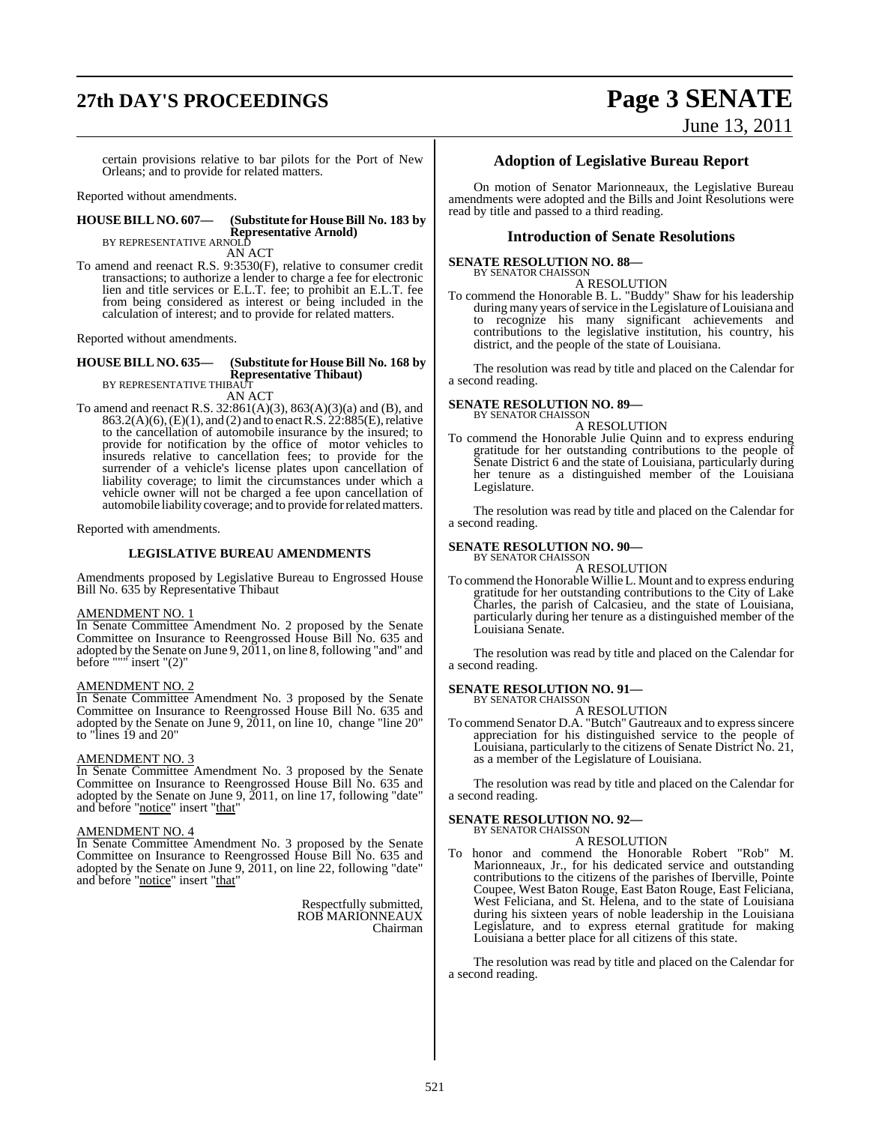## **27th DAY'S PROCEEDINGS Page 3 SENATE**

June 13, 2011

certain provisions relative to bar pilots for the Port of New Orleans; and to provide for related matters.

Reported without amendments.

### **HOUSE BILL NO. 607— (Substitute for HouseBill No. 183 by Representative Arnold)**<br>BY REPRESENTATIVE ARNOLD

AN ACT

To amend and reenact R.S. 9:3530(F), relative to consumer credit transactions; to authorize a lender to charge a fee for electronic lien and title services or E.L.T. fee; to prohibit an E.L.T. fee from being considered as interest or being included in the calculation of interest; and to provide for related matters.

Reported without amendments.

#### **HOUSE BILL NO. 635— (Substitute for HouseBill No. 168 by Representative Thibaut)** BY REPRESENTATIVE THIBAUT

AN ACT

To amend and reenact R.S. 32:861(A)(3), 863(A)(3)(a) and (B), and 863.2(A)(6), (E)(1), and (2) and to enact R.S. 22:885(E), relative to the cancellation of automobile insurance by the insured; to provide for notification by the office of motor vehicles to insureds relative to cancellation fees; to provide for the surrender of a vehicle's license plates upon cancellation of liability coverage; to limit the circumstances under which a vehicle owner will not be charged a fee upon cancellation of automobile liability coverage; and to provide forrelatedmatters.

Reported with amendments.

#### **LEGISLATIVE BUREAU AMENDMENTS**

Amendments proposed by Legislative Bureau to Engrossed House Bill No. 635 by Representative Thibaut

#### AMENDMENT NO. 1

In Senate Committee Amendment No. 2 proposed by the Senate Committee on Insurance to Reengrossed House Bill No. 635 and adopted by the Senate on June 9, 2011, on line 8, following "and" and before """ insert "(2)"

#### AMENDMENT NO. 2

In Senate Committee Amendment No. 3 proposed by the Senate Committee on Insurance to Reengrossed House Bill No. 635 and adopted by the Senate on June 9, 2011, on line 10, change "line 20" to "lines 19 and 20"

#### AMENDMENT NO. 3

In Senate Committee Amendment No. 3 proposed by the Senate Committee on Insurance to Reengrossed House Bill No. 635 and adopted by the Senate on June 9, 2011, on line 17, following "date" and before "notice" insert "that"

#### AMENDMENT NO. 4

In Senate Committee Amendment No. 3 proposed by the Senate Committee on Insurance to Reengrossed House Bill No. 635 and adopted by the Senate on June 9, 2011, on line 22, following "date" and before "notice" insert "that"

> Respectfully submitted, ROB MARIONNEAUX Chairman

#### **Adoption of Legislative Bureau Report**

On motion of Senator Marionneaux, the Legislative Bureau amendments were adopted and the Bills and Joint Resolutions were read by title and passed to a third reading.

### **Introduction of Senate Resolutions**

#### **SENATE RESOLUTION NO. 88—** BY SENATOR CHAISSON

A RESOLUTION

To commend the Honorable B. L. "Buddy" Shaw for his leadership during many years of service in the Legislature of Louisiana and to recognize his many significant achievements and contributions to the legislative institution, his country, his district, and the people of the state of Louisiana.

The resolution was read by title and placed on the Calendar for a second reading.

#### **SENATE RESOLUTION NO. 89—** BY SENATOR CHAISSON

A RESOLUTION

To commend the Honorable Julie Quinn and to express enduring gratitude for her outstanding contributions to the people of Senate District 6 and the state of Louisiana, particularly during her tenure as a distinguished member of the Louisiana Legislature.

The resolution was read by title and placed on the Calendar for a second reading.

#### **SENATE RESOLUTION NO. 90—** BY SENATOR CHAISSON

A RESOLUTION

To commend the Honorable Willie L. Mount and to express enduring gratitude for her outstanding contributions to the City of Lake Charles, the parish of Calcasieu, and the state of Louisiana, particularly during her tenure as a distinguished member of the Louisiana Senate.

The resolution was read by title and placed on the Calendar for a second reading.

#### **SENATE RESOLUTION NO. 91—** BY SENATOR CHAISSON

A RESOLUTION

To commend Senator D.A. "Butch" Gautreaux and to expresssincere appreciation for his distinguished service to the people of Louisiana, particularly to the citizens of Senate District No. 21, as a member of the Legislature of Louisiana.

The resolution was read by title and placed on the Calendar for a second reading.

#### **SENATE RESOLUTION NO. 92—**

BY SENATOR CHAISSON A RESOLUTION

To honor and commend the Honorable Robert "Rob" M. Marionneaux, Jr., for his dedicated service and outstanding contributions to the citizens of the parishes of Iberville, Pointe Coupee, West Baton Rouge, East Baton Rouge, East Feliciana, West Feliciana, and St. Helena, and to the state of Louisiana during his sixteen years of noble leadership in the Louisiana Legislature, and to express eternal gratitude for making Louisiana a better place for all citizens of this state.

The resolution was read by title and placed on the Calendar for a second reading.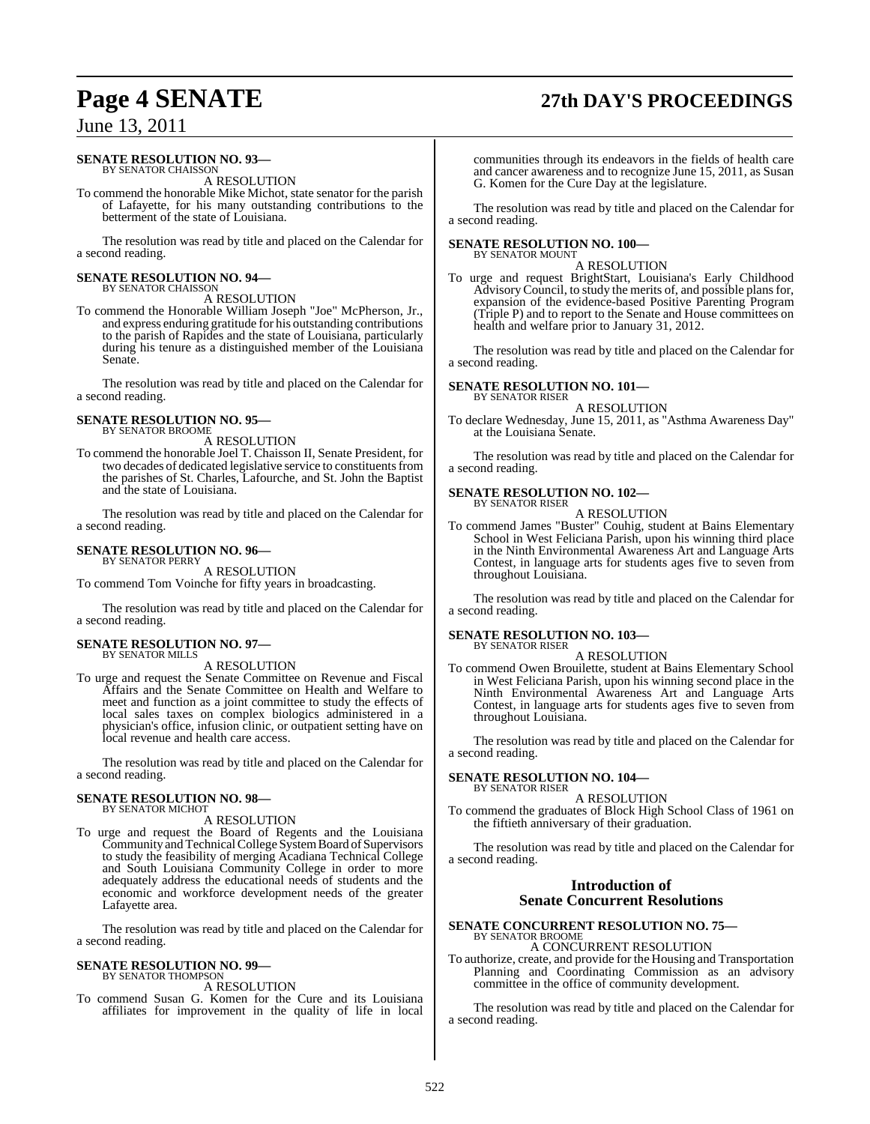## **Page 4 SENATE 27th DAY'S PROCEEDINGS**

### June 13, 2011

#### **SENATE RESOLUTION NO. 93—** BY SENATOR CHAISSON

A RESOLUTION

To commend the honorable Mike Michot, state senator for the parish of Lafayette, for his many outstanding contributions to the betterment of the state of Louisiana.

The resolution was read by title and placed on the Calendar for a second reading.

#### **SENATE RESOLUTION NO. 94—** BY SENATOR CHAISSON

A RESOLUTION

To commend the Honorable William Joseph "Joe" McPherson, Jr., and express enduring gratitude for his outstanding contributions to the parish of Rapides and the state of Louisiana, particularly during his tenure as a distinguished member of the Louisiana Senate.

The resolution was read by title and placed on the Calendar for a second reading.

#### **SENATE RESOLUTION NO. 95—** BY SENATOR BROOME

A RESOLUTION

To commend the honorable Joel T. Chaisson II, Senate President, for two decades of dedicated legislative service to constituents from the parishes of St. Charles, Lafourche, and St. John the Baptist and the state of Louisiana.

The resolution was read by title and placed on the Calendar for a second reading.

### **SENATE RESOLUTION NO. 96—**

BY SENATOR PERRY

A RESOLUTION To commend Tom Voinche for fifty years in broadcasting.

The resolution was read by title and placed on the Calendar for a second reading.

#### **SENATE RESOLUTION NO. 97—** BY SENATOR MILLS

#### A RESOLUTION

To urge and request the Senate Committee on Revenue and Fiscal Affairs and the Senate Committee on Health and Welfare to meet and function as a joint committee to study the effects of local sales taxes on complex biologics administered in a physician's office, infusion clinic, or outpatient setting have on local revenue and health care access.

The resolution was read by title and placed on the Calendar for a second reading.

### **SENATE RESOLUTION NO. 98—** BY SENATOR MICHOT

A RESOLUTION

To urge and request the Board of Regents and the Louisiana Community and Technical College System Board of Supervisors to study the feasibility of merging Acadiana Technical College and South Louisiana Community College in order to more adequately address the educational needs of students and the economic and workforce development needs of the greater Lafayette area.

The resolution was read by title and placed on the Calendar for a second reading.

#### **SENATE RESOLUTION NO. 99—** BY SENATOR THOMPSON

#### A RESOLUTION

To commend Susan G. Komen for the Cure and its Louisiana affiliates for improvement in the quality of life in local communities through its endeavors in the fields of health care and cancer awareness and to recognize June 15, 2011, as Susan G. Komen for the Cure Day at the legislature.

The resolution was read by title and placed on the Calendar for a second reading.

#### **SENATE RESOLUTION NO. 100—** BY SENATOR MOUNT

A RESOLUTION

To urge and request BrightStart, Louisiana's Early Childhood AdvisoryCouncil, to study the merits of, and possible plansfor, expansion of the evidence-based Positive Parenting Program (Triple P) and to report to the Senate and House committees on health and welfare prior to January 31, 2012.

The resolution was read by title and placed on the Calendar for a second reading.

#### **SENATE RESOLUTION NO. 101—** BY SENATOR RISER

A RESOLUTION

To declare Wednesday, June 15, 2011, as "Asthma Awareness Day" at the Louisiana Senate.

The resolution was read by title and placed on the Calendar for a second reading.

#### **SENATE RESOLUTION NO. 102—** BY SENATOR RISER

A RESOLUTION

To commend James "Buster" Couhig, student at Bains Elementary School in West Feliciana Parish, upon his winning third place in the Ninth Environmental Awareness Art and Language Arts Contest, in language arts for students ages five to seven from throughout Louisiana.

The resolution was read by title and placed on the Calendar for a second reading.

### **SENATE RESOLUTION NO. 103—** BY SENATOR RISER

A RESOLUTION

To commend Owen Brouilette, student at Bains Elementary School in West Feliciana Parish, upon his winning second place in the Ninth Environmental Awareness Art and Language Arts Contest, in language arts for students ages five to seven from throughout Louisiana.

The resolution was read by title and placed on the Calendar for a second reading.

#### **SENATE RESOLUTION NO. 104—** BY SENATOR RISER

#### A RESOLUTION

To commend the graduates of Block High School Class of 1961 on the fiftieth anniversary of their graduation.

The resolution was read by title and placed on the Calendar for a second reading.

#### **Introduction of Senate Concurrent Resolutions**

#### **SENATE CONCURRENT RESOLUTION NO. 75—** BY SENATOR BROOME A CONCURRENT RESOLUTION

To authorize, create, and provide for the Housing and Transportation Planning and Coordinating Commission as an advisory committee in the office of community development.

The resolution was read by title and placed on the Calendar for a second reading.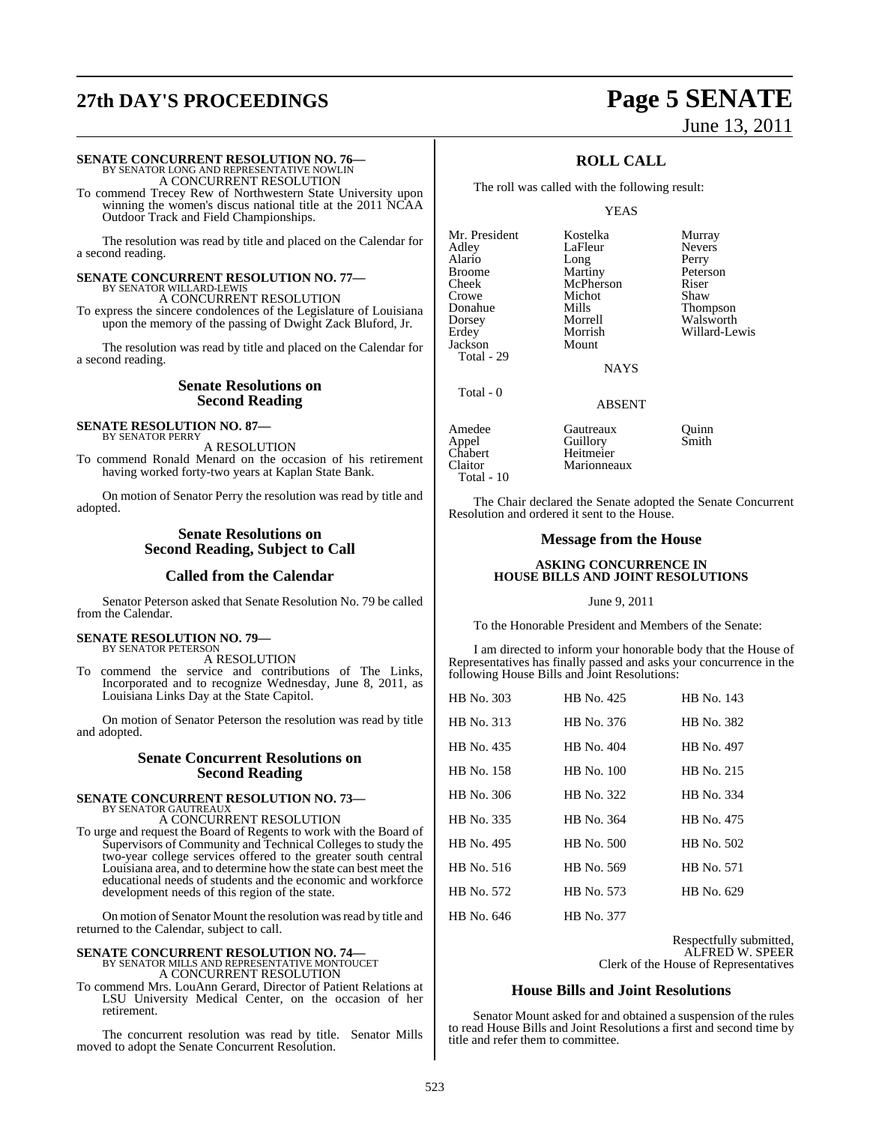## **27th DAY'S PROCEEDINGS Page 5 SENATE**

# June 13, 2011

# **SENATE CONCURRENT RESOLUTION NO. 76—**<br>BY SENATOR LONG AND REPRESENTATIVE NOWLIN<br>A CONCURRENT RESOLUTION

To commend Trecey Rew of Northwestern State University upon winning the women's discus national title at the 2011 NCAA Outdoor Track and Field Championships.

The resolution was read by title and placed on the Calendar for a second reading.

### **SENATE CONCURRENT RESOLUTION NO. 77—** BY SENATOR WILLARD-LEWIS

A CONCURRENT RESOLUTION To express the sincere condolences of the Legislature of Louisiana upon the memory of the passing of Dwight Zack Bluford, Jr.

The resolution was read by title and placed on the Calendar for a second reading.

#### **Senate Resolutions on Second Reading**

#### **SENATE RESOLUTION NO. 87—** BY SENATOR PERRY

A RESOLUTION To commend Ronald Menard on the occasion of his retirement having worked forty-two years at Kaplan State Bank.

On motion of Senator Perry the resolution was read by title and adopted.

#### **Senate Resolutions on Second Reading, Subject to Call**

### **Called from the Calendar**

Senator Peterson asked that Senate Resolution No. 79 be called from the Calendar.

#### **SENATE RESOLUTION NO. 79—** BY SENATOR PETERSON

A RESOLUTION

To commend the service and contributions of The Links, Incorporated and to recognize Wednesday, June 8, 2011, as Louisiana Links Day at the State Capitol.

On motion of Senator Peterson the resolution was read by title and adopted.

### **Senate Concurrent Resolutions on Second Reading**

#### **SENATE CONCURRENT RESOLUTION NO. 73—** BY SENATOR GAUTREAUX

A CONCURRENT RESOLUTION

To urge and request the Board of Regents to work with the Board of Supervisors of Community and Technical Colleges to study the two-year college services offered to the greater south central Louisiana area, and to determine how the state can best meet the educational needs of students and the economic and workforce development needs of this region of the state.

On motion of Senator Mount the resolution wasread by title and returned to the Calendar, subject to call.

# **SENATE CONCURRENT RESOLUTION NO. 74—**<br>BY SENATOR MILLS AND REPRESENTATIVE MONTOUCET<br>A CONCURRENT RESOLUTION

To commend Mrs. LouAnn Gerard, Director of Patient Relations at LSU University Medical Center, on the occasion of her retirement.

The concurrent resolution was read by title. Senator Mills moved to adopt the Senate Concurrent Resolution.

### **ROLL CALL**

The roll was called with the following result:

#### YEAS

Mr. President Kostelka Murray<br>Adley LaFleur Nevers Alario Long Perry<br>Broome Martiny Peters Broome Martiny Peterson<br>Cheek McPherson Riser Cheek McPherson Riser Crowe Michot<br>
Donahue Mills Jackson

Total - 29

Total - 0

LaFleur Morrish Willard-Lewis<br>Mount

Donahue Mills Thompson Dorsey Morrell Walsworth

**NAYS** 

### ABSENT

Marionneaux

Amedee Gautreaux Quinn<br>
Appel Guillory Smith Appel Guillory<br>Chabert Heitmeie Chabert Heitmeier<br>Claitor Marionnes Total - 10

The Chair declared the Senate adopted the Senate Concurrent Resolution and ordered it sent to the House.

#### **Message from the House**

#### **ASKING CONCURRENCE IN HOUSE BILLS AND JOINT RESOLUTIONS**

#### June 9, 2011

To the Honorable President and Members of the Senate:

I am directed to inform your honorable body that the House of Representatives has finally passed and asks your concurrence in the following House Bills and Joint Resolutions:

| HB No. 303 | HB No. 425 | HB No. 143 |
|------------|------------|------------|
| HB No. 313 | HB No. 376 | HB No. 382 |
| HB No. 435 | HB No. 404 | HB No. 497 |
| HB No. 158 | HB No. 100 | HB No. 215 |
| HB No. 306 | HB No. 322 | HB No. 334 |
| HB No. 335 | HB No. 364 | HB No. 475 |
| HB No. 495 | HR No. 500 | HB No. 502 |
| HB No. 516 | HB No. 569 | HB No. 571 |
| HB No. 572 | HB No. 573 | HB No. 629 |
| HB No. 646 | HB No. 377 |            |

Respectfully submitted, ALFRED W. SPEER Clerk of the House of Representatives

#### **House Bills and Joint Resolutions**

Senator Mount asked for and obtained a suspension of the rules to read House Bills and Joint Resolutions a first and second time by title and refer them to committee.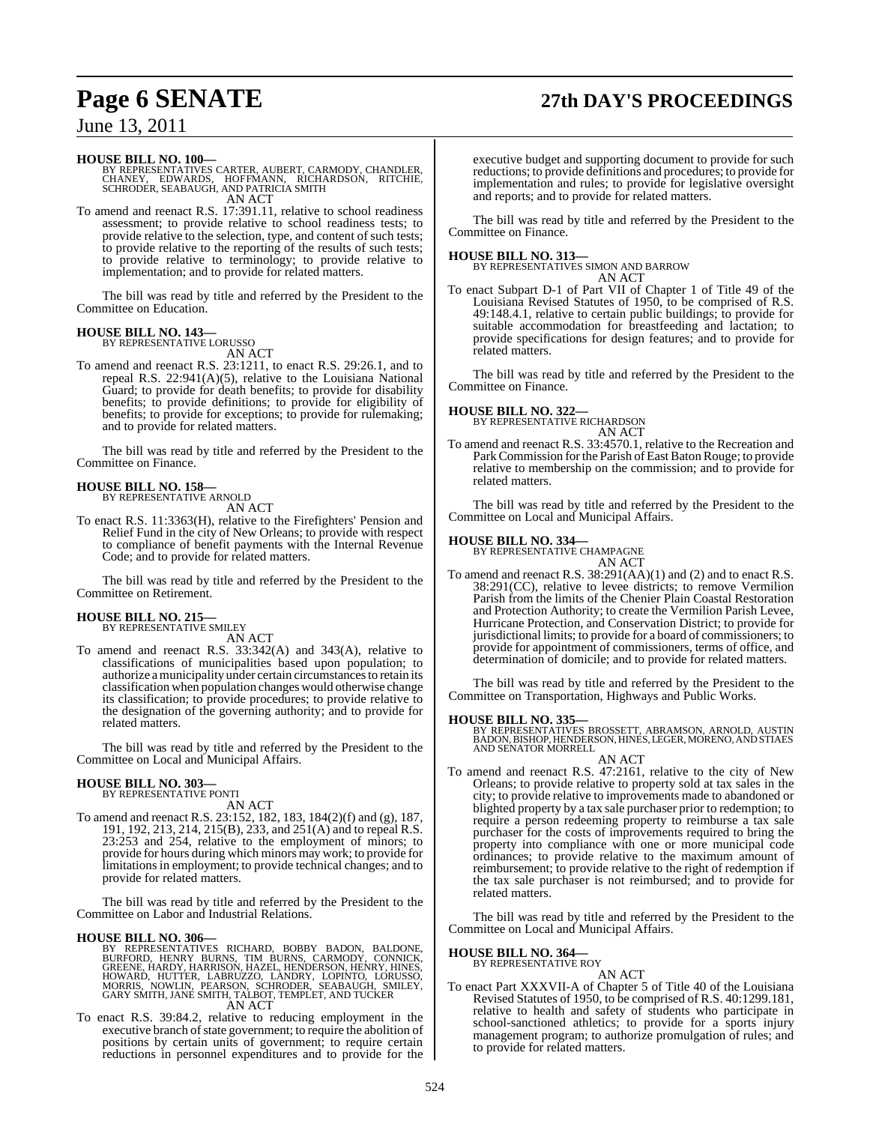## **Page 6 SENATE 27th DAY'S PROCEEDINGS**

### June 13, 2011

#### **HOUSE BILL NO. 100—**

BY REPRESENTATIVES CARTER, AUBERT, CARMODY, CHANDLER,<br>CHANEY, EDWARDS, HOFFMANN, RICHARDSON, RITCHIE,<br>SCHRODER, SEABAUGH, AND PATRICIA SMITH AN ACT

To amend and reenact R.S. 17:391.11, relative to school readiness assessment; to provide relative to school readiness tests; to provide relative to the selection, type, and content of such tests; to provide relative to the reporting of the results of such tests; to provide relative to terminology; to provide relative to implementation; and to provide for related matters.

The bill was read by title and referred by the President to the Committee on Education.

#### **HOUSE BILL NO. 143—**

BY REPRESENTATIVE LORUSSO

AN ACT To amend and reenact R.S. 23:1211, to enact R.S. 29:26.1, and to repeal R.S. 22:941(A)(5), relative to the Louisiana National Guard; to provide for death benefits; to provide for disability benefits; to provide definitions; to provide for eligibility of benefits; to provide for exceptions; to provide for rulemaking; and to provide for related matters.

The bill was read by title and referred by the President to the Committee on Finance.

### **HOUSE BILL NO. 158—** BY REPRESENTATIVE ARNOLD

AN ACT

To enact R.S. 11:3363(H), relative to the Firefighters' Pension and Relief Fund in the city of New Orleans; to provide with respect to compliance of benefit payments with the Internal Revenue Code; and to provide for related matters.

The bill was read by title and referred by the President to the Committee on Retirement.

## **HOUSE BILL NO. 215—** BY REPRESENTATIVE SMILEY

AN ACT

To amend and reenact R.S. 33:342(A) and 343(A), relative to classifications of municipalities based upon population; to authorize a municipality under certain circumstances to retain its classification when population changeswould otherwise change its classification; to provide procedures; to provide relative to the designation of the governing authority; and to provide for related matters.

The bill was read by title and referred by the President to the Committee on Local and Municipal Affairs.

#### **HOUSE BILL NO. 303—** BY REPRESENTATIVE PONTI

AN ACT

To amend and reenact R.S. 23:152, 182, 183, 184(2)(f) and (g), 187, 191, 192, 213, 214, 215(B), 233, and 251(A) and to repeal R.S. 23:253 and 254, relative to the employment of minors; to provide for hours during which minors may work; to provide for limitations in employment; to provide technical changes; and to provide for related matters.

The bill was read by title and referred by the President to the Committee on Labor and Industrial Relations.

#### **HOUSE BILL NO. 306—**

- BY REPRESENTATIVES RICHARD, BOBBY BADON, BALDONE,<br>BURFORD, HENRY BURNS, TIM BURNS, CARMODY, CONNICK,<br>GREENE, HARDY, HARRISON, HAZEL, HENDERSON, HENRY, HINES,<br>HOWARD, HUTTER, LABRUZZO, LANDRY, LOPINTO, LORUSSO,<br>MORRIS, NOWL AN ACT
- To enact R.S. 39:84.2, relative to reducing employment in the executive branch of state government; to require the abolition of positions by certain units of government; to require certain reductions in personnel expenditures and to provide for the

executive budget and supporting document to provide for such reductions; to provide definitions and procedures; to provide for implementation and rules; to provide for legislative oversight and reports; and to provide for related matters.

The bill was read by title and referred by the President to the Committee on Finance.

**HOUSE BILL NO. 313—** BY REPRESENTATIVES SIMON AND BARROW AN ACT

To enact Subpart D-1 of Part VII of Chapter 1 of Title 49 of the Louisiana Revised Statutes of 1950, to be comprised of R.S. 49:148.4.1, relative to certain public buildings; to provide for suitable accommodation for breastfeeding and lactation; to provide specifications for design features; and to provide for related matters.

The bill was read by title and referred by the President to the Committee on Finance.

### **HOUSE BILL NO. 322—** BY REPRESENTATIVE RICHARDSON



To amend and reenact R.S. 33:4570.1, relative to the Recreation and Park Commission for the Parish of East Baton Rouge; to provide relative to membership on the commission; and to provide for related matters.

The bill was read by title and referred by the President to the Committee on Local and Municipal Affairs.

**HOUSE BILL NO. 334—** BY REPRESENTATIVE CHAMPAGNE

AN ACT To amend and reenact R.S. 38:291(AA)(1) and (2) and to enact R.S. 38:291(CC), relative to levee districts; to remove Vermilion Parish from the limits of the Chenier Plain Coastal Restoration and Protection Authority; to create the Vermilion Parish Levee, Hurricane Protection, and Conservation District; to provide for jurisdictional limits; to provide for a board of commissioners; to provide for appointment of commissioners, terms of office, and determination of domicile; and to provide for related matters.

The bill was read by title and referred by the President to the Committee on Transportation, Highways and Public Works.

#### **HOUSE BILL NO. 335—**

BY REPRESENTATIVES BROSSETT, ABRAMSON, ARNOLD, AUSTIN BADON, BISHOP, HENDERSON, HINES, LEGER, MORENO, AND STIAES AND SENATOR MORRELL

AN ACT To amend and reenact R.S. 47:2161, relative to the city of New Orleans; to provide relative to property sold at tax sales in the city; to provide relative to improvements made to abandoned or blighted property by a tax sale purchaser prior to redemption; to require a person redeeming property to reimburse a tax sale purchaser for the costs of improvements required to bring the property into compliance with one or more municipal code ordinances; to provide relative to the maximum amount of reimbursement; to provide relative to the right of redemption if the tax sale purchaser is not reimbursed; and to provide for related matters.

The bill was read by title and referred by the President to the Committee on Local and Municipal Affairs.

### **HOUSE BILL NO. 364—** BY REPRESENTATIVE ROY

AN ACT

To enact Part XXXVII-A of Chapter 5 of Title 40 of the Louisiana Revised Statutes of 1950, to be comprised of R.S. 40:1299.181, relative to health and safety of students who participate in school-sanctioned athletics; to provide for a sports injury management program; to authorize promulgation of rules; and to provide for related matters.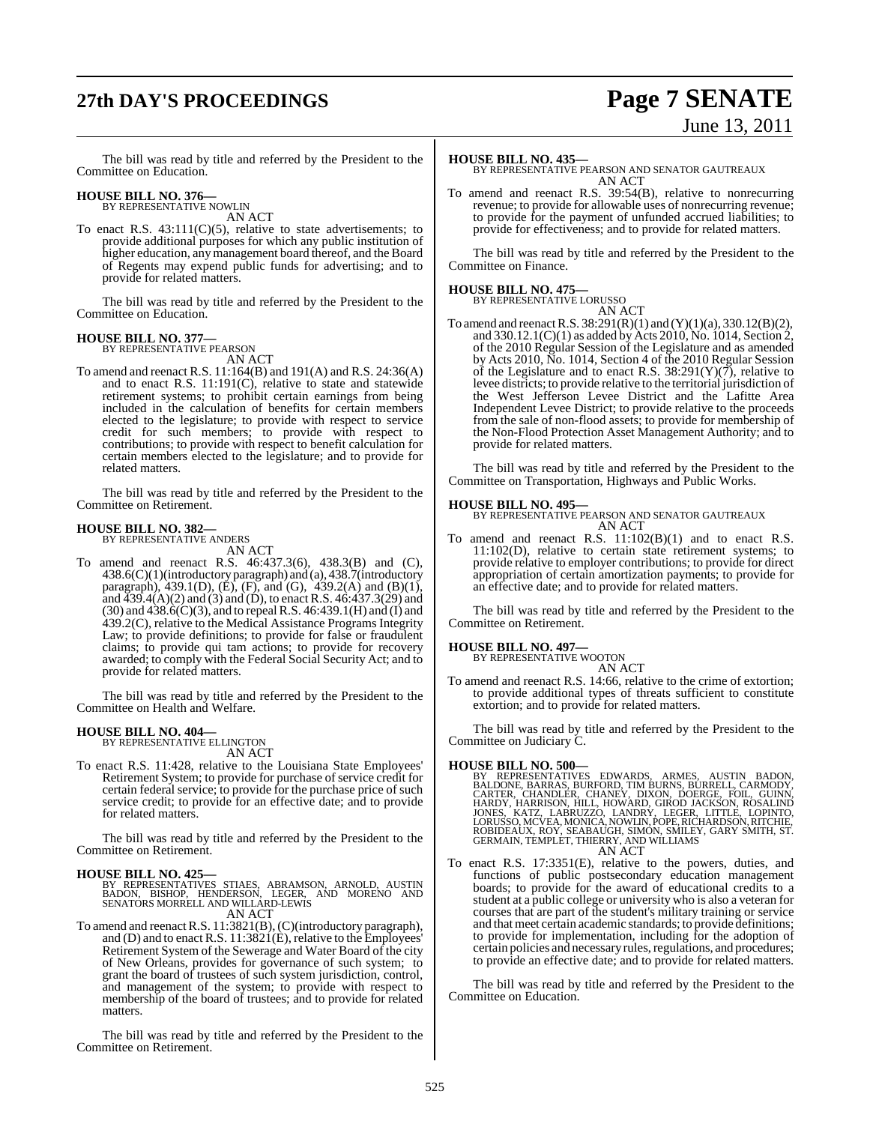## **27th DAY'S PROCEEDINGS Page 7 SENATE**

# June 13, 2011

The bill was read by title and referred by the President to the Committee on Education.

#### **HOUSE BILL NO. 376—** BY REPRESENTATIVE NOWLIN

AN ACT

To enact R.S.  $43:111(C)(5)$ , relative to state advertisements; to provide additional purposes for which any public institution of higher education, any management board thereof, and the Board of Regents may expend public funds for advertising; and to provide for related matters.

The bill was read by title and referred by the President to the Committee on Education.

#### **HOUSE BILL NO. 377—**

BY REPRESENTATIVE PEARSON AN ACT

To amend and reenact R.S. 11:164(B) and 191(A) and R.S. 24:36(A) and to enact R.S. 11:191(C), relative to state and statewide retirement systems; to prohibit certain earnings from being included in the calculation of benefits for certain members elected to the legislature; to provide with respect to service credit for such members; to provide with respect to contributions; to provide with respect to benefit calculation for certain members elected to the legislature; and to provide for related matters.

The bill was read by title and referred by the President to the Committee on Retirement.

#### **HOUSE BILL NO. 382—** BY REPRESENTATIVE ANDERS

AN ACT

To amend and reenact R.S. 46:437.3(6), 438.3(B) and (C), 438.6(C)(1)(introductory paragraph) and (a), 438.7(introductory paragraph), 439.1(D), (E), (F), and (G),  $439.2(A)$  and (B)(1), and  $\overline{439.4(A)(2)}$  and  $(3)$  and  $(D)$ , to enact R.S. 46:437.3(29) and (30) and 438.6(C)(3), and to repealR.S. 46:439.1(H) and (I) and 439.2(C), relative to the Medical Assistance Programs Integrity Law; to provide definitions; to provide for false or fraudulent claims; to provide qui tam actions; to provide for recovery awarded; to comply with the Federal Social Security Act; and to provide for related matters.

The bill was read by title and referred by the President to the Committee on Health and Welfare.

## **HOUSE BILL NO. 404—** BY REPRESENTATIVE ELLINGTON

AN ACT

To enact R.S. 11:428, relative to the Louisiana State Employees' Retirement System; to provide for purchase of service credit for certain federal service; to provide for the purchase price of such service credit; to provide for an effective date; and to provide for related matters.

The bill was read by title and referred by the President to the Committee on Retirement.

**HOUSE BILL NO. 425—** BY REPRESENTATIVES STIAES, ABRAMSON, ARNOLD, AUSTIN BADON, BISHOP, HENDERSON, LEGER, AND MORENO AND SENATORS MORRELL AND WILLARD-LEWIS

AN ACT To amend and reenact R.S. 11:3821(B), (C)(introductory paragraph), and (D) and to enact R.S. 11:3821(E), relative to the Employees' Retirement System of the Sewerage and Water Board of the city of New Orleans, provides for governance of such system; to grant the board of trustees of such system jurisdiction, control, and management of the system; to provide with respect to membership of the board of trustees; and to provide for related matters.

The bill was read by title and referred by the President to the Committee on Retirement.

#### **HOUSE BILL NO. 435—**

BY REPRESENTATIVE PEARSON AND SENATOR GAUTREAUX AN ACT

To amend and reenact R.S. 39:54(B), relative to nonrecurring revenue; to provide for allowable uses of nonrecurring revenue; to provide for the payment of unfunded accrued liabilities; to provide for effectiveness; and to provide for related matters.

The bill was read by title and referred by the President to the Committee on Finance.

### **HOUSE BILL NO. 475—** BY REPRESENTATIVE LORUSSO

AN ACT To amend and reenact R.S.  $38:291(R)(1)$  and  $(Y)(1)(a)$ ,  $330.12(B)(2)$ , and 330.12.1(C)(1) as added by Acts 2010, No. 1014, Section 2, of the 2010 Regular Session of the Legislature and as amended by Acts 2010, No. 1014, Section 4 of the 2010 Regular Session of the Legislature and to enact R.S.  $38:291(Y)(7)$ , relative to levee districts; to provide relative to the territorial jurisdiction of the West Jefferson Levee District and the Lafitte Area Independent Levee District; to provide relative to the proceeds from the sale of non-flood assets; to provide for membership of the Non-Flood Protection Asset Management Authority; and to provide for related matters.

The bill was read by title and referred by the President to the Committee on Transportation, Highways and Public Works.

#### **HOUSE BILL NO. 495—**

BY REPRESENTATIVE PEARSON AND SENATOR GAUTREAUX AN ACT

To amend and reenact R.S. 11:102(B)(1) and to enact R.S. 11:102(D), relative to certain state retirement systems; to provide relative to employer contributions; to provide for direct appropriation of certain amortization payments; to provide for an effective date; and to provide for related matters.

The bill was read by title and referred by the President to the Committee on Retirement.

#### **HOUSE BILL NO. 497—**

BY REPRESENTATIVE WOOTON AN ACT

To amend and reenact R.S. 14:66, relative to the crime of extortion; to provide additional types of threats sufficient to constitute extortion; and to provide for related matters.

The bill was read by title and referred by the President to the Committee on Judiciary C.

#### **HOUSE BILL NO. 500—**

- BY REPRESENTATIVES EDWARDS, ARMES, AUSTIN BADON,<br>BALDONE, BARRAS, BURFORD, TIM BURNS, BURRELL, CARMODY,<br>CARTER, CHANDLER, CHANEY, DIXON, DOERGE, FOIL, GUINN,<br>HARDY, HARRISON, HILL, HOWARD, GIROD JACKSON, ROSALIND<br>JONES, KA AN ACT
- To enact R.S. 17:3351(E), relative to the powers, duties, and functions of public postsecondary education management boards; to provide for the award of educational credits to a student at a public college or university who is also a veteran for courses that are part of the student's military training or service and that meet certain academic standards; to provide definitions; to provide for implementation, including for the adoption of certain policies and necessary rules, regulations, and procedures; to provide an effective date; and to provide for related matters.

The bill was read by title and referred by the President to the Committee on Education.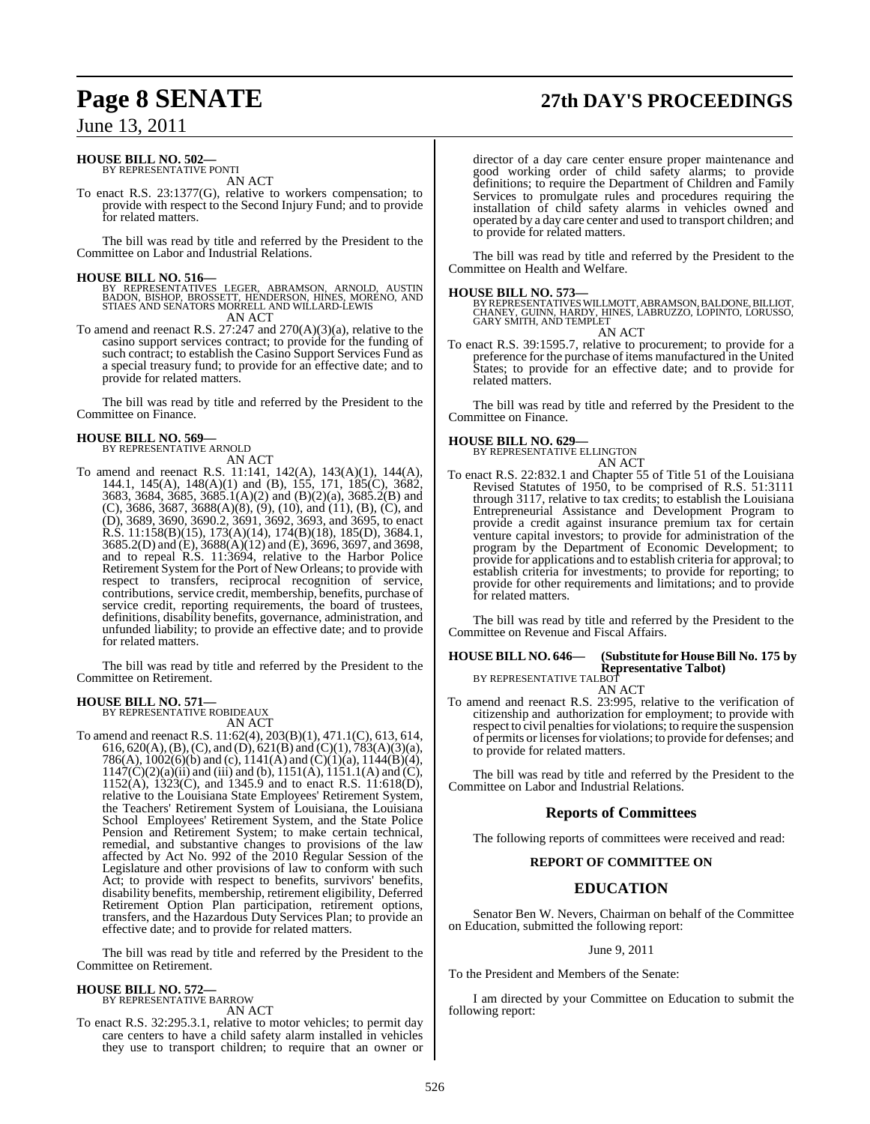## **Page 8 SENATE 27th DAY'S PROCEEDINGS**

### June 13, 2011

#### **HOUSE BILL NO. 502—** BY REPRESENTATIVE PONTI

AN ACT

To enact R.S. 23:1377(G), relative to workers compensation; to provide with respect to the Second Injury Fund; and to provide for related matters.

The bill was read by title and referred by the President to the Committee on Labor and Industrial Relations.

#### **HOUSE BILL NO. 516—**

- BY REPRESENTATIVES LEGER, ABRAMSON, ARNOLD, AUSTIN BADON, BISHOP, BROSSETT, HENDERSON, HINES, MORENO, AND STIAES AND SENATORS MORRELL AND WILLARD-LEWIS AN ACT
- To amend and reenact R.S. 27:247 and 270(A)(3)(a), relative to the casino support services contract; to provide for the funding of such contract; to establish the Casino Support Services Fund as a special treasury fund; to provide for an effective date; and to provide for related matters.

The bill was read by title and referred by the President to the Committee on Finance.

### **HOUSE BILL NO. 569—**

BY REPRESENTATIVE ARNOLD AN ACT

To amend and reenact R.S. 11:141, 142(A), 143(A)(1), 144(A), 144.1, 145(A), 148(A)(1) and (B), 155, 171, 185(C), 3682, 3683, 3684, 3685, 3685.1(A)(2) and (B)(2)(a), 3685.2(B) and (C), 3686, 3687, 3688(A)(8), (9), (10), and (11), (B), (C), and (D), 3689, 3690, 3690.2, 3691, 3692, 3693, and 3695, to enact R.S. 11:158(B)(15), 173(A)(14), 174(B)(18), 185(D), 3684.1, 3685.2(D) and (E), 3688(A)(12) and (E), 3696, 3697, and 3698, and to repeal R.S. 11:3694, relative to the Harbor Police Retirement System for the Port of New Orleans; to provide with respect to transfers, reciprocal recognition of service, contributions, service credit, membership, benefits, purchase of service credit, reporting requirements, the board of trustees, definitions, disability benefits, governance, administration, and unfunded liability; to provide an effective date; and to provide for related matters.

The bill was read by title and referred by the President to the Committee on Retirement.

## **HOUSE BILL NO. 571—** BY REPRESENTATIVE ROBIDEAUX

AN ACT

To amend and reenact R.S. 11:62(4), 203(B)(1), 471.1(C), 613, 614, 616, 620(A), (B), (C), and (D), 621(B) and (C)(1), 783(A)(3)(a), 786(A),  $1002(6)(b)$  and (c),  $1141(A)$  and (C)(1)(a),  $1144(B)(4)$ ,  $1147(\dot{C})(2)(a)(ii)$  and (iii) and (b),  $1151(\dot{A})$ ,  $1151.1(\dot{A})$  and (C),  $1152(A)$ ,  $1323(C)$ , and  $1345.9$  and to enact R.S.  $11:618(D)$ , relative to the Louisiana State Employees' Retirement System, the Teachers' Retirement System of Louisiana, the Louisiana School Employees' Retirement System, and the State Police Pension and Retirement System; to make certain technical, remedial, and substantive changes to provisions of the law affected by Act No. 992 of the 2010 Regular Session of the Legislature and other provisions of law to conform with such Act; to provide with respect to benefits, survivors' benefits, disability benefits, membership, retirement eligibility, Deferred Retirement Option Plan participation, retirement options, transfers, and the Hazardous Duty Services Plan; to provide an effective date; and to provide for related matters.

The bill was read by title and referred by the President to the Committee on Retirement.

### **HOUSE BILL NO. 572—**

BY REPRESENTATIVE BARROW AN ACT

To enact R.S. 32:295.3.1, relative to motor vehicles; to permit day care centers to have a child safety alarm installed in vehicles they use to transport children; to require that an owner or

director of a day care center ensure proper maintenance and good working order of child safety alarms; to provide definitions; to require the Department of Children and Family Services to promulgate rules and procedures requiring the installation of child safety alarms in vehicles owned and operated by a day care center and used to transport children; and to provide for related matters.

The bill was read by title and referred by the President to the Committee on Health and Welfare.

#### **HOUSE BILL NO. 573—**

BY REPRESENTATIVES WILLMOTT, ABRAMSON, BALDONE, BILLIOT,<br>CHANEY, GUINN, HARDY, HINES, LABRUZZO, LOPINTO, LORUSSO,<br>GARY SMITH, AND TEMPLET AN ACT

To enact R.S. 39:1595.7, relative to procurement; to provide for a preference for the purchase of items manufactured in the United States; to provide for an effective date; and to provide for related matters.

The bill was read by title and referred by the President to the Committee on Finance.

**HOUSE BILL NO. 629—** BY REPRESENTATIVE ELLINGTON AN ACT

To enact R.S. 22:832.1 and Chapter 55 of Title 51 of the Louisiana Revised Statutes of 1950, to be comprised of R.S. 51:3111 through 3117, relative to tax credits; to establish the Louisiana Entrepreneurial Assistance and Development Program to provide a credit against insurance premium tax for certain venture capital investors; to provide for administration of the program by the Department of Economic Development; to provide for applications and to establish criteria for approval; to establish criteria for investments; to provide for reporting; to provide for other requirements and limitations; and to provide for related matters.

The bill was read by title and referred by the President to the Committee on Revenue and Fiscal Affairs.

### **HOUSE BILL NO. 646— (Substitute for HouseBill No. 175 by Representative Talbot)** BY REPRESENTATIVE TALBOT

AN ACT

To amend and reenact R.S. 23:995, relative to the verification of citizenship and authorization for employment; to provide with respect to civil penalties for violations; to require the suspension of permits or licensesfor violations; to provide for defenses; and to provide for related matters.

The bill was read by title and referred by the President to the Committee on Labor and Industrial Relations.

#### **Reports of Committees**

The following reports of committees were received and read:

#### **REPORT OF COMMITTEE ON**

### **EDUCATION**

Senator Ben W. Nevers, Chairman on behalf of the Committee on Education, submitted the following report:

#### June 9, 2011

To the President and Members of the Senate:

I am directed by your Committee on Education to submit the following report: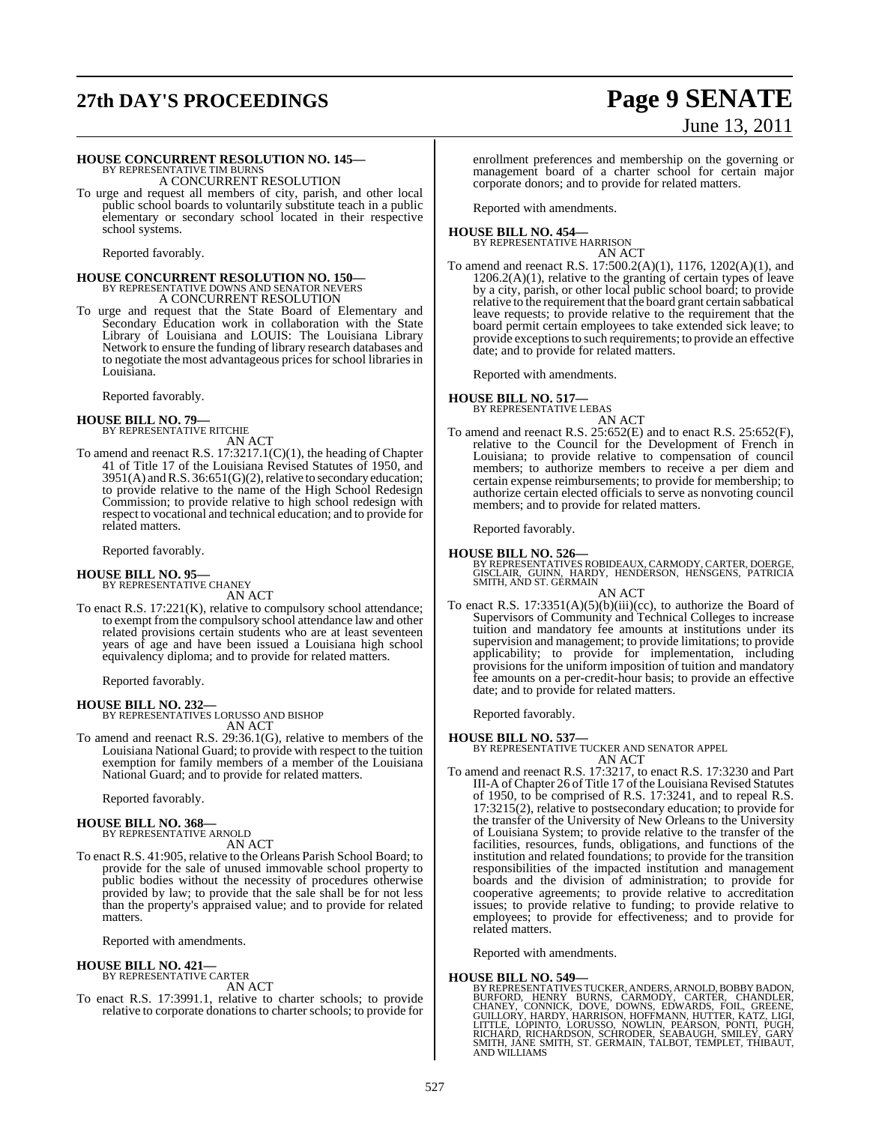## **27th DAY'S PROCEEDINGS Page 9 SENATE**

# June 13, 2011

### **HOUSE CONCURRENT RESOLUTION NO. 145—**

BY REPRESENTATIVE TIM BURNS A CONCURRENT RESOLUTION

To urge and request all members of city, parish, and other local public school boards to voluntarily substitute teach in a public elementary or secondary school located in their respective school systems.

Reported favorably.

# **HOUSE CONCURRENT RESOLUTION NO. 150—** BY REPRESENTATIVE DOWNS AND SENATOR NEVERS A CONCURRENT RESOLUTION

To urge and request that the State Board of Elementary and Secondary Education work in collaboration with the State Library of Louisiana and LOUIS: The Louisiana Library Network to ensure the funding of library research databases and to negotiate the most advantageous prices for school libraries in Louisiana.

Reported favorably.

#### **HOUSE BILL NO. 79—** BY REPRESENTATIVE RITCHIE

AN ACT

To amend and reenact R.S. 17:3217.1(C)(1), the heading of Chapter 41 of Title 17 of the Louisiana Revised Statutes of 1950, and  $3951(A)$  and R.S.  $36:651(G)(2)$ , relative to secondary education; to provide relative to the name of the High School Redesign Commission; to provide relative to high school redesign with respect to vocational and technical education; and to provide for related matters.

Reported favorably.

## **HOUSE BILL NO. 95—** BY REPRESENTATIVE CHANEY

AN ACT

To enact R.S. 17:221(K), relative to compulsory school attendance; to exempt from the compulsory school attendance law and other related provisions certain students who are at least seventeen years of age and have been issued a Louisiana high school equivalency diploma; and to provide for related matters.

Reported favorably.

**HOUSE BILL NO. 232—** BY REPRESENTATIVES LORUSSO AND BISHOP AN ACT

To amend and reenact R.S. 29:36.1(G), relative to members of the Louisiana National Guard; to provide with respect to the tuition exemption for family members of a member of the Louisiana National Guard; and to provide for related matters.

Reported favorably.

### **HOUSE BILL NO. 368—** BY REPRESENTATIVE ARNOLD

AN ACT

To enact R.S. 41:905, relative to the Orleans Parish School Board; to provide for the sale of unused immovable school property to public bodies without the necessity of procedures otherwise provided by law; to provide that the sale shall be for not less than the property's appraised value; and to provide for related matters.

Reported with amendments.

## **HOUSE BILL NO. 421—** BY REPRESENTATIVE CARTER

AN ACT

To enact R.S. 17:3991.1, relative to charter schools; to provide relative to corporate donations to charter schools; to provide for

enrollment preferences and membership on the governing or management board of a charter school for certain major corporate donors; and to provide for related matters.

Reported with amendments.

## **HOUSE BILL NO. 454—** BY REPRESENTATIVE HARRISON

AN ACT

To amend and reenact R.S. 17:500.2(A)(1), 1176, 1202(A)(1), and  $1206.2(A)(1)$ , relative to the granting of certain types of leave by a city, parish, or other local public school board; to provide relative to the requirement that the board grant certain sabbatical leave requests; to provide relative to the requirement that the board permit certain employees to take extended sick leave; to provide exceptions to such requirements; to provide an effective date; and to provide for related matters.

Reported with amendments.

## **HOUSE BILL NO. 517—** BY REPRESENTATIVE LEBAS

AN ACT

To amend and reenact R.S. 25:652(E) and to enact R.S. 25:652(F), relative to the Council for the Development of French in Louisiana; to provide relative to compensation of council members; to authorize members to receive a per diem and certain expense reimbursements; to provide for membership; to authorize certain elected officials to serve as nonvoting council members; and to provide for related matters.

Reported favorably.

**HOUSE BILL NO. 526—** BY REPRESENTATIVES ROBIDEAUX, CARMODY, CARTER, DOERGE, GISCLAIR, GUINN, HARDY, HENDERSON, HENSGENS, PATRICIA SMITH, AND ST. GERMAIN AN ACT

To enact R.S.  $17:3351(A)(5)(b)(iii)(cc)$ , to authorize the Board of Supervisors of Community and Technical Colleges to increase tuition and mandatory fee amounts at institutions under its supervision and management; to provide limitations; to provide applicability; to provide for implementation, including provisions for the uniform imposition of tuition and mandatory fee amounts on a per-credit-hour basis; to provide an effective date; and to provide for related matters.

Reported favorably.

#### **HOUSE BILL NO. 537—**

BY REPRESENTATIVE TUCKER AND SENATOR APPEL AN ACT

To amend and reenact R.S. 17:3217, to enact R.S. 17:3230 and Part III-A of Chapter 26 of Title 17 of the Louisiana Revised Statutes of 1950, to be comprised of R.S. 17:3241, and to repeal R.S. 17:3215(2), relative to postsecondary education; to provide for the transfer of the University of New Orleans to the University of Louisiana System; to provide relative to the transfer of the facilities, resources, funds, obligations, and functions of the institution and related foundations; to provide for the transition responsibilities of the impacted institution and management boards and the division of administration; to provide for cooperative agreements; to provide relative to accreditation issues; to provide relative to funding; to provide relative to employees; to provide for effectiveness; and to provide for related matters.

Reported with amendments.

#### **HOUSE BILL NO. 549—**

BY REPRESENTATIVES TUCKER, ANDERS, ARNOLD, BOBBY BADON,<br>BURFORD, HENRY BURNS, CARMODY, CARTER, CHANDLER,<br>CHANEY, CONNICK, DOVE, DOWNS, EDWARDS, FOIL, GREENE,<br>GUILLORY, HARDY, HARRISON, HOFFMANN, HUTTER, KATZ, LIGI,<br>LITTLE, AND WILLIAMS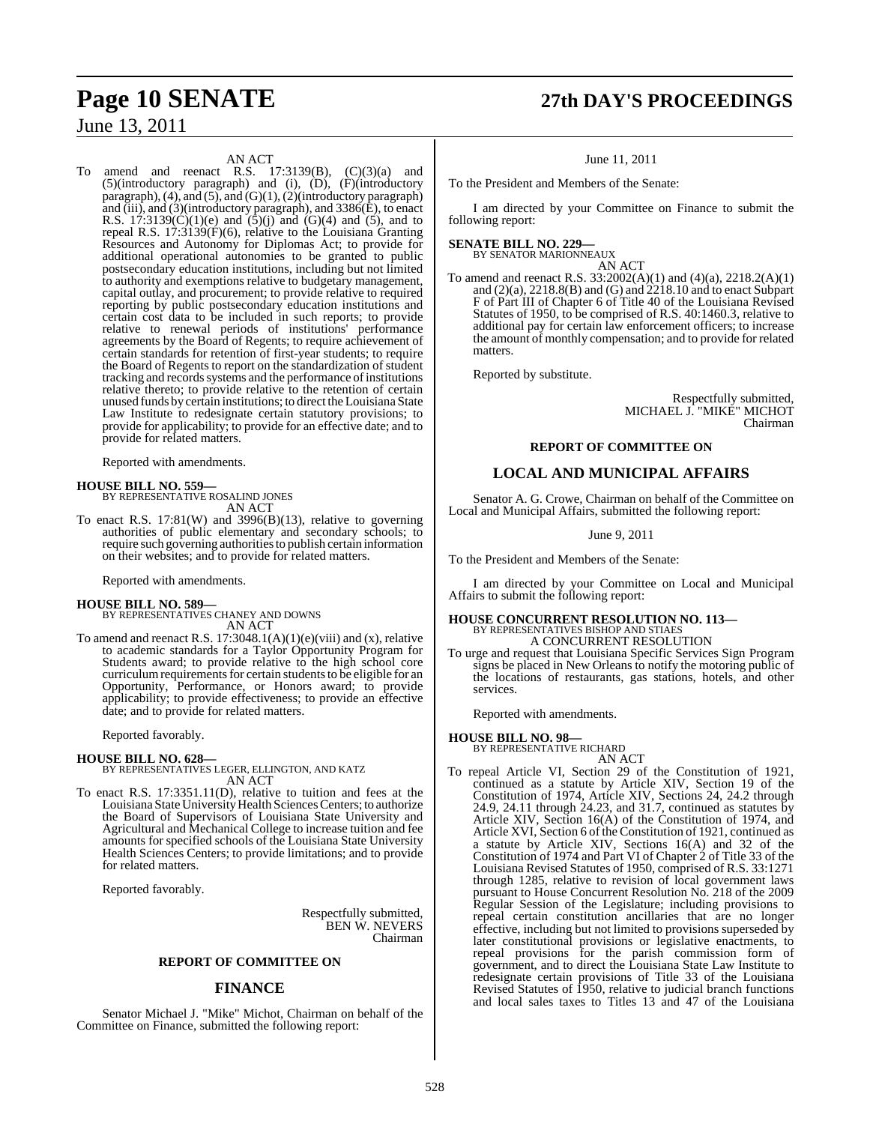AN ACT

To amend and reenact R.S.  $17:3139(B)$ ,  $(C)(3)(a)$  and (5)(introductory paragraph) and (i), (D), (F)(introductory paragraph),  $(4)$ , and  $(5)$ , and  $(G)(1)$ ,  $(2)$ (introductory paragraph) and (iii), and (3)(introductory paragraph), and 3386(E), to enact R.S. 17:3139(C)(1)(e) and  $(5)(j)$  and  $(6)(4)$  and  $(5)$ , and to repeal R.S. 17:3139(F)(6), relative to the Louisiana Granting Resources and Autonomy for Diplomas Act; to provide for additional operational autonomies to be granted to public postsecondary education institutions, including but not limited to authority and exemptions relative to budgetary management, capital outlay, and procurement; to provide relative to required reporting by public postsecondary education institutions and certain cost data to be included in such reports; to provide relative to renewal periods of institutions' performance agreements by the Board of Regents; to require achievement of certain standards for retention of first-year students; to require the Board of Regents to report on the standardization of student tracking and records systems and the performance of institutions relative thereto; to provide relative to the retention of certain unused funds by certain institutions; to direct the Louisiana State Law Institute to redesignate certain statutory provisions; to provide for applicability; to provide for an effective date; and to provide for related matters.

Reported with amendments.

### **HOUSE BILL NO. 559—** BY REPRESENTATIVE ROSALIND JONES AN ACT

To enact R.S.  $17:81(W)$  and  $3996(B)(13)$ , relative to governing authorities of public elementary and secondary schools; to require such governing authoritiesto publish certain information on their websites; and to provide for related matters.

Reported with amendments.

### **HOUSE BILL NO. 589—** BY REPRESENTATIVES CHANEY AND DOWNS AN ACT

To amend and reenact R.S.  $17:3048.1(A)(1)(e)(viii)$  and (x), relative to academic standards for a Taylor Opportunity Program for Students award; to provide relative to the high school core curriculum requirements for certain students to be eligible for an Opportunity, Performance, or Honors award; to provide applicability; to provide effectiveness; to provide an effective date; and to provide for related matters.

Reported favorably.

#### **HOUSE BILL NO. 628—**

BY REPRESENTATIVES LEGER, ELLINGTON, AND KATZ AN ACT

To enact R.S. 17:3351.11(D), relative to tuition and fees at the Louisiana State University Health Sciences Centers; to authorize the Board of Supervisors of Louisiana State University and Agricultural and Mechanical College to increase tuition and fee amounts for specified schools of the Louisiana State University Health Sciences Centers; to provide limitations; and to provide for related matters.

Reported favorably.

Respectfully submitted, BEN W. NEVERS Chairman

#### **REPORT OF COMMITTEE ON**

#### **FINANCE**

Senator Michael J. "Mike" Michot, Chairman on behalf of the Committee on Finance, submitted the following report:

## **Page 10 SENATE 27th DAY'S PROCEEDINGS**

June 11, 2011

To the President and Members of the Senate:

I am directed by your Committee on Finance to submit the following report:

#### **SENATE BILL NO. 229—** BY SENATOR MARIONNEAUX

AN ACT

To amend and reenact R.S. 33:2002(A)(1) and (4)(a), 2218.2(A)(1) and (2)(a), 2218.8(B) and (G) and 2218.10 and to enact Subpart F of Part III of Chapter 6 of Title 40 of the Louisiana Revised Statutes of 1950, to be comprised of R.S. 40:1460.3, relative to additional pay for certain law enforcement officers; to increase the amount of monthly compensation; and to provide for related matters.

Reported by substitute.

Respectfully submitted, MICHAEL J. "MIKE" MICHOT Chairman

#### **REPORT OF COMMITTEE ON**

### **LOCAL AND MUNICIPAL AFFAIRS**

Senator A. G. Crowe, Chairman on behalf of the Committee on Local and Municipal Affairs, submitted the following report:

June 9, 2011

To the President and Members of the Senate:

I am directed by your Committee on Local and Municipal Affairs to submit the following report:

### **HOUSE CONCURRENT RESOLUTION NO. 113—** BY REPRESENTATIVES BISHOP AND STIAES A CONCURRENT RESOLUTION

To urge and request that Louisiana Specific Services Sign Program signs be placed in New Orleans to notify the motoring public of the locations of restaurants, gas stations, hotels, and other services.

Reported with amendments.

#### **HOUSE BILL NO. 98—**

BY REPRESENTATIVE RICHARD AN ACT

To repeal Article VI, Section 29 of the Constitution of 1921, continued as a statute by Article XIV, Section 19 of the Constitution of 1974, Article XIV, Sections 24, 24.2 through 24.9, 24.11 through 24.23, and 31.7, continued as statutes by Article XIV, Section 16(A) of the Constitution of 1974, and Article XVI, Section 6 of the Constitution of 1921, continued as a statute by Article XIV, Sections 16(A) and 32 of the Constitution of 1974 and Part VI of Chapter 2 of Title 33 of the Louisiana Revised Statutes of 1950, comprised of R.S. 33:1271 through 1285, relative to revision of local government laws pursuant to House Concurrent Resolution No. 218 of the 2009 Regular Session of the Legislature; including provisions to repeal certain constitution ancillaries that are no longer effective, including but not limited to provisions superseded by later constitutional provisions or legislative enactments, to repeal provisions for the parish commission form of government, and to direct the Louisiana State Law Institute to redesignate certain provisions of Title 33 of the Louisiana Revised Statutes of 1950, relative to judicial branch functions and local sales taxes to Titles 13 and 47 of the Louisiana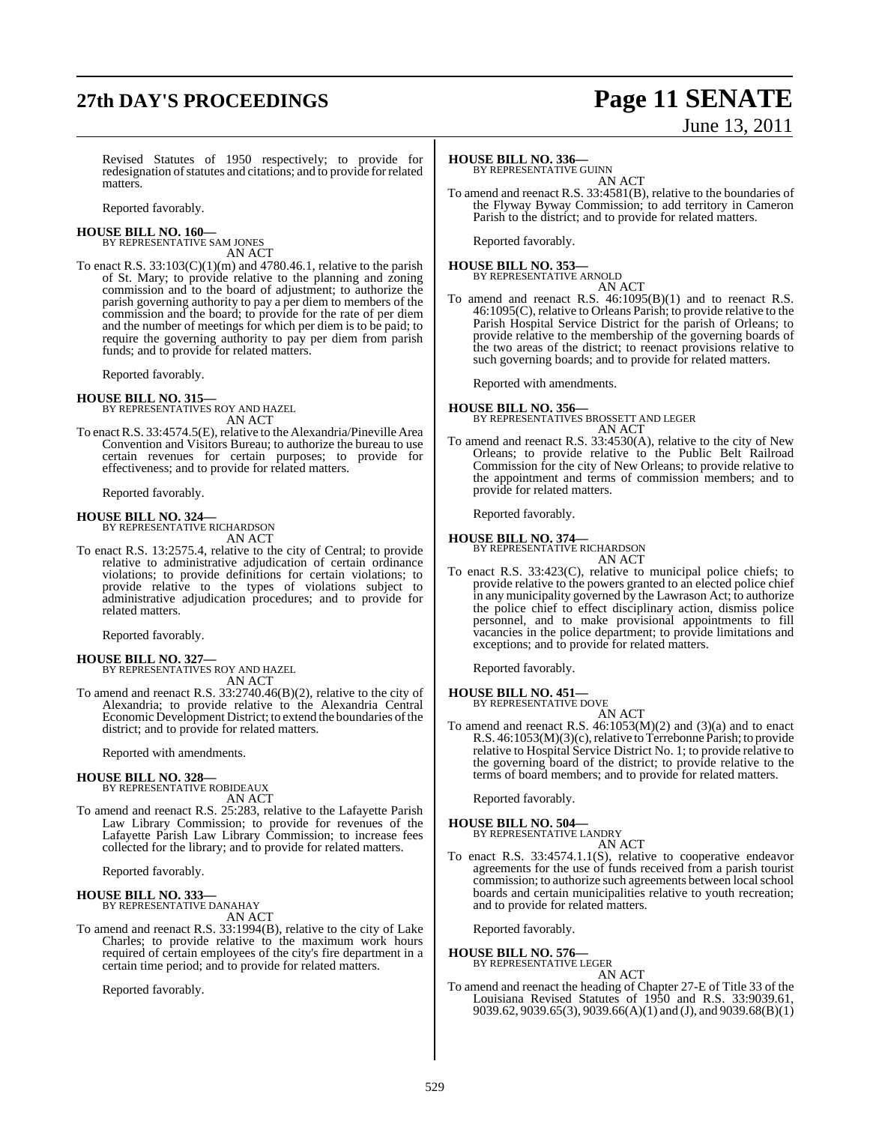## **27th DAY'S PROCEEDINGS Page 11 SENATE**

# June 13, 2011

Revised Statutes of 1950 respectively; to provide for redesignation of statutes and citations; and to provide for related matters.

Reported favorably.

#### **HOUSE BILL NO. 160—** BY REPRESENTATIVE SAM JONES

AN ACT

To enact R.S.  $33:103(C)(1)(m)$  and  $4780.46.1$ , relative to the parish of St. Mary; to provide relative to the planning and zoning commission and to the board of adjustment; to authorize the parish governing authority to pay a per diem to members of the commission and the board; to provide for the rate of per diem and the number of meetings for which per diem is to be paid; to require the governing authority to pay per diem from parish funds; and to provide for related matters.

Reported favorably.

**HOUSE BILL NO. 315—** BY REPRESENTATIVES ROY AND HAZEL AN ACT

To enactR.S. 33:4574.5(E), relative to the Alexandria/Pineville Area Convention and Visitors Bureau; to authorize the bureau to use certain revenues for certain purposes; to provide for effectiveness; and to provide for related matters.

Reported favorably.

### **HOUSE BILL NO. 324—**

BY REPRESENTATIVE RICHARDSON AN ACT

To enact R.S. 13:2575.4, relative to the city of Central; to provide relative to administrative adjudication of certain ordinance violations; to provide definitions for certain violations; to provide relative to the types of violations subject to administrative adjudication procedures; and to provide for related matters.

Reported favorably.

### **HOUSE BILL NO. 327—**

BY REPRESENTATIVES ROY AND HAZEL AN ACT

To amend and reenact R.S. 33:2740.46(B)(2), relative to the city of Alexandria; to provide relative to the Alexandria Central Economic Development District; to extend the boundaries of the district; and to provide for related matters.

Reported with amendments.

## **HOUSE BILL NO. 328—** BY REPRESENTATIVE ROBIDEAUX

AN ACT

To amend and reenact R.S. 25:283, relative to the Lafayette Parish Law Library Commission; to provide for revenues of the Lafayette Parish Law Library Commission; to increase fees collected for the library; and to provide for related matters.

Reported favorably.

### **HOUSE BILL NO. 333—**

BY REPRESENTATIVE DANAHAY AN ACT

To amend and reenact R.S. 33:1994(B), relative to the city of Lake Charles; to provide relative to the maximum work hours required of certain employees of the city's fire department in a certain time period; and to provide for related matters.

Reported favorably.

#### **HOUSE BILL NO. 336—**

BY REPRESENTATIVE GUINN AN ACT

To amend and reenact R.S. 33:4581(B), relative to the boundaries of the Flyway Byway Commission; to add territory in Cameron Parish to the district; and to provide for related matters.

Reported favorably.

#### **HOUSE BILL NO. 353—** BY REPRESENTATIVE ARNOLD

AN ACT To amend and reenact R.S. 46:1095(B)(1) and to reenact R.S. 46:1095(C), relative to Orleans Parish; to provide relative to the Parish Hospital Service District for the parish of Orleans; to provide relative to the membership of the governing boards of the two areas of the district; to reenact provisions relative to such governing boards; and to provide for related matters.

Reported with amendments.

#### **HOUSE BILL NO. 356—**

BY REPRESENTATIVES BROSSETT AND LEGER AN ACT

To amend and reenact R.S. 33:4530(A), relative to the city of New Orleans; to provide relative to the Public Belt Railroad Commission for the city of New Orleans; to provide relative to the appointment and terms of commission members; and to provide for related matters.

Reported favorably.

## **HOUSE BILL NO. 374—** BY REPRESENTATIVE RICHARDSON

AN ACT

To enact R.S. 33:423(C), relative to municipal police chiefs; to provide relative to the powers granted to an elected police chief in any municipality governed by the Lawrason Act; to authorize the police chief to effect disciplinary action, dismiss police personnel, and to make provisional appointments to fill vacancies in the police department; to provide limitations and exceptions; and to provide for related matters.

Reported favorably.

### **HOUSE BILL NO. 451—**

BY REPRESENTATIVE DOVE AN ACT

To amend and reenact R.S.  $46:1053(M)(2)$  and  $(3)(a)$  and to enact R.S. 46:1053(M)(3)(c), relative to Terrebonne Parish; to provide relative to Hospital Service District No. 1; to provide relative to the governing board of the district; to provide relative to the terms of board members; and to provide for related matters.

Reported favorably.

#### **HOUSE BILL NO. 504—** BY REPRESENTATIVE LANDRY

AN ACT

To enact R.S. 33:4574.1.1(S), relative to cooperative endeavor agreements for the use of funds received from a parish tourist commission; to authorize such agreements between local school boards and certain municipalities relative to youth recreation; and to provide for related matters.

Reported favorably.

### **HOUSE BILL NO. 576—** BY REPRESENTATIVE LEGER

AN ACT

To amend and reenact the heading of Chapter 27-E of Title 33 of the Louisiana Revised Statutes of 1950 and R.S. 33:9039.61, 9039.62, 9039.65(3), 9039.66(A)(1) and (J), and 9039.68(B)(1)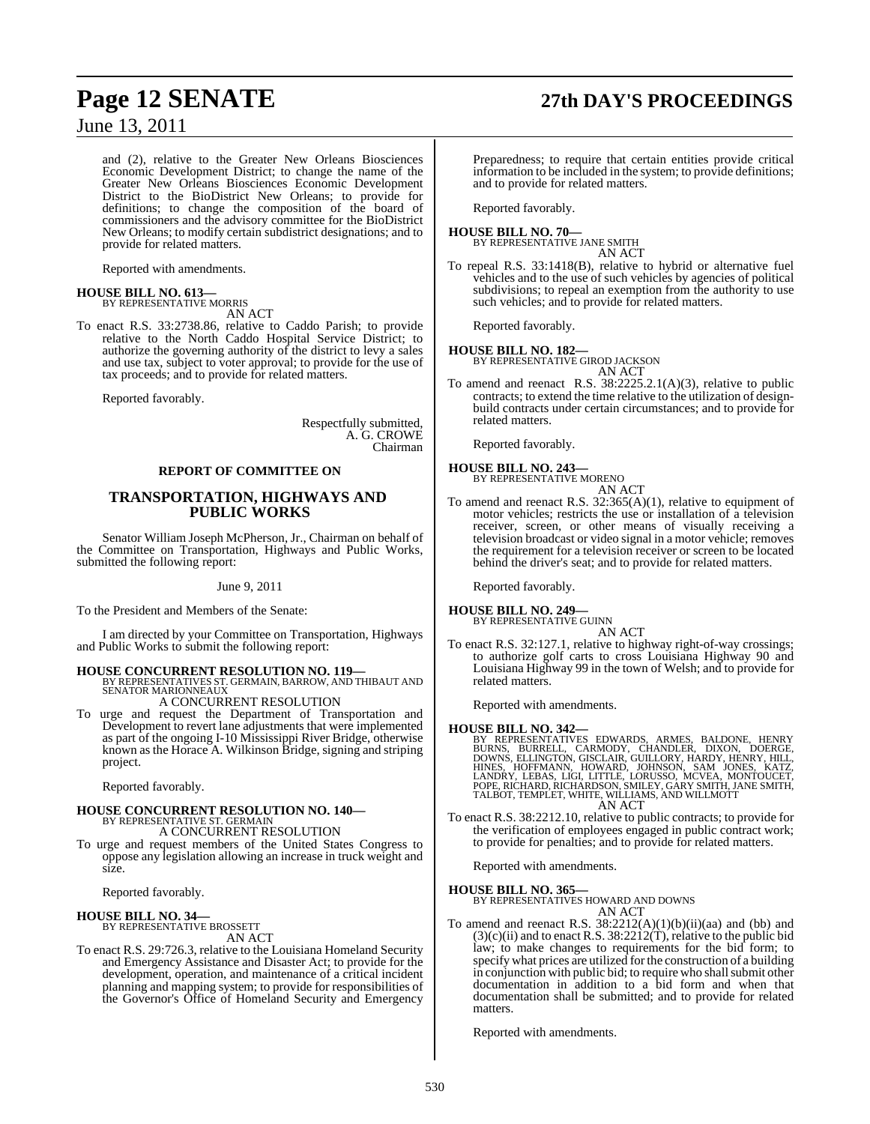and (2), relative to the Greater New Orleans Biosciences Economic Development District; to change the name of the Greater New Orleans Biosciences Economic Development District to the BioDistrict New Orleans; to provide for definitions; to change the composition of the board of commissioners and the advisory committee for the BioDistrict New Orleans; to modify certain subdistrict designations; and to provide for related matters.

Reported with amendments.

## **HOUSE BILL NO. 613—** BY REPRESENTATIVE MORRIS

AN ACT

To enact R.S. 33:2738.86, relative to Caddo Parish; to provide relative to the North Caddo Hospital Service District; to authorize the governing authority of the district to levy a sales and use tax, subject to voter approval; to provide for the use of tax proceeds; and to provide for related matters.

Reported favorably.

Respectfully submitted, A. G. CROWE Chairman

#### **REPORT OF COMMITTEE ON**

### **TRANSPORTATION, HIGHWAYS AND PUBLIC WORKS**

Senator William Joseph McPherson, Jr., Chairman on behalf of the Committee on Transportation, Highways and Public Works, submitted the following report:

June 9, 2011

To the President and Members of the Senate:

I am directed by your Committee on Transportation, Highways and Public Works to submit the following report:

**HOUSE CONCURRENT RESOLUTION NO. 119—** BY REPRESENTATIVES ST. GERMAIN, BARROW, AND THIBAUT AND SENATOR MARIONNEAUX

A CONCURRENT RESOLUTION

To urge and request the Department of Transportation and Development to revert lane adjustments that were implemented as part of the ongoing I-10 Mississippi River Bridge, otherwise known as the Horace A. Wilkinson Bridge, signing and striping project.

Reported favorably.

### **HOUSE CONCURRENT RESOLUTION NO. 140—** BY REPRESENTATIVE ST. GERMAIN

A CONCURRENT RESOLUTION

To urge and request members of the United States Congress to oppose any legislation allowing an increase in truck weight and size.

Reported favorably.

#### **HOUSE BILL NO. 34—**

BY REPRESENTATIVE BROSSETT AN ACT

To enact R.S. 29:726.3, relative to the Louisiana Homeland Security and Emergency Assistance and Disaster Act; to provide for the development, operation, and maintenance of a critical incident planning and mapping system; to provide for responsibilities of the Governor's Office of Homeland Security and Emergency

## **Page 12 SENATE 27th DAY'S PROCEEDINGS**

Preparedness; to require that certain entities provide critical information to be included in the system; to provide definitions; and to provide for related matters.

Reported favorably.

#### **HOUSE BILL NO. 70—** BY REPRESENTATIVE JANE SMITH

AN ACT

To repeal R.S. 33:1418(B), relative to hybrid or alternative fuel vehicles and to the use of such vehicles by agencies of political subdivisions; to repeal an exemption from the authority to use such vehicles; and to provide for related matters.

Reported favorably.

**HOUSE BILL NO. 182—** BY REPRESENTATIVE GIROD JACKSON

AN ACT

To amend and reenact R.S. 38:2225.2.1(A)(3), relative to public contracts; to extend the time relative to the utilization of designbuild contracts under certain circumstances; and to provide for related matters.

Reported favorably.

#### **HOUSE BILL NO. 243—**

BY REPRESENTATIVE MORENO

```
AN ACT
```
To amend and reenact R.S. 32:365(A)(1), relative to equipment of motor vehicles; restricts the use or installation of a television receiver, screen, or other means of visually receiving a television broadcast or video signal in a motor vehicle; removes the requirement for a television receiver or screen to be located behind the driver's seat; and to provide for related matters.

Reported favorably.

#### **HOUSE BILL NO. 249—**

BY REPRESENTATIVE GUINN AN ACT

To enact R.S. 32:127.1, relative to highway right-of-way crossings; to authorize golf carts to cross Louisiana Highway 90 and Louisiana Highway 99 in the town of Welsh; and to provide for related matters.

Reported with amendments.

**HOUSE BILL NO. 342—**<br>BY REPRESENTATIVES EDWARDS, ARMES, BALDONE, HENRY<br>BURNS, BURRELL, CARMODY, CHANDLER, DIXON, DOERGE,<br>DOWNS, ELLINGTON, GISCLAIR, GUILLORY, HARDY, HENRY, HILL,<br>HINES, HOFFMANN, HOWARD, JOHNSON, SAM JONE AN ACT

To enact R.S. 38:2212.10, relative to public contracts; to provide for the verification of employees engaged in public contract work; to provide for penalties; and to provide for related matters.

Reported with amendments.

#### **HOUSE BILL NO. 365—**

BY REPRESENTATIVES HOWARD AND DOWNS

### AN ACT

To amend and reenact R.S.  $38:2212(A)(1)(b)(ii)(aa)$  and (bb) and  $(3)(c)(ii)$  and to enact R.S.  $38:2212(\hat{T})$ , relative to the public bid law; to make changes to requirements for the bid form; to specify what prices are utilized forthe construction of a building in conjunction with public bid; to require who shall submit other documentation in addition to a bid form and when that documentation shall be submitted; and to provide for related matters.

Reported with amendments.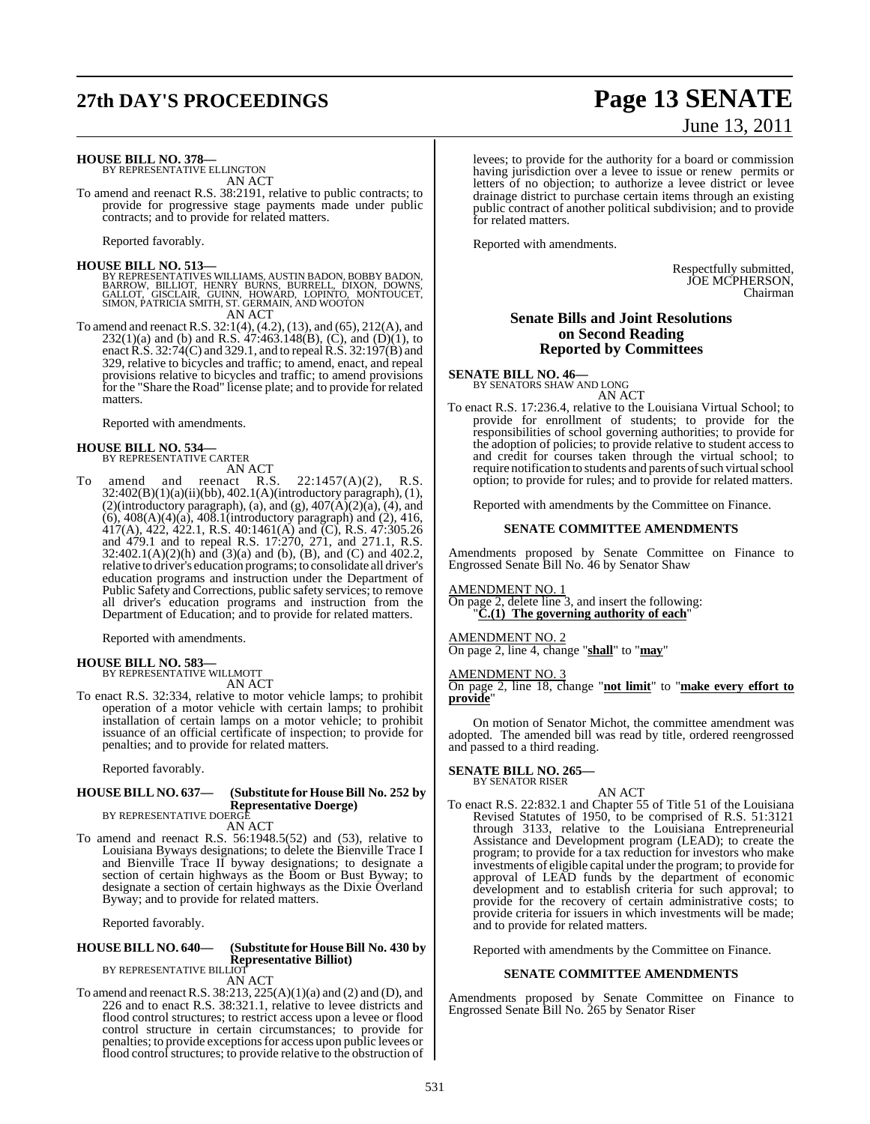## **27th DAY'S PROCEEDINGS Page 13 SENATE**

# June 13, 2011

**HOUSE BILL NO. 378—** BY REPRESENTATIVE ELLINGTON

AN ACT

To amend and reenact R.S. 38:2191, relative to public contracts; to provide for progressive stage payments made under public contracts; and to provide for related matters.

Reported favorably.

**HOUSE BILL NO. 513—**

BY REPRESENTATIVES WILLIAMS, AUSTIN BADON, BOBBY BADON,<br>BARROW, BILLIOT, HENRY BURNS, BURRELL, DIXON, DOWNS,<br>GALLOT, GISCLAIR, GUINN, HOWARD, LOPINTO, MONTOUCET,<br>SIMON, PATRICIA SMITH, ST. GERMAIN, AND WOOTON AN ACT

To amend and reenact R.S. 32:1(4), (4.2), (13), and (65), 212(A), and  $232(1)(a)$  and (b) and R.S. 47:463.148(B), (C), and (D)(1), to enactR.S. 32:74(C) and 329.1, and to repealR.S. 32:197(B) and 329, relative to bicycles and traffic; to amend, enact, and repeal provisions relative to bicycles and traffic; to amend provisions for the "Share the Road" license plate; and to provide for related matters.

Reported with amendments.

## **HOUSE BILL NO. 534—** BY REPRESENTATIVE CARTER

AN ACT

To amend and reenact R.S. 22:1457(A)(2), R.S. 32:402(B)(1)(a)(ii)(bb), 402.1(A)(introductory paragraph), (1),  $(2)(\text{introductory paragraph}),$  (a), and (g),  $407(\text{A})(2)(\text{a}), (4),$  and (6), 408(A)(4)(a), 408.1(introductory paragraph) and (2), 416, 417(A), 422, 422.1, R.S. 40:1461(A) and (C), R.S. 47:305.26 and 479.1 and to repeal R.S. 17:270, 271, and 271.1, R.S.  $32:402.1(A)(2)(h)$  and  $(3)(a)$  and  $(b)$ ,  $(B)$ , and  $(C)$  and  $402.2$ , relative to driver's education programs; to consolidate all driver's education programs and instruction under the Department of Public Safety and Corrections, public safety services; to remove all driver's education programs and instruction from the Department of Education; and to provide for related matters.

Reported with amendments.

**HOUSE BILL NO. 583—** BY REPRESENTATIVE WILLMOTT

AN ACT

To enact R.S. 32:334, relative to motor vehicle lamps; to prohibit operation of a motor vehicle with certain lamps; to prohibit installation of certain lamps on a motor vehicle; to prohibit issuance of an official certificate of inspection; to provide for penalties; and to provide for related matters.

Reported favorably.

#### **HOUSE BILL NO. 637— (Substitute for HouseBill No. 252 by Representative Doerge)**

BY REPRESENTATIVE DOERGE AN ACT

To amend and reenact R.S. 56:1948.5(52) and (53), relative to Louisiana Byways designations; to delete the Bienville Trace I and Bienville Trace II byway designations; to designate a section of certain highways as the Boom or Bust Byway; to designate a section of certain highways as the Dixie Overland Byway; and to provide for related matters.

Reported favorably.

#### **HOUSE BILL NO. 640— (Substitute for HouseBill No. 430 by Representative Billiot)** BY REPRESENTATIVE BILLIOT

AN ACT

To amend and reenactR.S. 38:213, 225(A)(1)(a) and (2) and (D), and 226 and to enact R.S. 38:321.1, relative to levee districts and flood control structures; to restrict access upon a levee or flood control structure in certain circumstances; to provide for penalties; to provide exceptions for access upon public levees or flood control structures; to provide relative to the obstruction of

levees; to provide for the authority for a board or commission having jurisdiction over a levee to issue or renew permits or letters of no objection; to authorize a levee district or levee drainage district to purchase certain items through an existing public contract of another political subdivision; and to provide for related matters.

Reported with amendments.

Respectfully submitted, JOE MCPHERSON, Chairman

#### **Senate Bills and Joint Resolutions on Second Reading Reported by Committees**

**SENATE BILL NO. 46—**

BY SENATORS SHAW AND LONG AN ACT

To enact R.S. 17:236.4, relative to the Louisiana Virtual School; to provide for enrollment of students; to provide for the responsibilities of school governing authorities; to provide for the adoption of policies; to provide relative to student access to and credit for courses taken through the virtual school; to require notification to students and parents of such virtual school option; to provide for rules; and to provide for related matters.

Reported with amendments by the Committee on Finance.

#### **SENATE COMMITTEE AMENDMENTS**

Amendments proposed by Senate Committee on Finance to Engrossed Senate Bill No. 46 by Senator Shaw

AMENDMENT NO. 1

On page 2, delete line 3, and insert the following:  $\tilde{C}(1)$  The governing authority of each"

AMENDMENT NO. 2 On page 2, line 4, change "**shall**" to "**may**"

#### AMENDMENT NO. 3

On page 2, line 18, change "**not limit**" to "**make every effort to provide**"

On motion of Senator Michot, the committee amendment was adopted. The amended bill was read by title, ordered reengrossed and passed to a third reading.

**SENATE BILL NO. 265—**

BY SENATOR RISER

AN ACT To enact R.S. 22:832.1 and Chapter 55 of Title 51 of the Louisiana Revised Statutes of 1950, to be comprised of R.S. 51:3121 through 3133, relative to the Louisiana Entrepreneurial Assistance and Development program (LEAD); to create the program; to provide for a tax reduction for investors who make investments of eligible capital under the program; to provide for approval of LEAD funds by the department of economic development and to establish criteria for such approval; to provide for the recovery of certain administrative costs; to provide criteria for issuers in which investments will be made; and to provide for related matters.

Reported with amendments by the Committee on Finance.

#### **SENATE COMMITTEE AMENDMENTS**

Amendments proposed by Senate Committee on Finance to Engrossed Senate Bill No. 265 by Senator Riser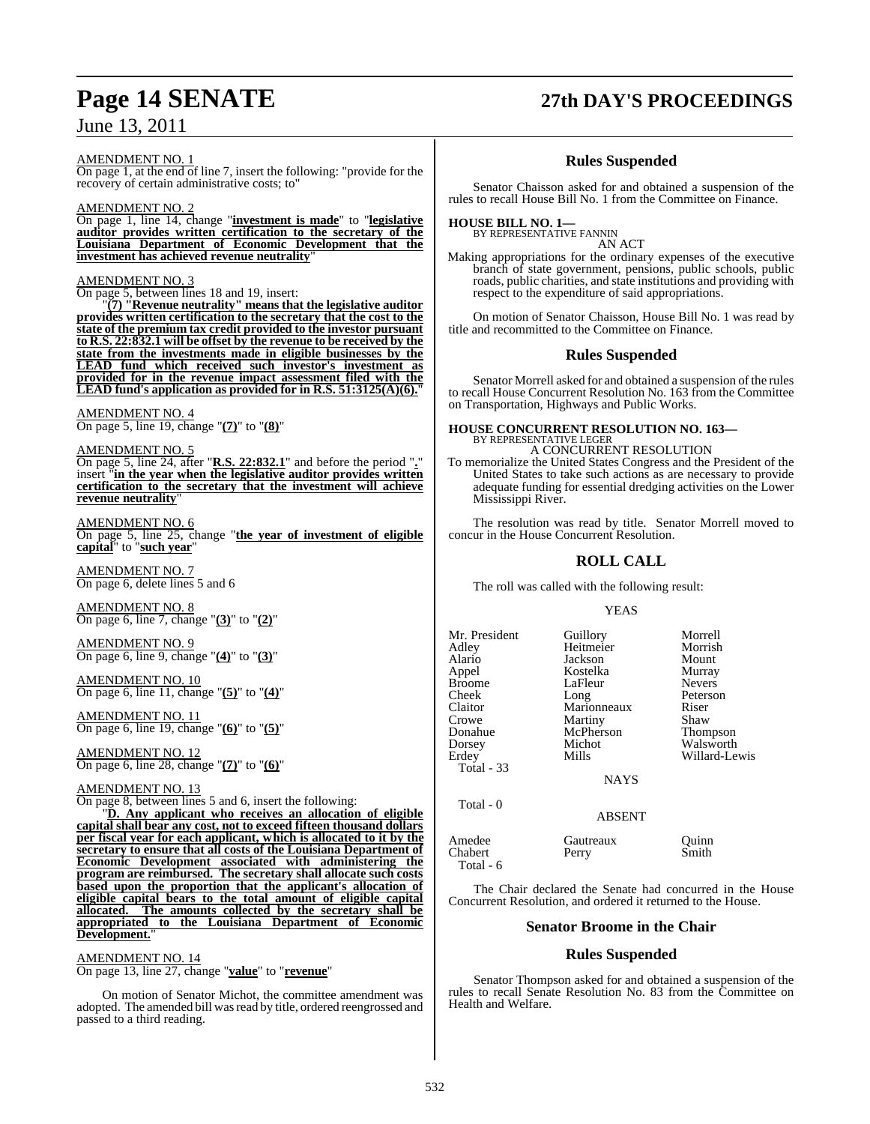#### AMENDMENT NO. 1

On page 1, at the end of line 7, insert the following: "provide for the recovery of certain administrative costs; to"

#### AMENDMENT NO. 2

On page 1, line 14, change "**investment is made**" to "**legislative auditor provides written certification to the secretary of the Louisiana Department of Economic Development that the investment has achieved revenue neutrality**"

#### AMENDMENT NO. 3

On page 5, between lines 18 and 19, insert:

"**(7) "Revenue neutrality" means that the legislative auditor provides written certification to the secretary that the cost to the state of the premium tax credit provided to the investor pursuant to R.S. 22:832.1 will be offset by the revenue to be received by the state from the investments made in eligible businesses by the LEAD fund which received such investor's investment as provided for in the revenue impact assessment filed with the LEAD fund's application as provided for in R.S. 51:3125(A)(6).**"

### AMENDMENT NO. 4

On page 5, line 19, change "**(7)**" to "**(8)**"

#### AMENDMENT NO. 5

On page 5, line 24, after "**R.S. 22:832.1**" and before the period "**.**" insert "**in the year when the legislative auditor provides written certification to the secretary that the investment will achieve revenue neutrality**"

#### AMENDMENT NO. 6

On page 5, line 25, change "**the year of investment of eligible capital**" to "**such year**"

#### AMENDMENT NO. 7 On page 6, delete lines 5 and 6

AMENDMENT NO. 8 On page 6, line 7, change "**(3)**" to "**(2)**"

#### AMENDMENT NO. 9 On page 6, line 9, change "**(4)**" to "**(3)**"

AMENDMENT NO. 10 On page 6, line 11, change "**(5)**" to "**(4)**"

AMENDMENT NO. 11 On page 6, line 19, change "**(6)**" to "**(5)**"

AMENDMENT NO. 12 On page 6, line 28, change "**(7)**" to "**(6)**"

#### AMENDMENT NO. 13

On page 8, between lines 5 and 6, insert the following:

"**D. Any applicant who receives an allocation of eligible capital shall bear any cost, not to exceed fifteen thousand dollars per fiscal year for each applicant, which is allocated to it by the secretary to ensure that all costs of the Louisiana Department of Economic Development associated with administering the program are reimbursed. The secretary shall allocate such costs based upon the proportion that the applicant's allocation of eligible capital bears to the total amount of eligible capital allocated. The amounts collected by the secretary shall be appropriated to the Louisiana Department of Economic Development.**"

#### AMENDMENT NO. 14

On page 13, line 27, change "**value**" to "**revenue**"

On motion of Senator Michot, the committee amendment was adopted. The amended bill was read by title, ordered reengrossed and passed to a third reading.

## **Page 14 SENATE 27th DAY'S PROCEEDINGS**

### **Rules Suspended**

Senator Chaisson asked for and obtained a suspension of the rules to recall House Bill No. 1 from the Committee on Finance.

### **HOUSE BILL NO. 1—**

BY REPRESENTATIVE FANNIN AN ACT

Making appropriations for the ordinary expenses of the executive branch of state government, pensions, public schools, public roads, public charities, and state institutions and providing with respect to the expenditure of said appropriations.

On motion of Senator Chaisson, House Bill No. 1 was read by title and recommitted to the Committee on Finance.

#### **Rules Suspended**

Senator Morrell asked for and obtained a suspension of the rules to recall House Concurrent Resolution No. 163 from the Committee on Transportation, Highways and Public Works.

### **HOUSE CONCURRENT RESOLUTION NO. 163—** BY REPRESENTATIVE LEGER A CONCURRENT RESOLUTION

To memorialize the United States Congress and the President of the United States to take such actions as are necessary to provide adequate funding for essential dredging activities on the Lower Mississippi River.

The resolution was read by title. Senator Morrell moved to concur in the House Concurrent Resolution.

#### **ROLL CALL**

The roll was called with the following result:

#### YEAS

| Mr. President | Guillory    | Morrell       |
|---------------|-------------|---------------|
| Adley         | Heitmeier   | Morrish       |
| Alario        | Jackson     | Mount         |
| Appel         | Kostelka    | Murray        |
| <b>Broome</b> | LaFleur     | <b>Nevers</b> |
| Cheek         | Long        | Peterson      |
| Claitor       | Marionneaux | Riser         |
| Crowe         | Martiny     | Shaw          |
| Donahue       | McPherson   | Thompson      |
| Dorsey        | Michot      | Walsworth     |
| Erdey         | Mills       | Willard-Le    |
| Total - 33    |             |               |

Total - 0

Heitmeier Morrish<br>Jackson Mount Kostelka Murray<br>LaFleur Nevers Peterson<br>Riser McPherson Thompson<br>Michot Walsworth Willard-Lewis

NAYS

#### ABSENT

Amedee Gautreaux Quinn<br>
Chabert Perry Smith Chabert Perry Total - 6

The Chair declared the Senate had concurred in the House Concurrent Resolution, and ordered it returned to the House.

#### **Senator Broome in the Chair**

#### **Rules Suspended**

Senator Thompson asked for and obtained a suspension of the rules to recall Senate Resolution No. 83 from the Committee on Health and Welfare.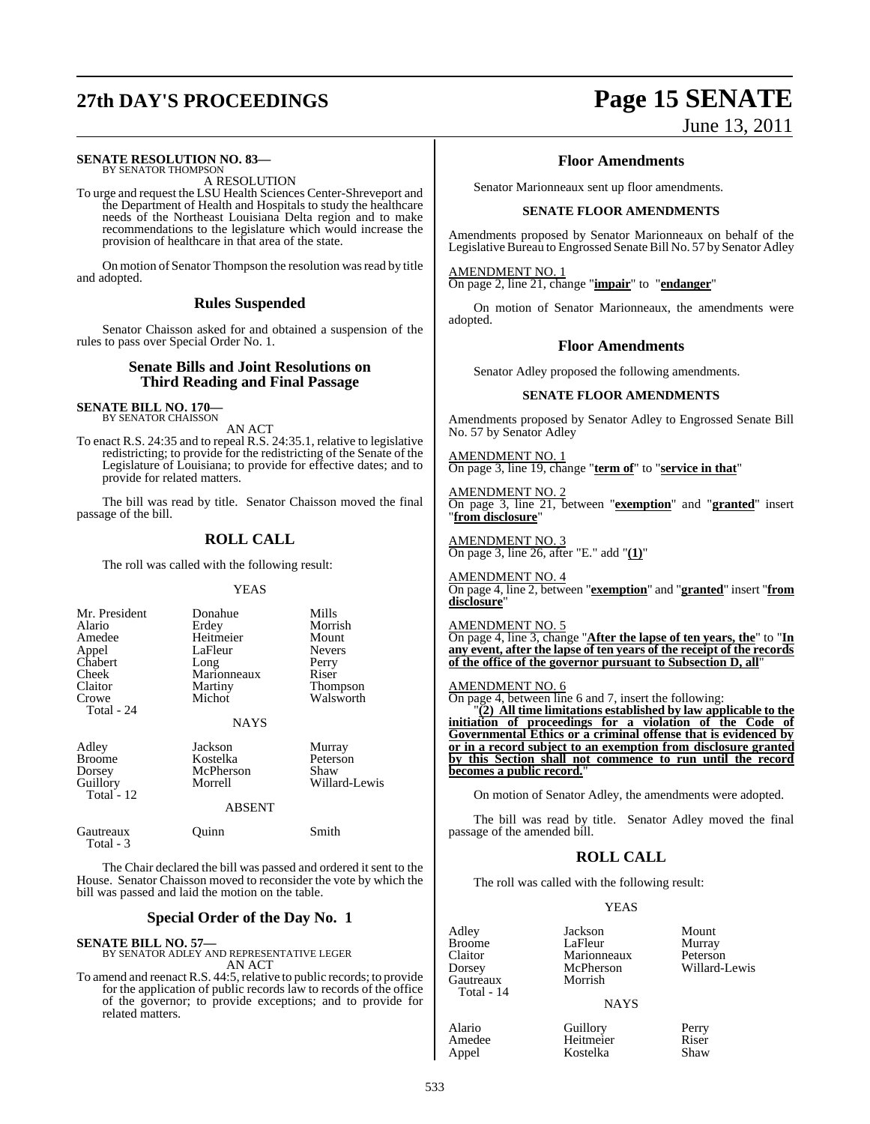## **27th DAY'S PROCEEDINGS Page 15 SENATE**

#### **SENATE RESOLUTION NO. 83—** BY SENATOR THOMPSON

A RESOLUTION

To urge and request the LSU Health Sciences Center-Shreveport and the Department of Health and Hospitals to study the healthcare needs of the Northeast Louisiana Delta region and to make recommendations to the legislature which would increase the provision of healthcare in that area of the state.

On motion of Senator Thompson the resolution was read by title and adopted.

#### **Rules Suspended**

Senator Chaisson asked for and obtained a suspension of the rules to pass over Special Order No. 1.

#### **Senate Bills and Joint Resolutions on Third Reading and Final Passage**

#### **SENATE BILL NO. 170—** BY SENATOR CHAISSON

AN ACT

To enact R.S. 24:35 and to repeal R.S. 24:35.1, relative to legislative redistricting; to provide for the redistricting of the Senate of the Legislature of Louisiana; to provide for effective dates; and to provide for related matters.

The bill was read by title. Senator Chaisson moved the final passage of the bill.

### **ROLL CALL**

The roll was called with the following result:

#### YEAS

| Mr. President<br>Alario<br>Amedee<br>Appel<br>Chabert<br>Cheek<br>Claitor<br>Crowe<br>Total - 24 | Donahue<br>Erdey<br>Heitmeier<br>LaFleur<br>Long<br>Marionneaux<br>Martiny<br>Michot<br><b>NAYS</b> | Mills<br>Morrish<br>Mount<br><b>Nevers</b><br>Perry<br>Riser<br>Thompson<br>Walsworth |
|--------------------------------------------------------------------------------------------------|-----------------------------------------------------------------------------------------------------|---------------------------------------------------------------------------------------|
| Adley<br><b>Broome</b><br>Dorsey<br>Guillory<br>Total - $12$                                     | Jackson<br>Kostelka<br>McPherson<br>Morrell<br><b>ABSENT</b>                                        | Murray<br>Peterson<br>Shaw<br>Willard-Lewis                                           |
| Gautreaux                                                                                        | Ouinn                                                                                               | Smith                                                                                 |

The Chair declared the bill was passed and ordered it sent to the House. Senator Chaisson moved to reconsider the vote by which the bill was passed and laid the motion on the table.

#### **Special Order of the Day No. 1**

Total - 3

**SENATE BILL NO. 57—** BY SENATOR ADLEY AND REPRESENTATIVE LEGER AN ACT

To amend and reenact R.S. 44:5, relative to public records; to provide for the application of public records law to records of the office of the governor; to provide exceptions; and to provide for related matters.

# June 13, 2011

#### **Floor Amendments**

Senator Marionneaux sent up floor amendments.

#### **SENATE FLOOR AMENDMENTS**

Amendments proposed by Senator Marionneaux on behalf of the Legislative Bureau to Engrossed Senate Bill No. 57 by Senator Adley

AMENDMENT NO. 1

On page 2, line 21, change "**impair**" to "**endanger**"

On motion of Senator Marionneaux, the amendments were adopted.

#### **Floor Amendments**

Senator Adley proposed the following amendments.

#### **SENATE FLOOR AMENDMENTS**

Amendments proposed by Senator Adley to Engrossed Senate Bill No. 57 by Senator Adley

AMENDMENT NO. 1 On page 3, line 19, change "**term of**" to "**service in that**"

AMENDMENT NO. 2 On page 3, line 21, between "**exemption**" and "**granted**" insert "**from disclosure**"

AMENDMENT NO. 3 On page 3, line 26, after "E." add "**(1)**"

AMENDMENT NO. 4 On page 4, line 2, between "**exemption**" and "**granted**" insert "**from disclosure**"

#### AMENDMENT NO. 5

On page 4, line 3, change "**After the lapse of ten years, the**" to "**In any event, after the lapse of ten years of the receipt of the records of the office of the governor pursuant to Subsection D, all**"

#### AMENDMENT NO. 6

On page 4, between line 6 and 7, insert the following:

"**(2) All time limitations established by law applicable to the initiation of proceedings for a violation of the Code of Governmental Ethics or a criminal offense that is evidenced by or in a record subject to an exemption from disclosure granted by this Section shall not commence to run until the record becomes a public record.**"

On motion of Senator Adley, the amendments were adopted.

The bill was read by title. Senator Adley moved the final passage of the amended bill.

### **ROLL CALL**

The roll was called with the following result:

Morrish

#### YEAS

Amedee Appel

Jackson Mount<br>LaFleur Murray LaFleur Murray<br>Marionneaux Peterson Marionneaux<br>McPherson Willard-Lewis

#### **NAYS**

| Alario | Guillory  | Perry |
|--------|-----------|-------|
| Amedee | Heitmeier | Riser |
| Appel  | Kostelka  | Shaw  |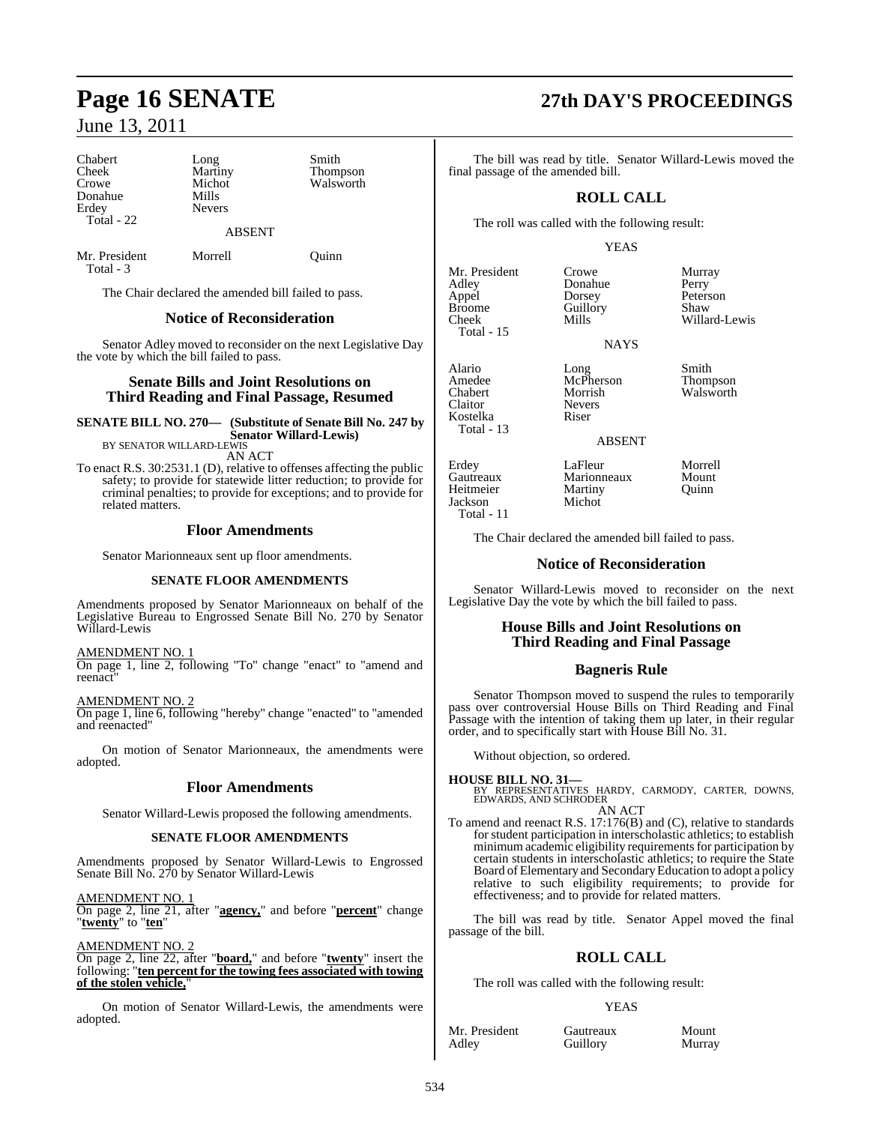Chabert Long Smith<br>
Cheek Martiny Thom Cheek Martiny Thompson<br>Crowe Michot Walsworth Donahue Mills<br>Frdev Nevers Erdey Total - 22

Michot Walsworth<br>Mills

Mr. President Morrell Quinn Total - 3

The Chair declared the amended bill failed to pass.

### **Notice of Reconsideration**

ABSENT

Senator Adley moved to reconsider on the next Legislative Day the vote by which the bill failed to pass.

#### **Senate Bills and Joint Resolutions on Third Reading and Final Passage, Resumed**

**SENATE BILL NO. 270— (Substitute of Senate Bill No. 247 by Senator Willard-Lewis)** BY SENATOR WILLARD-LEWIS

AN ACT

To enact R.S. 30:2531.1 (D), relative to offenses affecting the public safety; to provide for statewide litter reduction; to provide for criminal penalties; to provide for exceptions; and to provide for related matters.

#### **Floor Amendments**

Senator Marionneaux sent up floor amendments.

#### **SENATE FLOOR AMENDMENTS**

Amendments proposed by Senator Marionneaux on behalf of the Legislative Bureau to Engrossed Senate Bill No. 270 by Senator Willard-Lewis

#### AMENDMENT NO. 1

On page 1, line 2, following "To" change "enact" to "amend and reenact"

AMENDMENT NO. 2

On page 1, line 6, following "hereby" change "enacted" to "amended and reenacted"

On motion of Senator Marionneaux, the amendments were adopted.

### **Floor Amendments**

Senator Willard-Lewis proposed the following amendments.

#### **SENATE FLOOR AMENDMENTS**

Amendments proposed by Senator Willard-Lewis to Engrossed Senate Bill No. 270 by Senator Willard-Lewis

AMENDMENT NO. 1 On page 2, line 21, after "**agency,**" and before "**percent**" change "**twenty**" to "**ten**"

AMENDMENT NO. 2

On page 2, line 22, after "**board,**" and before "**twenty**" insert the following: "**ten percent for the towing fees associated with towing** of the stolen vehicle,

On motion of Senator Willard-Lewis, the amendments were adopted.

## **Page 16 SENATE 27th DAY'S PROCEEDINGS**

The bill was read by title. Senator Willard-Lewis moved the final passage of the amended bill.

### **ROLL CALL**

The roll was called with the following result:

Guillory

#### YEAS

**NAYS** 

Mr. President Crowe Murray<br>Adley Donahue Perry Adley Donahue<br>Appel Dorsey Appel Dorsey Peterson Cheek Mills Willard-Lewis

Total - 15

Alario Long Smith Amedee McPherson Thompson Chabert Morrish Walsworth Kostelka Total - 13

Jackson Total - 11 Nevers<br>Riser

Martiny<br>Michot

ABSENT Erdey LaFleur Morrell<br>
Gautreaux Marionneaux Mount

Gautreaux Marionneaux Mount<br>
Heitmeier Martiny Quinn

The Chair declared the amended bill failed to pass.

#### **Notice of Reconsideration**

Senator Willard-Lewis moved to reconsider on the next Legislative Day the vote by which the bill failed to pass.

### **House Bills and Joint Resolutions on Third Reading and Final Passage**

### **Bagneris Rule**

Senator Thompson moved to suspend the rules to temporarily pass over controversial House Bills on Third Reading and Final Passage with the intention of taking them up later, in their regular order, and to specifically start with House Bill No. 31.

Without objection, so ordered.

**HOUSE BILL NO. 31—** BY REPRESENTATIVES HARDY, CARMODY, CARTER, DOWNS, EDWARDS, AND SCHRODER

AN ACT To amend and reenact R.S. 17:176(B) and (C), relative to standards for student participation in interscholastic athletics; to establish minimum academic eligibility requirements for participation by certain students in interscholastic athletics; to require the State Board of Elementary and SecondaryEducation to adopt a policy relative to such eligibility requirements; to provide for effectiveness; and to provide for related matters.

The bill was read by title. Senator Appel moved the final passage of the bill.

### **ROLL CALL**

The roll was called with the following result:

**Guillory** 

#### YEAS

Mr. President Gautreaux Mount<br>Adley Guillory Murray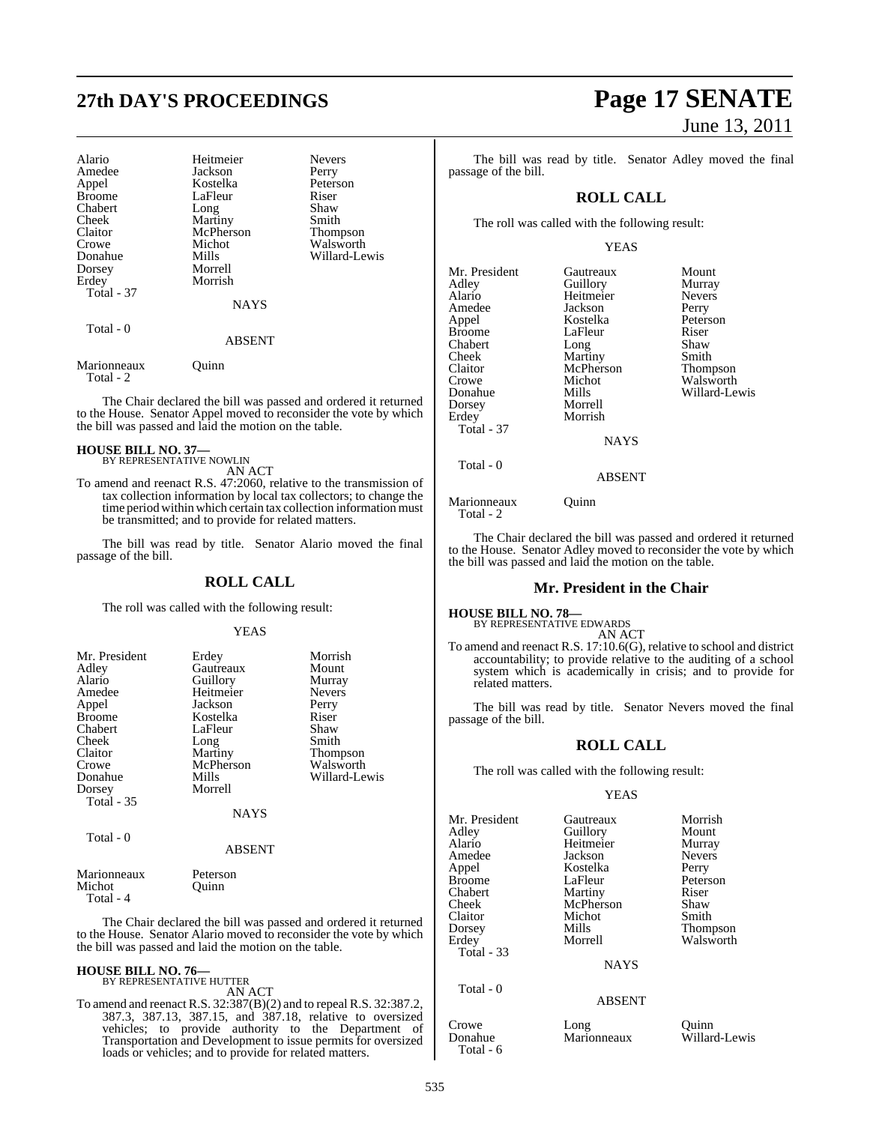## **27th DAY'S PROCEEDINGS Page 17 SENATE**

| Alario<br>Amedee<br>Appel<br><b>Broome</b><br>Chabert | Heitmeier<br>Jackson<br>Kostelka<br>LaFleur<br>Long | <b>Nevers</b><br>Perry<br>Peterson<br>Riser<br>Shaw |
|-------------------------------------------------------|-----------------------------------------------------|-----------------------------------------------------|
| Cheek                                                 | Martiny                                             | Smith                                               |
| Claitor                                               | McPherson                                           | <b>Thompson</b>                                     |
| Crowe                                                 | Michot                                              | Walsworth                                           |
| Donahue                                               | Mills                                               | Willard-Lewis                                       |
| Dorsey                                                | Morrell                                             |                                                     |
| Erdey                                                 | Morrish                                             |                                                     |
| Total - 37                                            |                                                     |                                                     |
|                                                       | <b>NAYS</b>                                         |                                                     |
| Total - 0                                             |                                                     |                                                     |
|                                                       | <b>ABSENT</b>                                       |                                                     |
| $\blacksquare$                                        | $\sim$ $\cdot$                                      |                                                     |

Marionneaux Quinn Total - 2

The Chair declared the bill was passed and ordered it returned to the House. Senator Appel moved to reconsider the vote by which the bill was passed and laid the motion on the table.

#### **HOUSE BILL NO. 37—**

BY REPRESENTATIVE NOWLIN

AN ACT

To amend and reenact R.S. 47:2060, relative to the transmission of tax collection information by local tax collectors; to change the time period within which certain tax collection information must be transmitted; and to provide for related matters.

The bill was read by title. Senator Alario moved the final passage of the bill.

#### **ROLL CALL**

The roll was called with the following result:

#### YEAS

| Mr. President     | Erdey       | Morrish         |
|-------------------|-------------|-----------------|
| Adley             | Gautreaux   | Mount           |
| Alario            | Guillory    | Murray          |
| Amedee            | Heitmeier   | <b>Nevers</b>   |
| Appel             | Jackson     | Perry           |
| <b>Broome</b>     | Kostelka    | Riser           |
| Chabert           | LaFleur     | Shaw            |
| Cheek             | Long        | Smith           |
| Claitor           | Martiny     | <b>Thompson</b> |
| Crowe             | McPherson   | Walsworth       |
| Donahue           | Mills       | Willard-Lewis   |
| Dorsey            | Morrell     |                 |
| <b>Total</b> - 35 |             |                 |
|                   | <b>NAYS</b> |                 |
| Total - 0         |             |                 |
|                   | ABSENT      |                 |

| Peterson |  |
|----------|--|

Marionneaux Michot Quinn Total - 4

The Chair declared the bill was passed and ordered it returned to the House. Senator Alario moved to reconsider the vote by which the bill was passed and laid the motion on the table.

#### **HOUSE BILL NO. 76—** BY REPRESENTATIVE HUTTER

AN ACT

To amend and reenact R.S. 32:387(B)(2) and to repeal R.S. 32:387.2, 387.3, 387.13, 387.15, and 387.18, relative to oversized vehicles; to provide authority to the Department of Transportation and Development to issue permits for oversized loads or vehicles; and to provide for related matters.

# June 13, 2011

The bill was read by title. Senator Adley moved the final passage of the bill.

### **ROLL CALL**

The roll was called with the following result:

#### YEAS

| Mr. President<br>Adley<br>Alario<br>Amedee<br>Appel<br><b>Broome</b><br>Chabert<br>Cheek<br>Claitor<br>Crowe<br>Donahue<br>Dorsey<br>Erdey<br><b>Total - 37</b> | Gautreaux<br>Guillory<br>Heitmeier<br>Jackson<br>Kostelka<br>LaFleur<br>Long<br>Martiny<br>McPherson<br>Michot<br>Mills<br>Morrell<br>Morrish<br><b>NAYS</b> | Mount<br>Murray<br><b>Nevers</b><br>Perry<br>Peterson<br>Riser<br>Shaw<br>Smith<br>Thompson<br>Walsworth<br>Willard-Lewis |
|-----------------------------------------------------------------------------------------------------------------------------------------------------------------|--------------------------------------------------------------------------------------------------------------------------------------------------------------|---------------------------------------------------------------------------------------------------------------------------|
| Total - 0                                                                                                                                                       | <b>ABSENT</b>                                                                                                                                                |                                                                                                                           |

Marionneaux **Quinn** Total - 2

The Chair declared the bill was passed and ordered it returned to the House. Senator Adley moved to reconsider the vote by which the bill was passed and laid the motion on the table.

#### **Mr. President in the Chair**

**HOUSE BILL NO. 78—** BY REPRESENTATIVE EDWARDS

AN ACT To amend and reenact R.S. 17:10.6(G), relative to school and district accountability; to provide relative to the auditing of a school system which is academically in crisis; and to provide for related matters.

The bill was read by title. Senator Nevers moved the final passage of the bill.

### **ROLL CALL**

The roll was called with the following result:

#### YEAS

Mr. President Gautreaux Morrish<br>
Adley Guillory Mount Adley Guillory Mount Amedee Jackson Never<br>Appel Kostelka Perry Appel Kostelka<br>Broome LaFleur Broome LaFleur Peterson<br>Chabert Martiny Riser Chabert Martiny Riser<br>
Cheek McPherson Shaw Claitor Micho<br>
Dorsey Mills Dorsey Mills Thompson Total - 33 Total - 0

Total - 6

McPherson Shaw<br>Michot Smith

Heitmeier Murray<br>Jackson Nevers Walsworth

**NAYS** 

#### ABSENT

| Crowe<br>Donahue | Long<br>Marionneaux | Ouinn<br>Willard-Lewis |
|------------------|---------------------|------------------------|
|                  |                     |                        |
| $\sim$ $\sim$    |                     |                        |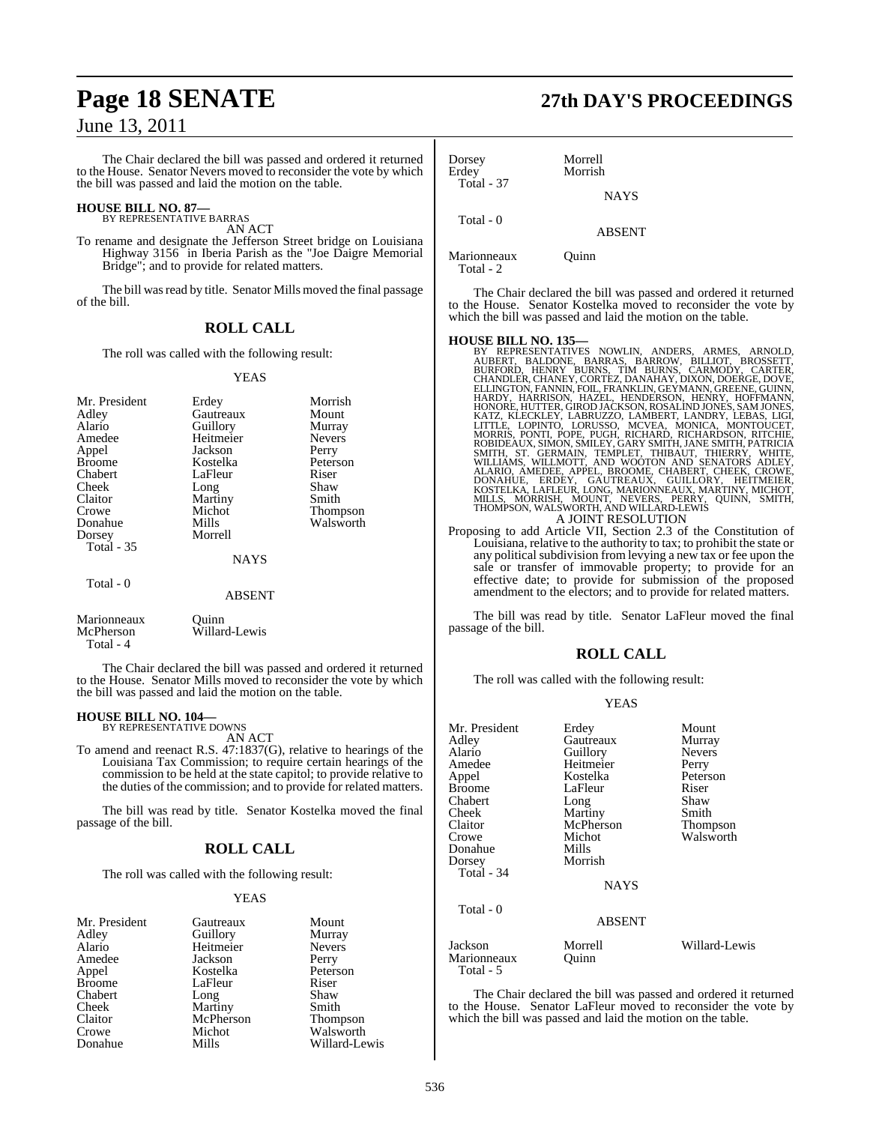The Chair declared the bill was passed and ordered it returned to the House. Senator Nevers moved to reconsider the vote by which the bill was passed and laid the motion on the table.

### **HOUSE BILL NO. 87—** BY REPRESENTATIVE BARRAS

AN ACT

To rename and designate the Jefferson Street bridge on Louisiana Highway 3156 in Iberia Parish as the "Joe Daigre Memorial Bridge"; and to provide for related matters.

The bill was read by title. Senator Mills moved the final passage of the bill.

### **ROLL CALL**

The roll was called with the following result:

#### YEAS

| Mr. President<br>Adley<br>Alario<br>Amedee<br>Appel<br><b>Broome</b><br>Chabert<br>Cheek<br>Claitor<br>Crowe<br>Donahue<br>Dorsey<br><b>Total - 35</b> | Erdey<br>Gautreaux<br>Guillory<br>Heitmeier<br>Jackson<br>Kostelka<br>LaFleur<br>Long<br>Martiny<br>Michot<br>Mills<br>Morrell | Morrish<br>Mount<br>Murray<br><b>Nevers</b><br>Perry<br>Peterson<br>Riser<br>Shaw<br>Smith<br><b>Thompson</b><br>Walsworth |
|--------------------------------------------------------------------------------------------------------------------------------------------------------|--------------------------------------------------------------------------------------------------------------------------------|----------------------------------------------------------------------------------------------------------------------------|
|                                                                                                                                                        | <b>NAYS</b>                                                                                                                    |                                                                                                                            |
| Total - 0                                                                                                                                              | <b>ABSENT</b>                                                                                                                  |                                                                                                                            |

Marionneaux Quinn<br>
McPherson Willar Willard-Lewis Total - 4

The Chair declared the bill was passed and ordered it returned to the House. Senator Mills moved to reconsider the vote by which the bill was passed and laid the motion on the table.

#### **HOUSE BILL NO. 104—** BY REPRESENTATIVE DOWNS

AN ACT

To amend and reenact R.S. 47:1837(G), relative to hearings of the Louisiana Tax Commission; to require certain hearings of the commission to be held at the state capitol; to provide relative to the duties of the commission; and to provide for related matters.

The bill was read by title. Senator Kostelka moved the final passage of the bill.

### **ROLL CALL**

The roll was called with the following result:

#### YEAS

| Mr. President | Gautreaux | Mount         |
|---------------|-----------|---------------|
| Adley         | Guillory  | Murray        |
| Alario        | Heitmeier | <b>Nevers</b> |
| Amedee        | Jackson   | Perry         |
| Appel         | Kostelka  | Peterson      |
| <b>Broome</b> | LaFleur   | Riser         |
| Chabert       | Long      | Shaw          |
| Cheek         | Martiny   | Smith         |
| Claitor       | McPherson | Thompson      |
| Crowe         | Michot    | Walsworth     |
| Donahue       | Mills     | Willard-Lewis |

## **Page 18 SENATE 27th DAY'S PROCEEDINGS**

| Dorsey<br>Erdey | Morrell<br>Morrish |
|-----------------|--------------------|
| Total - 37      | <b>NAYS</b>        |
| Total - 0       | <b>ABSENT</b>      |
|                 |                    |

Marionneaux Quinn Total - 2

The Chair declared the bill was passed and ordered it returned to the House. Senator Kostelka moved to reconsider the vote by which the bill was passed and laid the motion on the table.

**HOUSE BILL NO. 135—**<br>BY REPRESENTATIVES NOWLIN, ANDERS, ARMES, ARNOLD,<br>AUBERT, BALDONE, BARRAS, BARROW, BILLIOT, BROSSETT,<br>BURFORD, HENRY BURNS, TIM BURNS, CARMODY, CARTER,<br>CHANDLER, CHANEY, CORTEZ, DANAHAY, DIXON, DOERGE ELLINGTON, FANNIN, FOIL, FRÁNKLIN, GEÝMANN, GREENE, GUINN, HARDY, HARRISON, HAZEL, HENDERSON, HENRY, HOFMANN,<br>HONORE, HUTTER, GIROD JACKSON, ROSALIND JONES, SAM JONES, ALGICKLEY, LABRUZZO, LAMBERT, LANDRY, LEBAS, LIGI,<br>LIT A JOINT RESOLUTION

Proposing to add Article VII, Section 2.3 of the Constitution of Louisiana, relative to the authority to tax; to prohibit the state or any political subdivision from levying a new tax or fee upon the sale or transfer of immovable property; to provide for an effective date; to provide for submission of the proposed amendment to the electors; and to provide for related matters.

The bill was read by title. Senator LaFleur moved the final passage of the bill.

### **ROLL CALL**

The roll was called with the following result:

#### YEAS

| Mr. President            | Erdey         | Mount         |
|--------------------------|---------------|---------------|
|                          | Gautreaux     |               |
| Adley                    |               | Murray        |
| Alario                   | Guillory      | <b>Nevers</b> |
| Amedee                   | Heitmeier     | Perry         |
| Appel                    | Kostelka      | Peterson      |
| <b>Broome</b>            | LaFleur       | Riser         |
| Chabert                  | Long          | Shaw          |
| Cheek                    | Martiny       | Smith         |
| Claitor                  | McPherson     | Thompson      |
| Crowe                    | Michot        | Walsworth     |
| Donahue                  | Mills         |               |
| Dorsey                   | Morrish       |               |
| Total - 34               |               |               |
|                          | <b>NAYS</b>   |               |
| Total - 0                |               |               |
|                          | <b>ABSENT</b> |               |
| Jackson                  | Morrell       | Willard-Lewis |
| Marionneaux<br>Total - 5 | Ouinn         |               |

The Chair declared the bill was passed and ordered it returned to the House. Senator LaFleur moved to reconsider the vote by which the bill was passed and laid the motion on the table.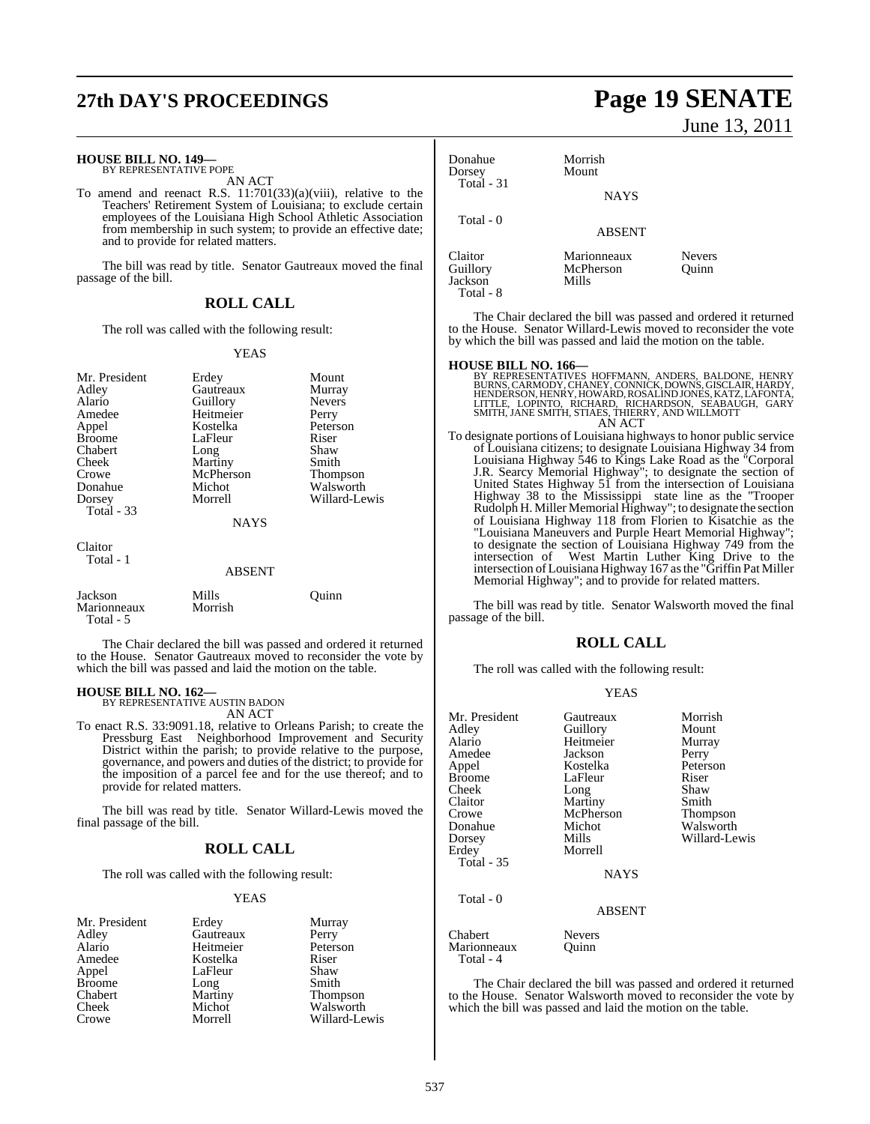## **27th DAY'S PROCEEDINGS Page 19 SENATE**

### **HOUSE BILL NO. 149—** BY REPRESENTATIVE POPE

AN ACT

To amend and reenact R.S. 11:701(33)(a)(viii), relative to the Teachers' Retirement System of Louisiana; to exclude certain employees of the Louisiana High School Athletic Association from membership in such system; to provide an effective date; and to provide for related matters.

The bill was read by title. Senator Gautreaux moved the final passage of the bill.

#### **ROLL CALL**

The roll was called with the following result:

#### YEAS

| Mr. President<br>Adley<br>Alario<br>Amedee<br>Appel<br><b>Broome</b><br>Chabert<br>Cheek<br>Crowe<br>Donahue<br>Dorsey<br><b>Total - 33</b> | Erdey<br>Gautreaux<br>Guillory<br>Heitmeier<br>Kostelka<br>LaFleur<br>Long<br>Martiny<br>McPherson<br>Michot<br>Morrell<br><b>NAYS</b> | Mount<br>Murray<br><b>Nevers</b><br>Perry<br>Peterson<br>Riser<br>Shaw<br>Smith<br>Thompson<br>Walsworth<br>Willard-Lewis |
|---------------------------------------------------------------------------------------------------------------------------------------------|----------------------------------------------------------------------------------------------------------------------------------------|---------------------------------------------------------------------------------------------------------------------------|
| Claitor<br>Total - 1                                                                                                                        | <b>ABSENT</b>                                                                                                                          |                                                                                                                           |
| Jackson<br>Marionneaux                                                                                                                      | Mills<br>Morrish                                                                                                                       | Ouınn                                                                                                                     |

 Total - 5 The Chair declared the bill was passed and ordered it returned

to the House. Senator Gautreaux moved to reconsider the vote by which the bill was passed and laid the motion on the table.

#### **HOUSE BILL NO. 162—**

BY REPRESENTATIVE AUSTIN BADON AN ACT

To enact R.S. 33:9091.18, relative to Orleans Parish; to create the Pressburg East Neighborhood Improvement and Security District within the parish; to provide relative to the purpose, governance, and powers and duties of the district; to provide for the imposition of a parcel fee and for the use thereof; and to provide for related matters.

The bill was read by title. Senator Willard-Lewis moved the final passage of the bill.

### **ROLL CALL**

The roll was called with the following result:

#### YEAS

|           | Murray        |
|-----------|---------------|
| Gautreaux | Perry         |
| Heitmeier | Peterson      |
| Kostelka  | Riser         |
| LaFleur   | Shaw          |
| Long      | Smith         |
| Martiny   | Thompson      |
| Michot    | Walsworth     |
| Morrell   | Willard-Lewis |
|           | Erdey         |

June 13, 2011

| Donahue<br>Dorsey<br>Total - 31 | Morrish<br>Mount                  |                        |
|---------------------------------|-----------------------------------|------------------------|
|                                 | <b>NAYS</b>                       |                        |
| Total $-0$                      | <b>ABSENT</b>                     |                        |
| Claitor<br>Guillory<br>Jackson  | Marionneaux<br>McPherson<br>Mills | <b>Nevers</b><br>Ouinn |

The Chair declared the bill was passed and ordered it returned to the House. Senator Willard-Lewis moved to reconsider the vote by which the bill was passed and laid the motion on the table.

Total - 8

**HOUSE BILL NO. 166—**<br>BY REPRESENTATIVES HOFFMANN, ANDERS, BALDONE, HENRY<br>BURNS, CARMODY, CHANEY, CONNICK, DOWNS, GISCLAIR, HARDY,<br>HENDERSON, HENRY, HOWARD, ROSALIND JONES, KATZ, LAFONTA, LITTLE, LOPINTO, RICHARD, RICHARDSON, SÉABAUGH, GARY<br>SMITH, JANE SMITH, STIAES, THIERRY, AND WILLMOTT<br>AN ACT

To designate portions of Louisiana highways to honor public service of Louisiana citizens; to designate Louisiana Highway 34 from Louisiana Highway 546 to Kings Lake Road as the "Corporal J.R. Searcy Memorial Highway"; to designate the section of United States Highway 51 from the intersection of Louisiana Highway 38 to the Mississippi state line as the ''Trooper Rudolph H. Miller Memorial Highway"; to designate the section of Louisiana Highway 118 from Florien to Kisatchie as the "Louisiana Maneuvers and Purple Heart Memorial Highway"; to designate the section of Louisiana Highway 749 from the intersection of West Martin Luther King Drive to the intersection of Louisiana Highway 167 as the "Griffin Pat Miller Memorial Highway"; and to provide for related matters.

The bill was read by title. Senator Walsworth moved the final passage of the bill.

### **ROLL CALL**

The roll was called with the following result:

#### YEAS

| Mr. President<br>Adley<br>Alario | Gautreaux<br>Guillory<br>Heitmeier | Morrish<br>Mount<br>Murray |
|----------------------------------|------------------------------------|----------------------------|
| Amedee                           | Jackson                            | Perry                      |
| Appel                            | Kostelka                           | Peterson                   |
| <b>Broome</b>                    | LaFleur                            | Riser                      |
| Cheek                            | Long                               | Shaw                       |
| Claitor                          | Martiny                            | Smith                      |
| Crowe                            | McPherson                          | Thompson                   |
| Donahue                          | Michot                             | Walsworth                  |
| Dorsey                           | Mills                              | Willard-Lewis              |
| Erdey                            | Morrell                            |                            |
| <b>Total - 35</b>                |                                    |                            |
|                                  | <b>NAYS</b>                        |                            |
| Total - 0                        |                                    |                            |
|                                  | <b>ABSENT</b>                      |                            |
| Chabert<br>Marionneaux           | Nevers<br>Ouinn                    |                            |

The Chair declared the bill was passed and ordered it returned to the House. Senator Walsworth moved to reconsider the vote by which the bill was passed and laid the motion on the table.

Total - 4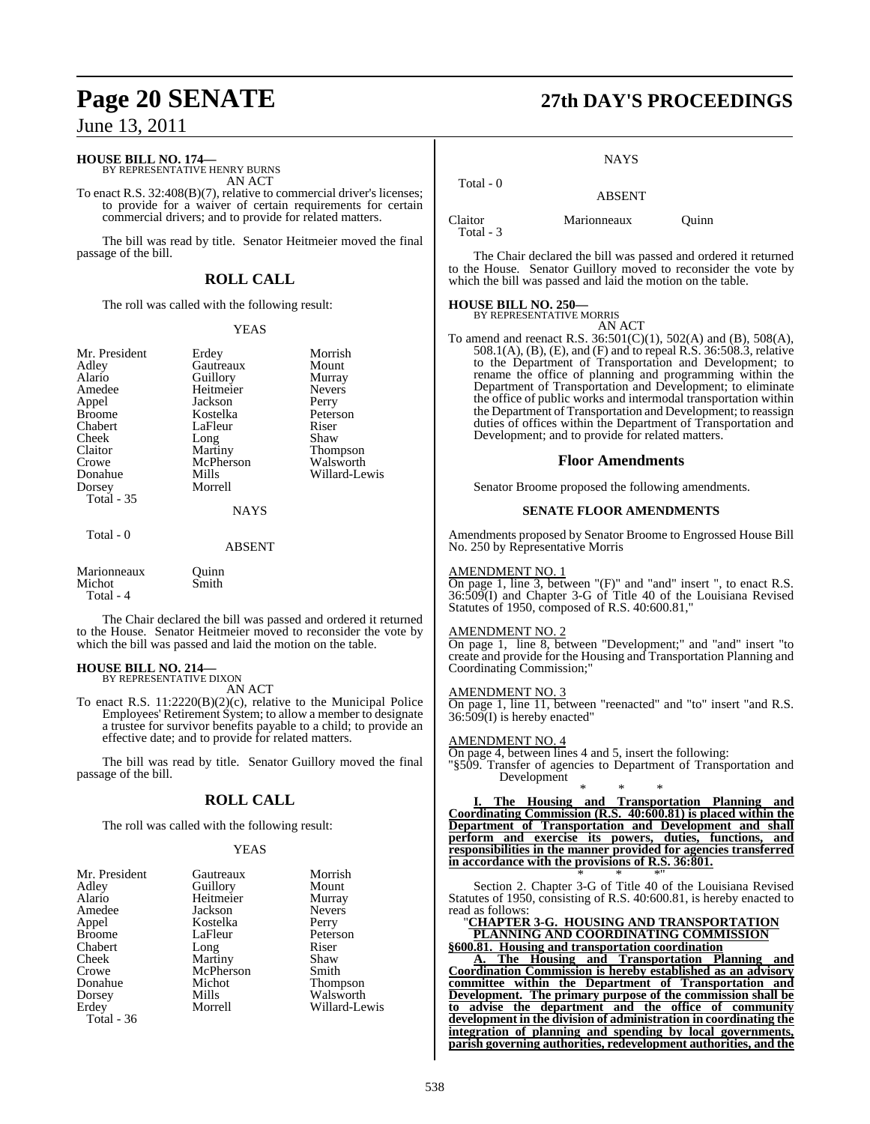### **HOUSE BILL NO. 174—** BY REPRESENTATIVE HENRY BURNS

AN ACT

To enact R.S. 32:408(B)(7), relative to commercial driver's licenses; to provide for a waiver of certain requirements for certain commercial drivers; and to provide for related matters.

The bill was read by title. Senator Heitmeier moved the final passage of the bill.

### **ROLL CALL**

The roll was called with the following result:

#### YEAS

Appel Cheek Long<br>Claitor Martiny Crowe McPherson<br>Donahue Mills Dorsey Total - 35

Mr. President Erdey Morrish<br>Adley Gautreaux Mount Adley Gautreaux Mount Alario Guillory Murray<br>Amedee Heitmeier Nevers Heitmeier Never<br>
Jackson Perry Broome Kostelka Peterson<br>Chabert LaFleur Riser Chabert LaFleur Riser<br>Cheek Long Shaw Claitor Martiny Thompson<br>
Crowe McPherson Walsworth Mills Willard-Lewis<br>Morrell

#### **NAYS**

### Total - 0

ABSENT

| Marionneaux | Ouinn |
|-------------|-------|
| Michot      | Smith |
| Total - 4   |       |

The Chair declared the bill was passed and ordered it returned to the House. Senator Heitmeier moved to reconsider the vote by which the bill was passed and laid the motion on the table.

### **HOUSE BILL NO. 214—** BY REPRESENTATIVE DIXON

AN ACT

To enact R.S. 11:2220(B)(2)(c), relative to the Municipal Police Employees' Retirement System; to allow a member to designate a trustee for survivor benefits payable to a child; to provide an effective date; and to provide for related matters.

The bill was read by title. Senator Guillory moved the final passage of the bill.

#### **ROLL CALL**

The roll was called with the following result:

#### YEAS

| Mr. President<br>Adley<br>Alario | Gautreaux<br>Guillory<br>Heitmeier | Morrish<br>Mount<br>Murray |
|----------------------------------|------------------------------------|----------------------------|
| Amedee                           | Jackson                            | <b>Nevers</b>              |
| Appel                            | Kostelka                           | Perry                      |
| <b>Broome</b>                    | LaFleur                            | Peterson                   |
| Chabert                          | Long                               | Riser                      |
| Cheek                            | Martiny                            | Shaw                       |
| Crowe                            | McPherson                          | Smith                      |
| Donahue                          | Michot                             | <b>Thompson</b>            |
| Dorsey                           | Mills                              | Walsworth                  |
| Erdey<br>Total - 36              | Morrell                            | Willard-Lewis              |

## **Page 20 SENATE 27th DAY'S PROCEEDINGS**

#### **NAYS**

 Total - 0 ABSENT Claitor Marionneaux Quinn

Total - 3

The Chair declared the bill was passed and ordered it returned to the House. Senator Guillory moved to reconsider the vote by which the bill was passed and laid the motion on the table.

## **HOUSE BILL NO. 250—** BY REPRESENTATIVE MORRIS

AN ACT

To amend and reenact R.S. 36:501(C)(1), 502(A) and (B), 508(A), 508.1(A), (B), (E), and (F) and to repeal R.S. 36:508.3, relative to the Department of Transportation and Development; to rename the office of planning and programming within the Department of Transportation and Development; to eliminate the office of public works and intermodal transportation within the Department of Transportation and Development; to reassign duties of offices within the Department of Transportation and Development; and to provide for related matters.

#### **Floor Amendments**

Senator Broome proposed the following amendments.

#### **SENATE FLOOR AMENDMENTS**

Amendments proposed by Senator Broome to Engrossed House Bill No. 250 by Representative Morris

#### AMENDMENT NO. 1

On page 1, line 3, between "(F)" and "and" insert ", to enact R.S. 36:509(I) and Chapter 3-G of Title 40 of the Louisiana Revised Statutes of 1950, composed of R.S. 40:600.81,

#### AMENDMENT NO. 2

On page 1, line 8, between "Development;" and "and" insert "to create and provide for the Housing and Transportation Planning and Coordinating Commission;"

#### AMENDMENT NO. 3

On page 1, line 11, between "reenacted" and "to" insert "and R.S. 36:509(I) is hereby enacted"

#### AMENDMENT NO. 4

On page 4, between lines 4 and 5, insert the following: "§509. Transfer of agencies to Department of Transportation and Development

\* \* \* **I. The Housing and Transportation Planning and Coordinating Commission (R.S. 40:600.81) is placed within the Department of Transportation and Development and shall perform and exercise its powers, duties, functions, and responsibilities in the manner provided for agencies transferred in accordance with the provisions of R.S. 36:801.** \* \* \*"

Section 2. Chapter 3-G of Title 40 of the Louisiana Revised Statutes of 1950, consisting of R.S. 40:600.81, is hereby enacted to read as follows:

"**CHAPTER 3-G. HOUSING AND TRANSPORTATION PLANNING AND COORDINATING COMMISSION**

**§600.81. Housing and transportation coordination**

**A. The Housing and Transportation Planning and Coordination Commission is hereby established as an advisory committee within the Department of Transportation and Development. The primary purpose of the commission shall be to advise the department and the office of community development in the division of administration in coordinating the integration of planning and spending by local governments, parish governing authorities, redevelopment authorities, and the**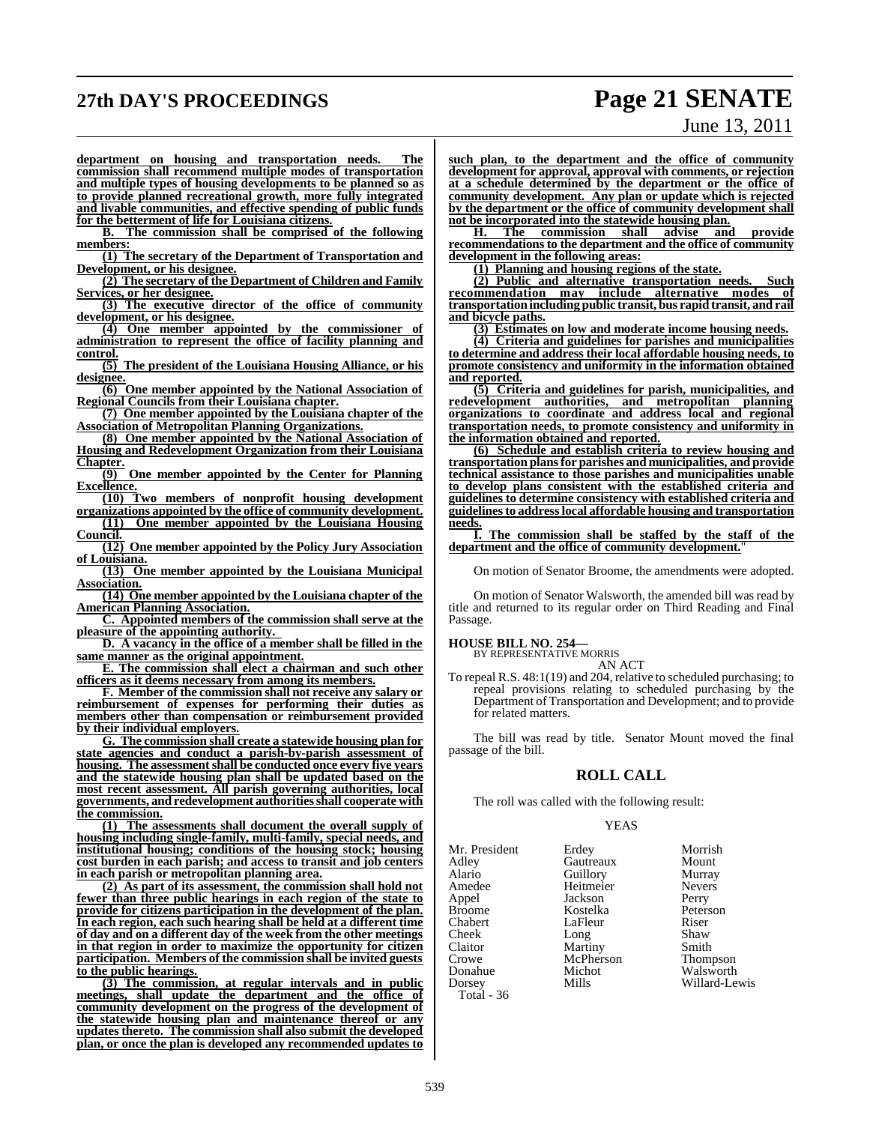### **27th DAY'S PROCEEDINGS Page 21 SENATE**

# June 13, 2011

**department on housing and transportation needs. The commission shall recommend multiple modes of transportation and multiple types of housing developments to be planned so as to provide planned recreational growth, more fully integrated and livable communities, and effective spending of public funds for the betterment of life for Louisiana citizens.**

**B. The commission shall be comprised of the following members:**

**(1) The secretary of the Department of Transportation and Development, or his designee.**

**(2) The secretary of the Department of Children and Family Services, or her designee.**

**(3) The executive director of the office of community development, or his designee.**

**(4) One member appointed by the commissioner of administration to represent the office of facility planning and control.**

**(5) The president of the Louisiana Housing Alliance, or his designee.**

**(6) One member appointed by the National Association of Regional Councils from their Louisiana chapter.**

**(7) One member appointed by the Louisiana chapter of the Association of Metropolitan Planning Organizations.**

**(8) One member appointed by the National Association of Housing and Redevelopment Organization from their Louisiana Chapter.**

**(9) One member appointed by the Center for Planning Excellence.**

**(10) Two members of nonprofit housing development organizations appointed by the office of community development.**

**(11) One member appointed by the Louisiana Housing Council.** 

**(12) One member appointed by the Policy Jury Association of Louisiana.**

**(13) One member appointed by the Louisiana Municipal Association.**

**(14) One member appointed by the Louisiana chapter of the American Planning Association.**

**C. Appointed members of the commission shall serve at the pleasure of the appointing authority.** 

**D. A vacancy in the office of a member shall be filled in the same manner as the original appointment.**

**E. The commission shall elect a chairman and such other officers as it deems necessary from among its members.**

**F. Member of the commission shall not receive any salary or reimbursement of expenses for performing their duties as members other than compensation or reimbursement provided by their individual employers.**

**G. The commission shall create a statewide housing plan for state agencies and conduct a parish-by-parish assessment of housing. The assessment shall be conducted once every five years and the statewide housing plan shall be updated based on the most recent assessment. All parish governing authorities, local governments, and redevelopment authoritiesshall cooperate with the commission.**

**(1) The assessments shall document the overall supply of housing including single-family, multi-family, special needs, and institutional housing; conditions of the housing stock; housing cost burden in each parish; and access to transit and job centers in each parish or metropolitan planning area.**

**(2) As part of its assessment, the commission shall hold not fewer than three public hearings in each region of the state to provide for citizens participation in the development of the plan. In each region, each such hearing shall be held at a different time of day and on a different day of the week from the other meetings in that region in order to maximize the opportunity for citizen participation. Members of the commission shall be invited guests to the public hearings.**

**(3) The commission, at regular intervals and in public meetings, shall update the department and the office of community development on the progress of the development of the statewide housing plan and maintenance thereof or any updates thereto. The commission shall also submit the developed plan, or once the plan is developed any recommended updates to**

**such plan, to the department and the office of community development for approval, approval with comments, or rejection at a schedule determined by the department or the office of community development. Any plan or update which is rejected by the department or the office of community development shall not be incorporated into the statewide housing plan.**

**H. The commission shall advise and provide recommendations to the department and the office of community development in the following areas:**

**(1) Planning and housing regions of the state.**

**(2) Public and alternative transportation needs. Such recommendation may include alternative modes of transportationincluding public transit, bus rapid transit, and rail and bicycle paths.**

**(3) Estimates on low and moderate income housing needs.**

**(4) Criteria and guidelines for parishes and municipalities to determine and address their local affordable housing needs, to promote consistency and uniformity in the information obtained and reported.**

**(5) Criteria and guidelines for parish, municipalities, and redevelopment authorities, and metropolitan planning organizations to coordinate and address local and regional transportation needs, to promote consistency and uniformity in the information obtained and reported.**

**(6) Schedule and establish criteria to review housing and transportation plansfor parishes and municipalities, and provide technical assistance to those parishes and municipalities unable to develop plans consistent with the established criteria and guidelines to determine consistency with established criteria and guidelinesto addresslocal affordable housing and transportation needs.**

**I. The commission shall be staffed by the staff of the department and the office of community development.**"

On motion of Senator Broome, the amendments were adopted.

On motion of Senator Walsworth, the amended bill was read by title and returned to its regular order on Third Reading and Final Passage.

**HOUSE BILL NO. 254—** BY REPRESENTATIVE MORRIS

AN ACT

To repeal R.S. 48:1(19) and 204, relative to scheduled purchasing; to repeal provisions relating to scheduled purchasing by the Department of Transportation and Development; and to provide for related matters.

The bill was read by title. Senator Mount moved the final passage of the bill.

#### **ROLL CALL**

The roll was called with the following result:

#### YEAS

| Mr. President | Erdey     | Morrish         |
|---------------|-----------|-----------------|
| Adley         | Gautreaux | Mount           |
| Alario        | Guillory  | Murray          |
| Amedee        | Heitmeier | <b>Nevers</b>   |
| Appel         | Jackson   | Perry           |
| <b>Broome</b> | Kostelka  | Peterson        |
| Chabert       | LaFleur   | Riser           |
| Cheek         | Long      | Shaw            |
| Claitor       | Martiny   | Smith           |
| Crowe         | McPherson | <b>Thompson</b> |
| Donahue       | Michot    | Walsworth       |
| Dorsey        | Mills     | Willard-Lewis   |
| Total - 36    |           |                 |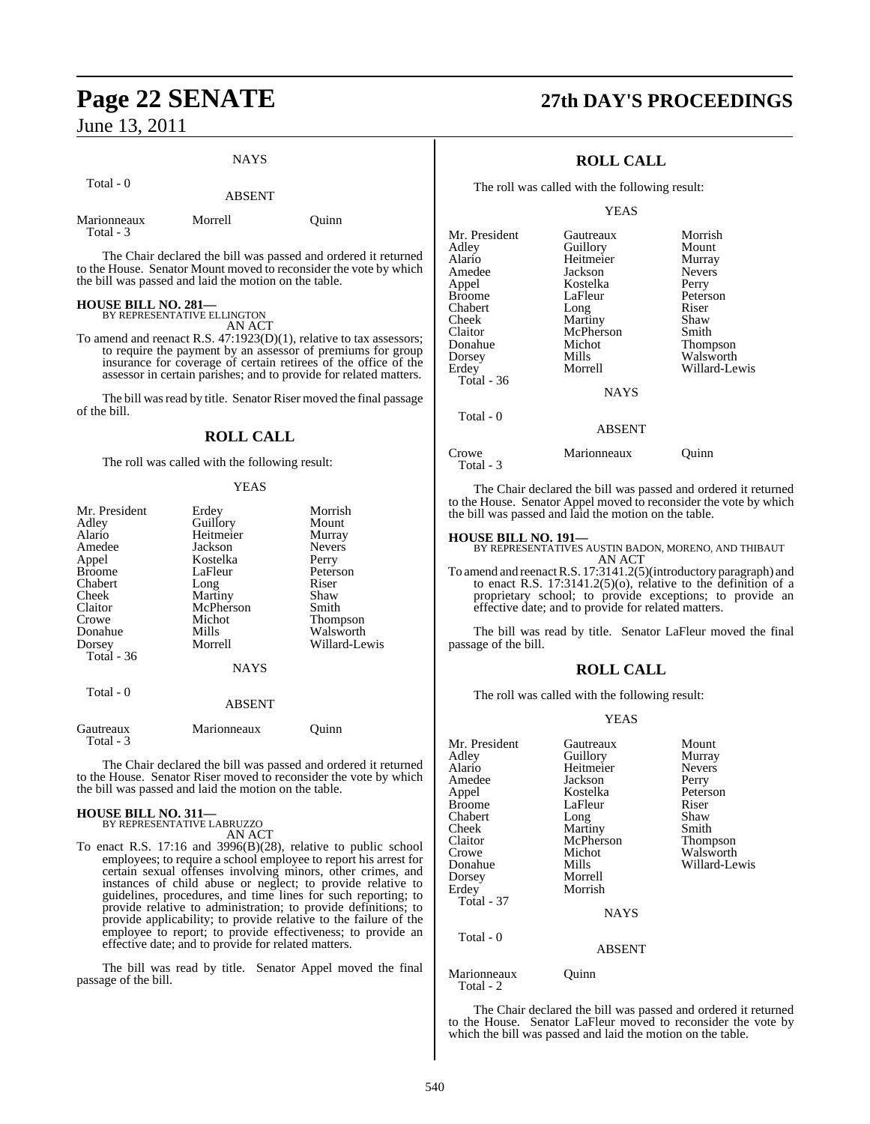Total - 0

### NAYS

|                          | <b>ABSENT</b> |  |
|--------------------------|---------------|--|
| Marionneaux<br>Total - 3 | Morrell       |  |

The Chair declared the bill was passed and ordered it returned to the House. Senator Mount moved to reconsider the vote by which the bill was passed and laid the motion on the table.

Quinn

## **HOUSE BILL NO. 281—** BY REPRESENTATIVE ELLINGTON

AN ACT

To amend and reenact R.S. 47:1923(D)(1), relative to tax assessors; to require the payment by an assessor of premiums for group insurance for coverage of certain retirees of the office of the assessor in certain parishes; and to provide for related matters.

The bill was read by title. Senator Riser moved the final passage of the bill.

### **ROLL CALL**

The roll was called with the following result:

### YEAS

| Mr. President<br>Adley<br>Alario<br>Amedee<br>Appel<br>Broome<br>Chabert<br>Cheek<br>Claitor<br>Crowe<br>Donahue<br>Dorsey<br><b>Total - 36</b> | Erdey<br>Guillory<br>Heitmeier<br>Jackson<br>Kostelka<br>LaFleur<br>Long<br>Martiny<br>McPherson<br>Michot<br>Mills<br>Morrell<br><b>NAYS</b> | Morrish<br>Mount<br>Murray<br><b>Nevers</b><br>Perry<br>Peterson<br>Riser<br>Shaw<br>Smith<br><b>Thompson</b><br>Walsworth<br>Willard-Lewis |
|-------------------------------------------------------------------------------------------------------------------------------------------------|-----------------------------------------------------------------------------------------------------------------------------------------------|---------------------------------------------------------------------------------------------------------------------------------------------|
| Total - 0                                                                                                                                       | <b>ABSENT</b>                                                                                                                                 |                                                                                                                                             |
| Gautreaux                                                                                                                                       | Marionneaux                                                                                                                                   | Ouinn                                                                                                                                       |

The Chair declared the bill was passed and ordered it returned to the House. Senator Riser moved to reconsider the vote by which the bill was passed and laid the motion on the table.

## **HOUSE BILL NO. 311—** BY REPRESENTATIVE LABRUZZO

Total - 3

AN ACT

To enact R.S. 17:16 and 3996(B)(28), relative to public school employees; to require a school employee to report his arrest for certain sexual offenses involving minors, other crimes, and instances of child abuse or neglect; to provide relative to guidelines, procedures, and time lines for such reporting; to provide relative to administration; to provide definitions; to provide applicability; to provide relative to the failure of the employee to report; to provide effectiveness; to provide an effective date; and to provide for related matters.

The bill was read by title. Senator Appel moved the final passage of the bill.

## **Page 22 SENATE 27th DAY'S PROCEEDINGS**

### **ROLL CALL**

The roll was called with the following result:

#### YEAS

| Mr. President | Gautreaux   | Morrish       |
|---------------|-------------|---------------|
| Adley         | Guillory    | Mount         |
| Alario        | Heitmeier   | Murray        |
| Amedee        | Jackson     | <b>Nevers</b> |
| Appel         | Kostelka    | Perry         |
| <b>Broome</b> | LaFleur     | Peterson      |
| Chabert       | Long        | Riser         |
| <b>Cheek</b>  | Martiny     | Shaw          |
| Claitor       | McPherson   | Smith         |
| Donahue       | Michot      | Thompson      |
| Dorsey        | Mills       | Walsworth     |
| Erdey         | Morrell     | Willard-Lewis |
| Total - 36    |             |               |
|               | <b>NAYS</b> |               |
| Total - 0     |             |               |
|               | ABSENT      |               |

Crowe Marionneaux Quinn Total - 3

The Chair declared the bill was passed and ordered it returned to the House. Senator Appel moved to reconsider the vote by which the bill was passed and laid the motion on the table.

### **HOUSE BILL NO. 191—**

BY REPRESENTATIVES AUSTIN BADON, MORENO, AND THIBAUT AN ACT

To amend and reenact R.S. 17:3141.2(5)(introductory paragraph) and to enact R.S. 17:3141.2(5)(o), relative to the definition of a proprietary school; to provide exceptions; to provide an effective date; and to provide for related matters.

The bill was read by title. Senator LaFleur moved the final passage of the bill.

### **ROLL CALL**

The roll was called with the following result:

#### YEAS

| Mr. President<br>Adley<br>Alario | Gautreaux<br>Guillory<br>Heitmeier | Mount<br>Murray<br><b>Nevers</b> |
|----------------------------------|------------------------------------|----------------------------------|
| Amedee                           | Jackson                            | Perry                            |
| Appel                            | Kostelka                           | Peterson                         |
| <b>Broome</b>                    | LaFleur                            | Riser                            |
| Chabert                          | Long                               | Shaw                             |
| Cheek                            | Martiny                            | Smith                            |
| Claitor                          | McPherson                          | Thompson                         |
| Crowe                            | Michot                             | Walsworth                        |
| Donahue                          | Mills                              | Willard-Lewis                    |
| Dorsey                           | Morrell                            |                                  |
| Erdey                            | Morrish                            |                                  |
| Total - 37                       |                                    |                                  |
|                                  | <b>NAYS</b>                        |                                  |
| Total - 0                        |                                    |                                  |
|                                  | <b>ABSENT</b>                      |                                  |
| Marionneaux<br>Total - 2         | Juınn                              |                                  |

The Chair declared the bill was passed and ordered it returned to the House. Senator LaFleur moved to reconsider the vote by which the bill was passed and laid the motion on the table.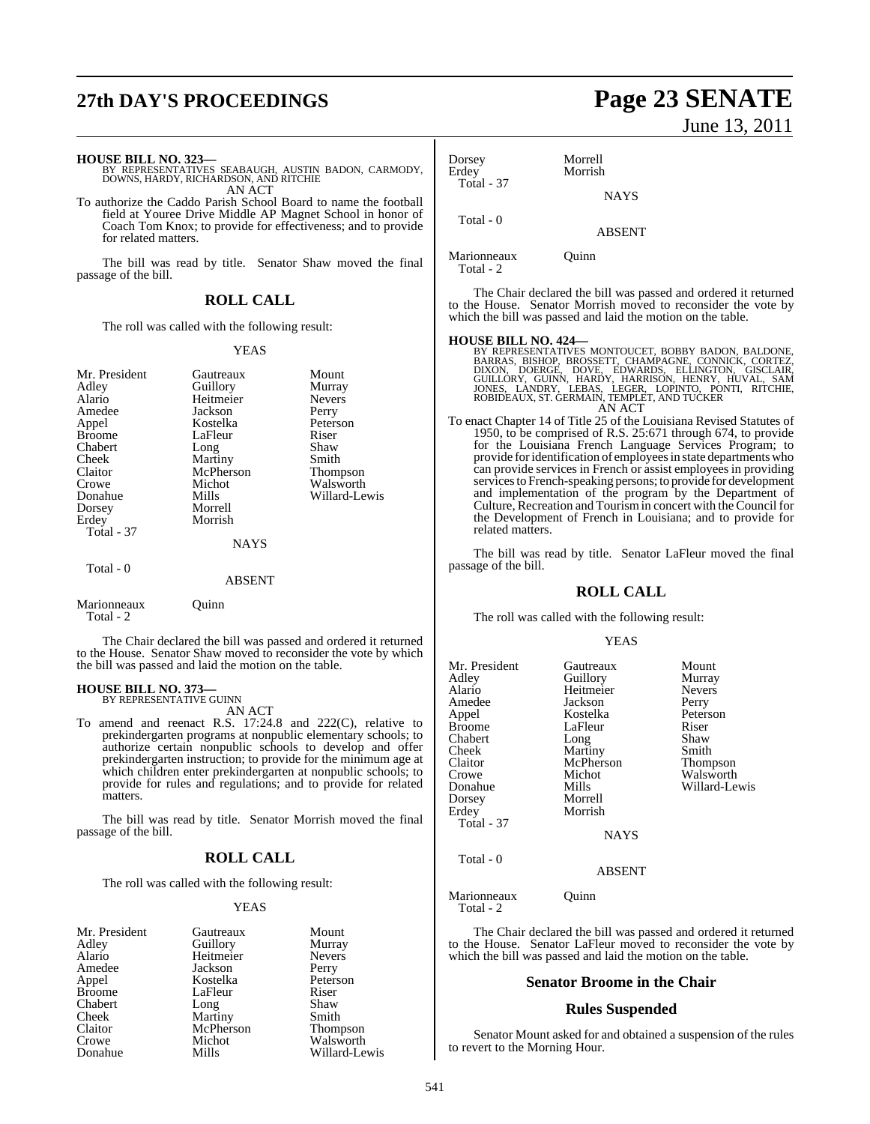## **27th DAY'S PROCEEDINGS Page 23 SENATE**

**HOUSE BILL NO. 323—** BY REPRESENTATIVES SEABAUGH, AUSTIN BADON, CARMODY, DOWNS, HARDY, RICHARDSON, AND RITCHIE AN ACT

To authorize the Caddo Parish School Board to name the football field at Youree Drive Middle AP Magnet School in honor of Coach Tom Knox; to provide for effectiveness; and to provide for related matters.

The bill was read by title. Senator Shaw moved the final passage of the bill.

#### **ROLL CALL**

The roll was called with the following result:

#### YEAS

| Mr. President<br>Adley<br>Alario<br>Amedee<br>Appel<br><b>Broome</b><br>Chabert<br>Cheek<br>Claitor<br>Crowe<br>Donahue<br>Dorsey | Gautreaux<br>Guillory<br>Heitmeier<br>Jackson<br>Kostelka<br>LaFleur<br>Long<br>Martiny<br>McPherson<br>Michot<br>Mills<br>Morrell | Mount<br>Murray<br><b>Nevers</b><br>Perry<br>Peterson<br>Riser<br>Shaw<br>Smith<br><b>Thompson</b><br>Walsworth<br>Willard-Lewis |
|-----------------------------------------------------------------------------------------------------------------------------------|------------------------------------------------------------------------------------------------------------------------------------|----------------------------------------------------------------------------------------------------------------------------------|
| Erdey                                                                                                                             | Morrish                                                                                                                            |                                                                                                                                  |
| Total - 37                                                                                                                        |                                                                                                                                    |                                                                                                                                  |
|                                                                                                                                   | NAYS                                                                                                                               |                                                                                                                                  |
| Total - 0                                                                                                                         | <b>ABSENT</b>                                                                                                                      |                                                                                                                                  |
|                                                                                                                                   |                                                                                                                                    |                                                                                                                                  |

Marionneaux Quinn Total - 2

The Chair declared the bill was passed and ordered it returned to the House. Senator Shaw moved to reconsider the vote by which the bill was passed and laid the motion on the table.

#### **HOUSE BILL NO. 373—** BY REPRESENTATIVE GUINN

AN ACT

To amend and reenact R.S. 17:24.8 and 222(C), relative to prekindergarten programs at nonpublic elementary schools; to authorize certain nonpublic schools to develop and offer prekindergarten instruction; to provide for the minimum age at which children enter prekindergarten at nonpublic schools; to provide for rules and regulations; and to provide for related matters.

The bill was read by title. Senator Morrish moved the final passage of the bill.

### **ROLL CALL**

The roll was called with the following result:

#### YEAS

| Mr. President | Gautreaux | Mount         |
|---------------|-----------|---------------|
| Adley         | Guillory  | Murray        |
| Alario        | Heitmeier | <b>Nevers</b> |
| Amedee        | Jackson   | Perry         |
| Appel         | Kostelka  | Peterson      |
| <b>Broome</b> | LaFleur   | Riser         |
| Chabert       | Long      | Shaw          |
| Cheek         | Martiny   | Smith         |
| Claitor       | McPherson | Thompson      |
| Crowe         | Michot    | Walsworth     |
| Donahue       | Mills     | Willard-Lewis |

# June 13, 2011

Dorsey Morrell Morrish Total - 37 **NAYS**  Total - 0 ABSENT

Marionneaux Quinn Total - 2

The Chair declared the bill was passed and ordered it returned to the House. Senator Morrish moved to reconsider the vote by which the bill was passed and laid the motion on the table.

- **HOUSE BILL NO. 424—**<br>BY REPRESENTATIVES MONTOUCET, BOBBY BADON, BALDONE, BARRAS, BISHOP, BROSSETT, CHAMPAGNE, CONNICK, CORTEZ,<br>DIXON, DOERGE, DOVE, EDWARDS, ELLINGTON, GISCLAIR,<br>GUILLORY, GUINN, HARDY, HARRISON, HENRY, HU AN ACT
- To enact Chapter 14 of Title 25 of the Louisiana Revised Statutes of 1950, to be comprised of R.S. 25:671 through 674, to provide for the Louisiana French Language Services Program; to provide for identification of employees in state departments who can provide services in French or assist employees in providing services to French-speaking persons; to provide for development and implementation of the program by the Department of Culture, Recreation and Tourismin concert with the Council for the Development of French in Louisiana; and to provide for related matters.

The bill was read by title. Senator LaFleur moved the final passage of the bill.

#### **ROLL CALL**

The roll was called with the following result:

#### YEAS

| Mr. President | Gautreaux   | Mount         |
|---------------|-------------|---------------|
| Adley         | Guillory    | Murray        |
|               |             |               |
| Alario        | Heitmeier   | <b>Nevers</b> |
| Amedee        | Jackson     | Perry         |
| Appel         | Kostelka    | Peterson      |
| Broome        | LaFleur     | Riser         |
| Chabert       | Long        | Shaw          |
| Cheek         | Martiny     | Smith         |
| Claitor       | McPherson   | Thompson      |
| Crowe         | Michot      | Walsworth     |
| Donahue       | Mills       | Willard-Lewis |
| Dorsey        | Morrell     |               |
| Erdey         | Morrish     |               |
| Total - 37    |             |               |
|               | <b>NAYS</b> |               |
| Total - 0     |             |               |

#### ABSENT

Marionneaux Quinn Total - 2

The Chair declared the bill was passed and ordered it returned to the House. Senator LaFleur moved to reconsider the vote by which the bill was passed and laid the motion on the table.

#### **Senator Broome in the Chair**

#### **Rules Suspended**

Senator Mount asked for and obtained a suspension of the rules to revert to the Morning Hour.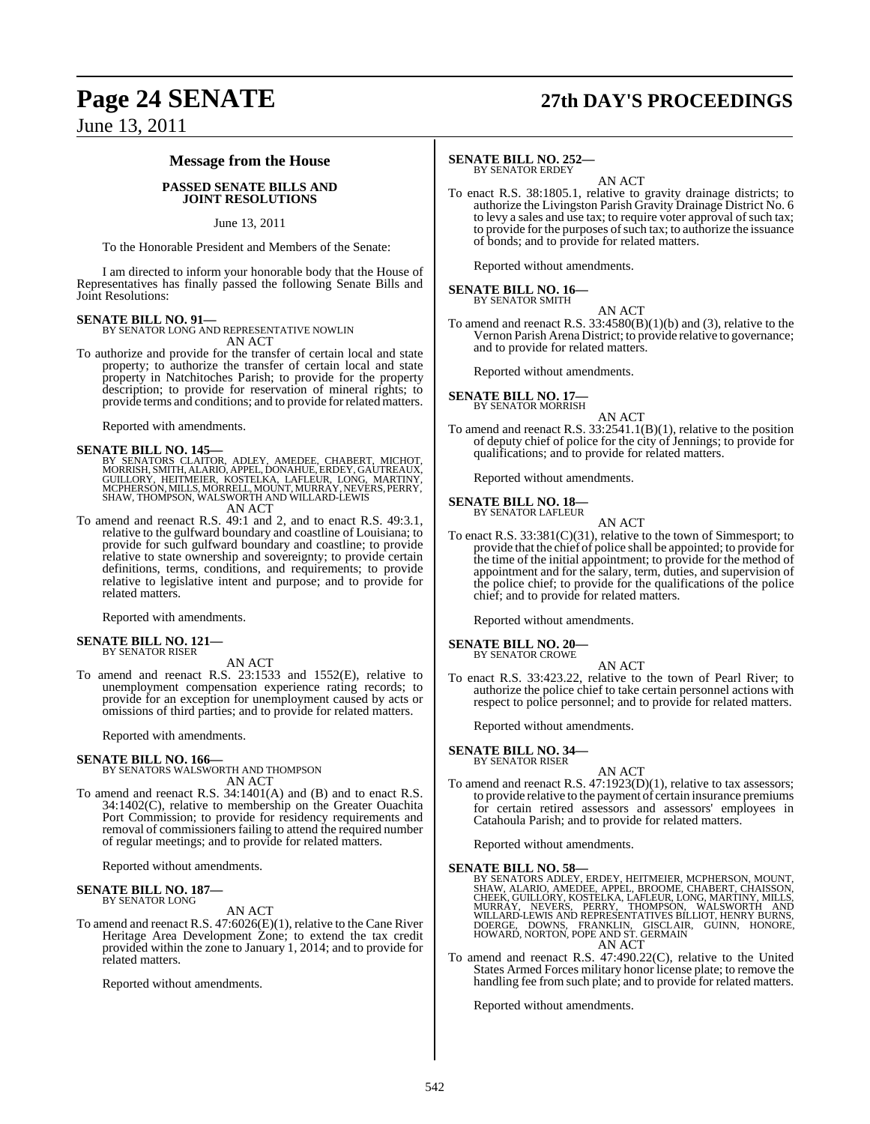## **Page 24 SENATE 27th DAY'S PROCEEDINGS**

### June 13, 2011

#### **Message from the House**

#### **PASSED SENATE BILLS AND JOINT RESOLUTIONS**

#### June 13, 2011

To the Honorable President and Members of the Senate:

I am directed to inform your honorable body that the House of Representatives has finally passed the following Senate Bills and Joint Resolutions:

**SENATE BILL NO. 91—** BY SENATOR LONG AND REPRESENTATIVE NOWLIN AN ACT

To authorize and provide for the transfer of certain local and state property; to authorize the transfer of certain local and state property in Natchitoches Parish; to provide for the property description; to provide for reservation of mineral rights; to provide terms and conditions; and to provide forrelated matters.

Reported with amendments.

SENATE BILL NO. 145—<br>BY SENATORS CLAITOR, ADLEY, AMEDEE, CHABERT, MICHOT,<br>MORRISH, SMITH, ALARIO, APPEL, DONAHUE, ERDEY, GAUTREAUX,<br>GUILLORY, HEITMEIER, KOSTELKA, LAFLEUR, LONG, MARTINY,<br>MCPHERSON, MILLS, MORRELL, MOUNT, M AN ACT

To amend and reenact R.S. 49:1 and 2, and to enact R.S. 49:3.1, relative to the gulfward boundary and coastline of Louisiana; to provide for such gulfward boundary and coastline; to provide relative to state ownership and sovereignty; to provide certain definitions, terms, conditions, and requirements; to provide relative to legislative intent and purpose; and to provide for related matters.

Reported with amendments.

#### **SENATE BILL NO. 121—** BY SENATOR RISER

AN ACT

To amend and reenact R.S. 23:1533 and 1552(E), relative to unemployment compensation experience rating records; to provide for an exception for unemployment caused by acts or omissions of third parties; and to provide for related matters.

Reported with amendments.

**SENATE BILL NO. 166—** BY SENATORS WALSWORTH AND THOMPSON AN ACT

To amend and reenact R.S. 34:1401(A) and (B) and to enact R.S. 34:1402(C), relative to membership on the Greater Ouachita Port Commission; to provide for residency requirements and removal of commissioners failing to attend the required number of regular meetings; and to provide for related matters.

Reported without amendments.

#### **SENATE BILL NO. 187—** BY SENATOR LONG

AN ACT

To amend and reenact R.S. 47:6026(E)(1), relative to the Cane River Heritage Area Development Zone; to extend the tax credit provided within the zone to January 1, 2014; and to provide for related matters.

Reported without amendments.

#### **SENATE BILL NO. 252—**

BY SENATOR ERDEY AN ACT

To enact R.S. 38:1805.1, relative to gravity drainage districts; to authorize the Livingston Parish Gravity Drainage District No. 6 to levy a sales and use tax; to require voter approval of such tax; to provide for the purposes ofsuch tax; to authorize the issuance of bonds; and to provide for related matters.

Reported without amendments.

### **SENATE BILL NO. 16—** BY SENATOR SMITH

AN ACT To amend and reenact R.S. 33:4580(B)(1)(b) and (3), relative to the Vernon Parish Arena District; to provide relative to governance; and to provide for related matters.

Reported without amendments.

#### **SENATE BILL NO. 17—**

BY SENATOR MORRISH AN ACT

To amend and reenact R.S. 33:2541.1(B)(1), relative to the position of deputy chief of police for the city of Jennings; to provide for qualifications; and to provide for related matters.

Reported without amendments.

### **SENATE BILL NO. 18—** BY SENATOR LAFLEUR

AN ACT

To enact R.S. 33:381(C)(31), relative to the town of Simmesport; to provide that the chief of police shall be appointed; to provide for the time of the initial appointment; to provide for the method of appointment and for the salary, term, duties, and supervision of the police chief; to provide for the qualifications of the police chief; and to provide for related matters.

Reported without amendments.

#### **SENATE BILL NO. 20—** BY SENATOR CROWE

- AN ACT
- To enact R.S. 33:423.22, relative to the town of Pearl River; to authorize the police chief to take certain personnel actions with respect to police personnel; and to provide for related matters.

Reported without amendments.

#### **SENATE BILL NO. 34—** BY SENATOR RISER

AN ACT

To amend and reenact R.S. 47:1923(D)(1), relative to tax assessors; to provide relative to the payment of certain insurance premiums for certain retired assessors and assessors' employees in Catahoula Parish; and to provide for related matters.

Reported without amendments.

**SENATE BILL NO. 58—**<br>BY SENATORS ADLEY, ERDEY, HEITMEIER, MCPHERSON, MOUNT, SHAW, ALARIO, AMEDEE, APPEL, BROOME, CHABERT, CHAISSON,<br>CHEEK, GUILLORY, KOSTELKA, LAFLEUR, LONG, MARTINY, MILLS,<br>MURRAY, NEVERS, PERRY, THOMPSON AN ACT

To amend and reenact R.S. 47:490.22(C), relative to the United States Armed Forces military honor license plate; to remove the handling fee from such plate; and to provide for related matters.

Reported without amendments.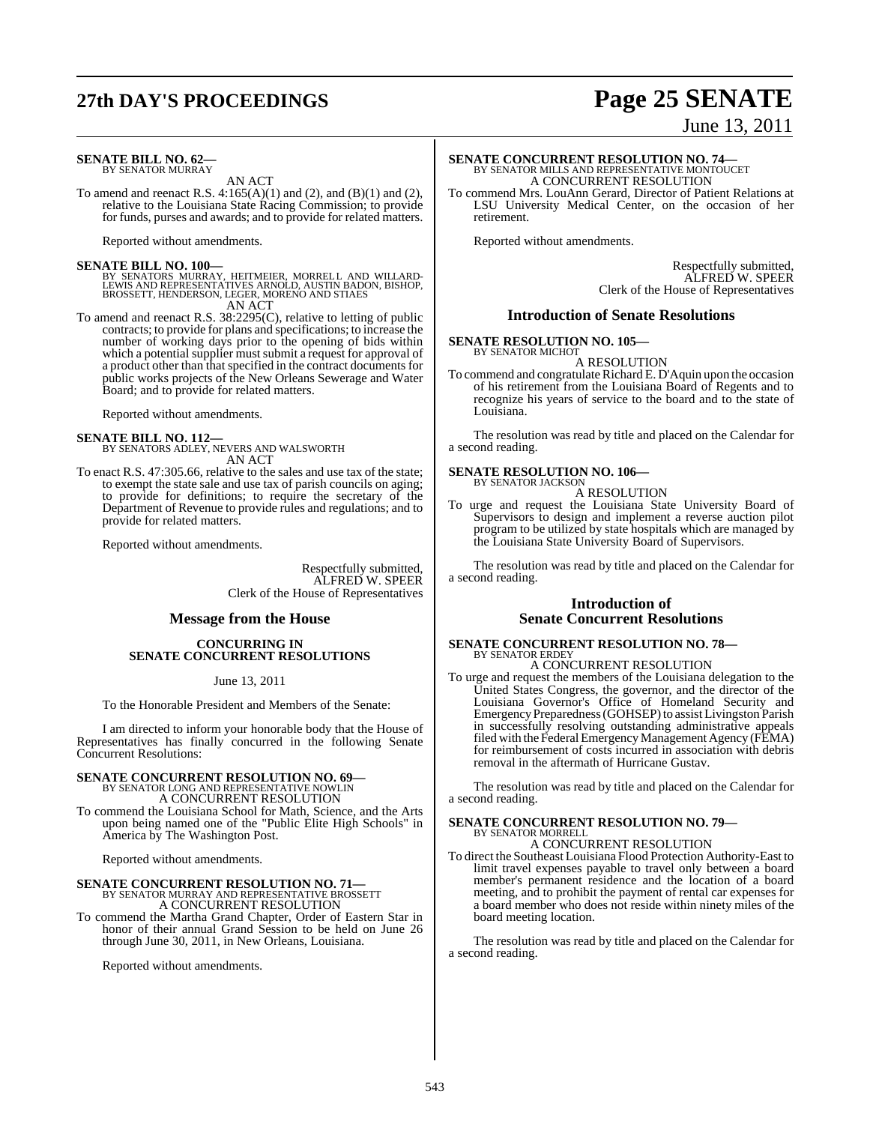## **27th DAY'S PROCEEDINGS Page 25 SENATE**

#### **SENATE BILL NO. 62—** BY SENATOR MURRAY

AN ACT

To amend and reenact R.S.  $4:165(A)(1)$  and (2), and (B)(1) and (2), relative to the Louisiana State Racing Commission; to provide for funds, purses and awards; and to provide for related matters.

Reported without amendments.

#### **SENATE BILL NO. 100—**

BY SENATORS MURRAY, HEITMEIER, MORRELL AND WILLARD-<br>LEWIS AND REPRESENTATIVES ARNOLD, AUSTIN BADON, BISHOP,<br>BROSSETT, HENDERSON, LEGER, MORENO AND STIAES AN ACT

To amend and reenact R.S. 38:2295(C), relative to letting of public contracts; to provide for plans and specifications; to increase the number of working days prior to the opening of bids within which a potential supplier must submit a request for approval of a product other than that specified in the contract documents for public works projects of the New Orleans Sewerage and Water Board; and to provide for related matters.

Reported without amendments.

### **SENATE BILL NO. 112—**

BY SENATORS ADLEY, NEVERS AND WALSWORTH AN ACT

To enact R.S. 47:305.66, relative to the sales and use tax of the state; to exempt the state sale and use tax of parish councils on aging; to provide for definitions; to require the secretary of the Department of Revenue to provide rules and regulations; and to provide for related matters.

Reported without amendments.

Respectfully submitted, ALFRED W. SPEER Clerk of the House of Representatives

#### **Message from the House**

#### **CONCURRING IN SENATE CONCURRENT RESOLUTIONS**

June 13, 2011

To the Honorable President and Members of the Senate:

I am directed to inform your honorable body that the House of Representatives has finally concurred in the following Senate Concurrent Resolutions:

# **SENATE CONCURRENT RESOLUTION NO. 69—**<br>BY SENATOR LONG AND REPRESENTATIVE NOWLIN<br>A CONCURRENT RESOLUTION

To commend the Louisiana School for Math, Science, and the Arts upon being named one of the "Public Elite High Schools" in America by The Washington Post.

Reported without amendments.

### **SENATE CONCURRENT RESOLUTION NO. 71—** BY SENATOR MURRAY AND REPRESENTATIVE BROSSETT A CONCURRENT RESOLUTION

To commend the Martha Grand Chapter, Order of Eastern Star in honor of their annual Grand Session to be held on June 26 through June 30, 2011, in New Orleans, Louisiana.

Reported without amendments.

# **SENATE CONCURRENT RESOLUTION NO. 74—**<br>BY SENATOR MILLS AND REPRESENTATIVE MONTOUCET<br>A CONCURRENT RESOLUTION

To commend Mrs. LouAnn Gerard, Director of Patient Relations at LSU University Medical Center, on the occasion of her retirement.

Reported without amendments.

Respectfully submitted, ALFRED W. SPEER Clerk of the House of Representatives

#### **Introduction of Senate Resolutions**

#### **SENATE RESOLUTION NO. 105—**

BY SENATOR MICHOT A RESOLUTION

To commend and congratulate Richard E. D'Aquin upon the occasion of his retirement from the Louisiana Board of Regents and to recognize his years of service to the board and to the state of Louisiana.

The resolution was read by title and placed on the Calendar for a second reading.

#### **SENATE RESOLUTION NO. 106—**

BY SENATOR JACKSON A RESOLUTION

To urge and request the Louisiana State University Board of Supervisors to design and implement a reverse auction pilot program to be utilized by state hospitals which are managed by the Louisiana State University Board of Supervisors.

The resolution was read by title and placed on the Calendar for a second reading.

#### **Introduction of Senate Concurrent Resolutions**

#### **SENATE CONCURRENT RESOLUTION NO. 78—** BY SENATOR ERDEY A CONCURRENT RESOLUTION

To urge and request the members of the Louisiana delegation to the United States Congress, the governor, and the director of the Louisiana Governor's Office of Homeland Security and Emergency Preparedness (GOHSEP) to assist Livingston Parish in successfully resolving outstanding administrative appeals filed with the Federal Emergency Management Agency (FEMA) for reimbursement of costs incurred in association with debris removal in the aftermath of Hurricane Gustav.

The resolution was read by title and placed on the Calendar for a second reading.

#### **SENATE CONCURRENT RESOLUTION NO. 79—** BY SENATOR MORRELL

A CONCURRENT RESOLUTION

To direct the Southeast Louisiana Flood Protection Authority-East to limit travel expenses payable to travel only between a board member's permanent residence and the location of a board meeting, and to prohibit the payment of rental car expenses for a board member who does not reside within ninety miles of the board meeting location.

The resolution was read by title and placed on the Calendar for a second reading.

543

# June 13, 2011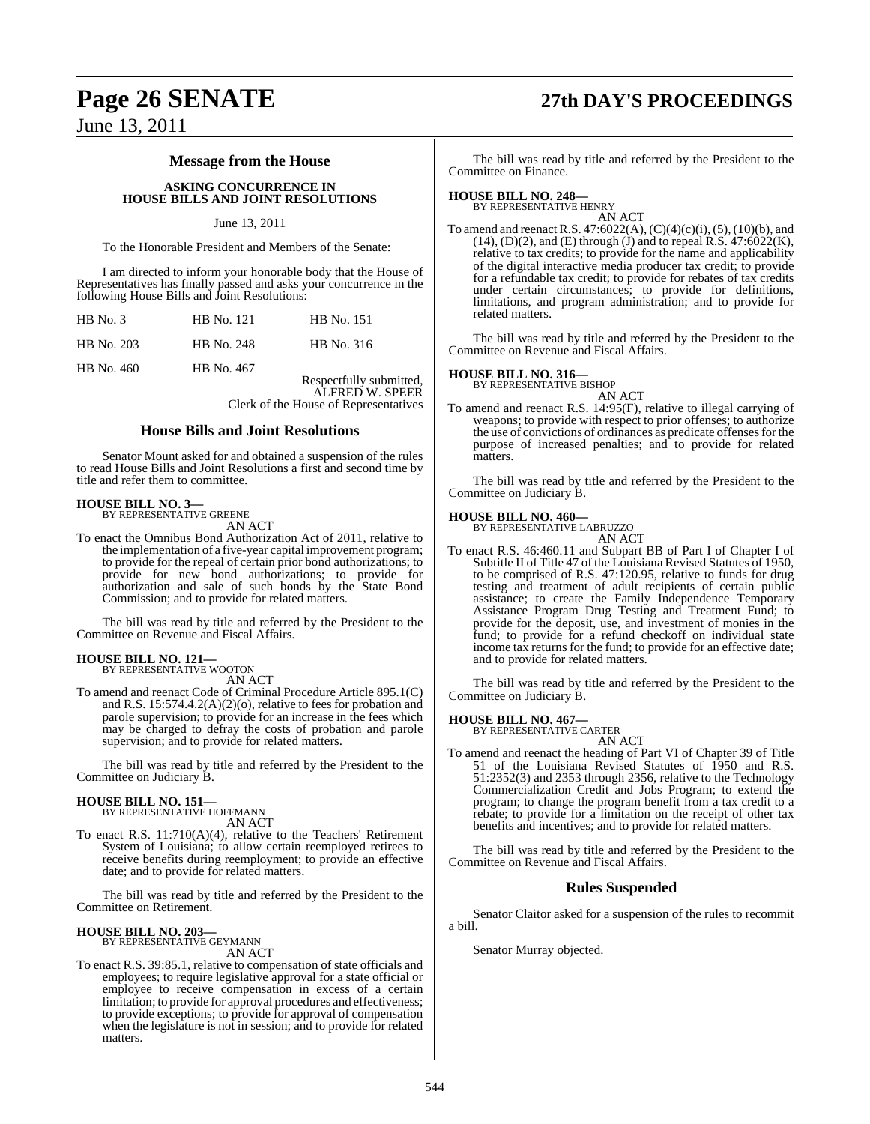## **Page 26 SENATE 27th DAY'S PROCEEDINGS**

June 13, 2011

#### **Message from the House**

#### **ASKING CONCURRENCE IN HOUSE BILLS AND JOINT RESOLUTIONS**

#### June 13, 2011

To the Honorable President and Members of the Senate:

I am directed to inform your honorable body that the House of Representatives has finally passed and asks your concurrence in the following House Bills and Joint Resolutions:

| <b>HB</b> No. 121 | <b>HB</b> No. 151 |
|-------------------|-------------------|
| HB No. 248        | HB No. 316        |
| HB No. 467        | Respectfully sub  |
|                   |                   |

mitted, ALFRED W. SPEER Clerk of the House of Representatives

#### **House Bills and Joint Resolutions**

Senator Mount asked for and obtained a suspension of the rules to read House Bills and Joint Resolutions a first and second time by title and refer them to committee.

#### **HOUSE BILL NO. 3—** BY REPRESENTATIVE GREENE

AN ACT

To enact the Omnibus Bond Authorization Act of 2011, relative to the implementation of a five-year capital improvement program; to provide for the repeal of certain prior bond authorizations; to provide for new bond authorizations; to provide for authorization and sale of such bonds by the State Bond Commission; and to provide for related matters.

The bill was read by title and referred by the President to the Committee on Revenue and Fiscal Affairs.

#### **HOUSE BILL NO. 121—**

BY REPRESENTATIVE WOOTON AN ACT

To amend and reenact Code of Criminal Procedure Article 895.1(C) and R.S. 15:574.4.2(A)(2)(o), relative to fees for probation and parole supervision; to provide for an increase in the fees which may be charged to defray the costs of probation and parole supervision; and to provide for related matters.

The bill was read by title and referred by the President to the Committee on Judiciary B.

## **HOUSE BILL NO. 151—** BY REPRESENTATIVE HOFFMANN

AN ACT

To enact R.S. 11:710(A)(4), relative to the Teachers' Retirement System of Louisiana; to allow certain reemployed retirees to receive benefits during reemployment; to provide an effective date; and to provide for related matters.

The bill was read by title and referred by the President to the Committee on Retirement.

#### **HOUSE BILL NO. 203—**

BY REPRESENTATIVE GEYMANN AN ACT

To enact R.S. 39:85.1, relative to compensation of state officials and employees; to require legislative approval for a state official or employee to receive compensation in excess of a certain limitation; to provide for approval procedures and effectiveness; to provide exceptions; to provide for approval of compensation when the legislature is not in session; and to provide for related matters.

The bill was read by title and referred by the President to the Committee on Finance.

### **HOUSE BILL NO. 248—** BY REPRESENTATIVE HENRY

AN ACT To amend and reenactR.S. 47:6022(A), (C)(4)(c)(i), (5), (10)(b), and  $(14)$ ,  $(D)(2)$ , and  $(E)$  through  $(J)$  and to repeal R.S.  $47:6022(K)$ , relative to tax credits; to provide for the name and applicability of the digital interactive media producer tax credit; to provide for a refundable tax credit; to provide for rebates of tax credits under certain circumstances; to provide for definitions, limitations, and program administration; and to provide for related matters.

The bill was read by title and referred by the President to the Committee on Revenue and Fiscal Affairs.

## **HOUSE BILL NO. 316—** BY REPRESENTATIVE BISHOP

AN ACT To amend and reenact R.S. 14:95(F), relative to illegal carrying of weapons; to provide with respect to prior offenses; to authorize the use of convictions of ordinances as predicate offensesforthe purpose of increased penalties; and to provide for related matters.

The bill was read by title and referred by the President to the Committee on Judiciary B.

#### **HOUSE BILL NO. 460—**

BY REPRESENTATIVE LABRUZZO AN ACT

To enact R.S. 46:460.11 and Subpart BB of Part I of Chapter I of Subtitle II of Title 47 of the Louisiana Revised Statutes of 1950, to be comprised of R.S. 47:120.95, relative to funds for drug testing and treatment of adult recipients of certain public assistance; to create the Family Independence Temporary Assistance Program Drug Testing and Treatment Fund; to provide for the deposit, use, and investment of monies in the fund; to provide for a refund checkoff on individual state income tax returns for the fund; to provide for an effective date; and to provide for related matters.

The bill was read by title and referred by the President to the Committee on Judiciary B.

### **HOUSE BILL NO. 467—** BY REPRESENTATIVE CARTER

AN ACT

To amend and reenact the heading of Part VI of Chapter 39 of Title 51 of the Louisiana Revised Statutes of 1950 and R.S. 51:2352(3) and 2353 through 2356, relative to the Technology Commercialization Credit and Jobs Program; to extend the program; to change the program benefit from a tax credit to a rebate; to provide for a limitation on the receipt of other tax benefits and incentives; and to provide for related matters.

The bill was read by title and referred by the President to the Committee on Revenue and Fiscal Affairs.

### **Rules Suspended**

Senator Claitor asked for a suspension of the rules to recommit a bill.

Senator Murray objected.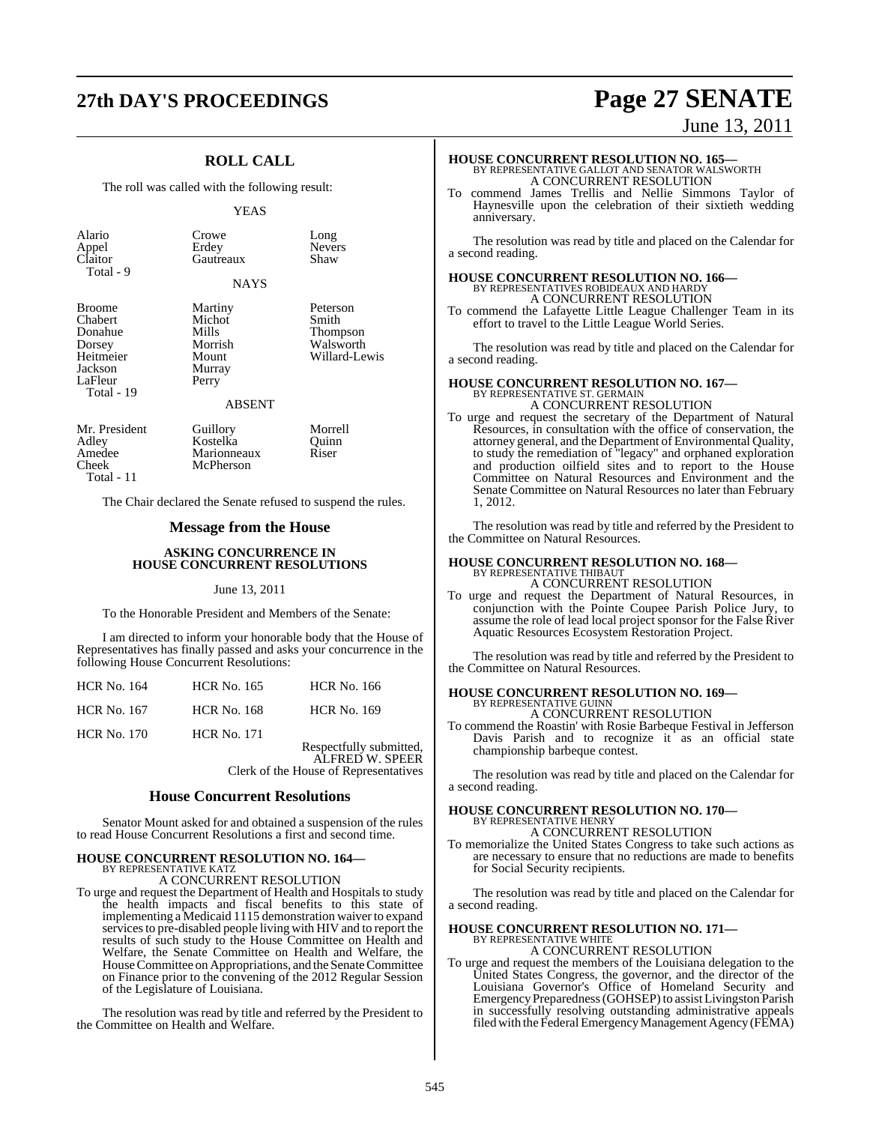### **27th DAY'S PROCEEDINGS Page 27 SENATE**

### **ROLL CALL**

The roll was called with the following result:

#### YEAS

| Alario<br>Appel<br>Claitor<br>Total - 9                                                 | Crowe<br>Erdey<br>Gautreaux                                                        | Long<br><b>Nevers</b><br>Shaw                               |
|-----------------------------------------------------------------------------------------|------------------------------------------------------------------------------------|-------------------------------------------------------------|
|                                                                                         | <b>NAYS</b>                                                                        |                                                             |
| Broome<br>Chabert<br>Donahue<br>Dorsey<br>Heitmeier<br>Jackson<br>LaFleur<br>Total - 19 | Martiny<br>Michot<br>Mills<br>Morrish<br>Mount<br>Murray<br>Perry<br><b>ABSENT</b> | Peterson<br>Smith<br>Thompson<br>Walsworth<br>Willard-Lewis |
| Mr. President<br>Adley<br>Amedee<br>Cheek                                               | Guillory<br>Kostelka<br>Marionneaux<br>McPherson                                   | Morrell<br>Ouinn<br>Riser                                   |

Total - 11

The Chair declared the Senate refused to suspend the rules.

#### **Message from the House**

#### **ASKING CONCURRENCE IN HOUSE CONCURRENT RESOLUTIONS**

#### June 13, 2011

To the Honorable President and Members of the Senate:

I am directed to inform your honorable body that the House of Representatives has finally passed and asks your concurrence in the following House Concurrent Resolutions:

| <b>HCR No. 164</b> | <b>HCR No. 165</b> | <b>HCR No. 166</b>      |
|--------------------|--------------------|-------------------------|
| <b>HCR No. 167</b> | <b>HCR No. 168</b> | <b>HCR No. 169</b>      |
| <b>HCR No. 170</b> | <b>HCR No. 171</b> | Respectfully submitted, |

ALFRED W. SPEER Clerk of the House of Representatives

#### **House Concurrent Resolutions**

Senator Mount asked for and obtained a suspension of the rules to read House Concurrent Resolutions a first and second time.

#### **HOUSE CONCURRENT RESOLUTION NO. 164—** BY REPRESENTATIVE KATZ

A CONCURRENT RESOLUTION

To urge and request the Department of Health and Hospitals to study the health impacts and fiscal benefits to this state of implementing a Medicaid 1115 demonstration waiver to expand services to pre-disabled people living with HIV and to report the results of such study to the House Committee on Health and Welfare, the Senate Committee on Health and Welfare, the HouseCommittee on Appropriations, and the Senate Committee on Finance prior to the convening of the 2012 Regular Session of the Legislature of Louisiana.

The resolution was read by title and referred by the President to the Committee on Health and Welfare.

June 13, 2011

# **HOUSE CONCURRENT RESOLUTION NO. 165—** BY REPRESENTATIVE GALLOT AND SENATOR WALSWORTH A CONCURRENT RESOLUTION

To commend James Trellis and Nellie Simmons Taylor of Haynesville upon the celebration of their sixtieth wedding anniversary.

The resolution was read by title and placed on the Calendar for a second reading.

## **HOUSE CONCURRENT RESOLUTION NO. 166—** BY REPRESENTATIVES ROBIDEAUX AND HARDY

A CONCURRENT RESOLUTION To commend the Lafayette Little League Challenger Team in its effort to travel to the Little League World Series.

The resolution was read by title and placed on the Calendar for a second reading.

#### **HOUSE CONCURRENT RESOLUTION NO. 167—** BY REPRESENTATIVE ST. GERMA A CONCURRENT RESOLUTION

To urge and request the secretary of the Department of Natural Resources, in consultation with the office of conservation, the attorney general, and the Department of Environmental Quality, to study the remediation of "legacy" and orphaned exploration and production oilfield sites and to report to the House Committee on Natural Resources and Environment and the Senate Committee on Natural Resources no later than February 1, 2012.

The resolution was read by title and referred by the President to the Committee on Natural Resources.

#### **HOUSE CONCURRENT RESOLUTION NO. 168—** BY REPRESENTATIVE THIBAUT A CONCURRENT RESOLUTION

To urge and request the Department of Natural Resources, in conjunction with the Pointe Coupee Parish Police Jury, to assume the role of lead local project sponsor for the False River Aquatic Resources Ecosystem Restoration Project.

The resolution was read by title and referred by the President to the Committee on Natural Resources.

#### **HOUSE CONCURRENT RESOLUTION NO. 169—** BY REPRESENTATIVE GUINN

A CONCURRENT RESOLUTION

To commend the Roastin' with Rosie Barbeque Festival in Jefferson Davis Parish and to recognize it as an official state championship barbeque contest.

The resolution was read by title and placed on the Calendar for a second reading.

### **HOUSE CONCURRENT RESOLUTION NO. 170—** BY REPRESENTATIVE HENRY

A CONCURRENT RESOLUTION

To memorialize the United States Congress to take such actions as are necessary to ensure that no reductions are made to benefits for Social Security recipients.

The resolution was read by title and placed on the Calendar for a second reading.

#### **HOUSE CONCURRENT RESOLUTION NO. 171—** BY REPRESENTATIVE WHITE

A CONCURRENT RESOLUTION

To urge and request the members of the Louisiana delegation to the United States Congress, the governor, and the director of the Louisiana Governor's Office of Homeland Security and Emergency Preparedness (GOHSEP) to assist Livingston Parish in successfully resolving outstanding administrative appeals filed with the FederalEmergencyManagement Agency (FEMA)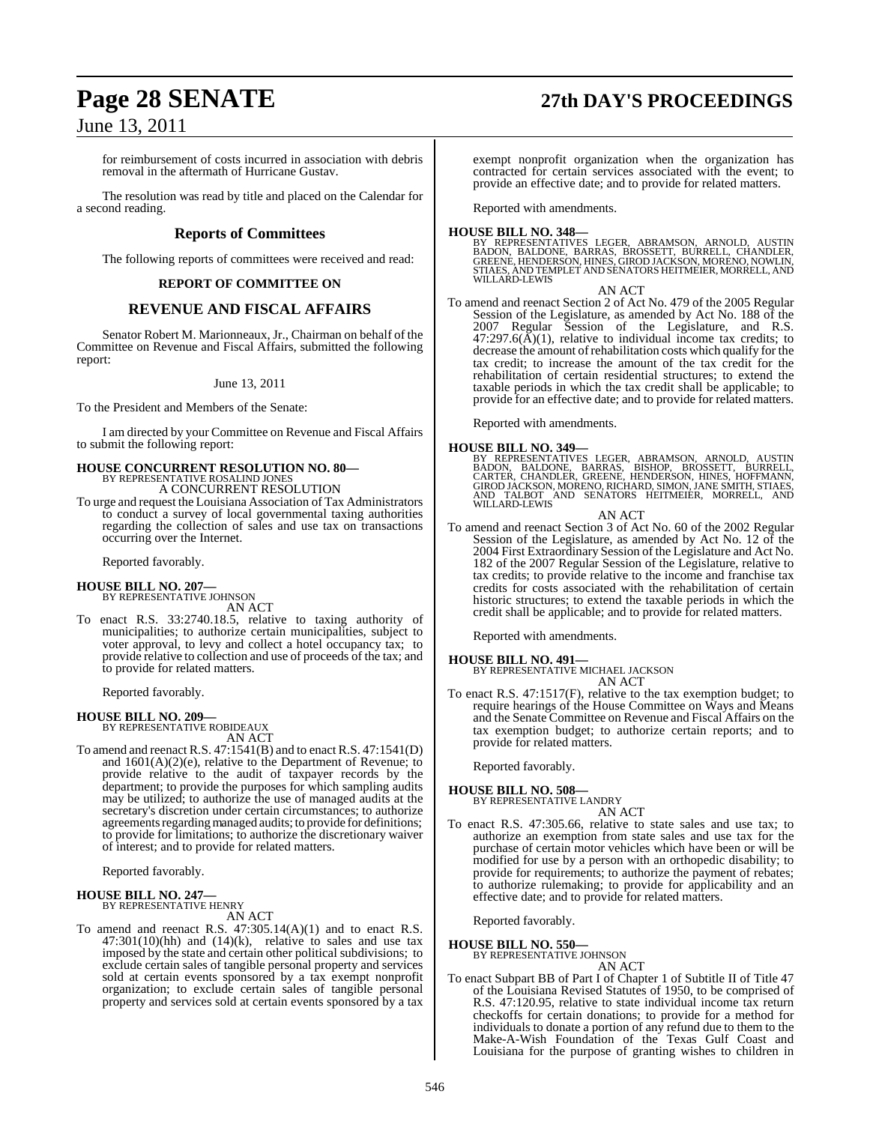## **Page 28 SENATE 27th DAY'S PROCEEDINGS**

### June 13, 2011

for reimbursement of costs incurred in association with debris removal in the aftermath of Hurricane Gustav.

The resolution was read by title and placed on the Calendar for a second reading.

#### **Reports of Committees**

The following reports of committees were received and read:

#### **REPORT OF COMMITTEE ON**

#### **REVENUE AND FISCAL AFFAIRS**

Senator Robert M. Marionneaux, Jr., Chairman on behalf of the Committee on Revenue and Fiscal Affairs, submitted the following report:

#### June 13, 2011

To the President and Members of the Senate:

I am directed by your Committee on Revenue and Fiscal Affairs to submit the following report:

#### **HOUSE CONCURRENT RESOLUTION NO. 80—** BY REPRESENTATIVE ROSALIND JONE

A CONCURRENT RESOLUTION

To urge and request the Louisiana Association of Tax Administrators to conduct a survey of local governmental taxing authorities regarding the collection of sales and use tax on transactions occurring over the Internet.

Reported favorably.

## **HOUSE BILL NO. 207—** BY REPRESENTATIVE JOHNSON

AN ACT

To enact R.S. 33:2740.18.5, relative to taxing authority of municipalities; to authorize certain municipalities, subject to voter approval, to levy and collect a hotel occupancy tax; to provide relative to collection and use of proceeds of the tax; and to provide for related matters.

Reported favorably.

### **HOUSE BILL NO. 209—** BY REPRESENTATIVE ROBIDEAUX

AN ACT

To amend and reenact R.S. 47:1541(B) and to enact R.S. 47:1541(D) and  $1601(A)(2)(e)$ , relative to the Department of Revenue; to provide relative to the audit of taxpayer records by the department; to provide the purposes for which sampling audits may be utilized; to authorize the use of managed audits at the secretary's discretion under certain circumstances; to authorize agreements regarding managed audits; to provide for definitions; to provide for limitations; to authorize the discretionary waiver of interest; and to provide for related matters.

Reported favorably.

#### **HOUSE BILL NO. 247—** BY REPRESENTATIVE HENRY

AN ACT

To amend and reenact R.S. 47:305.14(A)(1) and to enact R.S.  $47:301(10)(hh)$  and  $(14)(k)$ , relative to sales and use tax imposed by the state and certain other political subdivisions; to exclude certain sales of tangible personal property and services sold at certain events sponsored by a tax exempt nonprofit organization; to exclude certain sales of tangible personal property and services sold at certain events sponsored by a tax exempt nonprofit organization when the organization has contracted for certain services associated with the event; to provide an effective date; and to provide for related matters.

Reported with amendments.

**HOUSE BILL NO. 348—**<br>BY REPRESENTATIVES LEGER, ABRAMSON, ARNOLD, AUSTIN<br>BADON, BALDONE, BARRAS, BROSSETT, BURRELL, CHANDLER,<br>GREENE, HENDERSON, HINES, GIROD JACKSON, MORENO, NOWLIN,<br>STIAES, AND TEMPLET AND SENATORS HEITME WILLARD-LEWIS

AN ACT To amend and reenact Section 2 of Act No. 479 of the 2005 Regular Session of the Legislature, as amended by Act No. 188 of the 2007 Regular Session of the Legislature, and R.S.  $47:297.6(\text{\AA})(1)$ , relative to individual income tax credits; to decrease the amount of rehabilitation costs which qualify for the tax credit; to increase the amount of the tax credit for the rehabilitation of certain residential structures; to extend the taxable periods in which the tax credit shall be applicable; to provide for an effective date; and to provide for related matters.

Reported with amendments.

#### **HOUSE BILL NO. 349—**

BY REPRESENTATIVES LEGER, ABRAMSON, ARNOLD, AUSTIN<br>BADON, BALDONE, BARRAS, BISHOP, BROSSETT, BURRELL,<br>CARTER, CHANDLER, GREENE, HENDERSON, HINES, HOFFMANN,<br>GIROD JACKSON,MORENO,RICHARD,SIMON,JANE SMITH,STIAES,<br>AND TALBOT A

AN ACT

To amend and reenact Section 3 of Act No. 60 of the 2002 Regular Session of the Legislature, as amended by Act No. 12 of the 2004 First Extraordinary Session of the Legislature and Act No. 182 of the 2007 Regular Session of the Legislature, relative to tax credits; to provide relative to the income and franchise tax credits for costs associated with the rehabilitation of certain historic structures; to extend the taxable periods in which the credit shall be applicable; and to provide for related matters.

Reported with amendments.

#### **HOUSE BILL NO. 491—**

BY REPRESENTATIVE MICHAEL JACKSON AN ACT

To enact R.S. 47:1517(F), relative to the tax exemption budget; to require hearings of the House Committee on Ways and Means and the Senate Committee on Revenue and Fiscal Affairs on the tax exemption budget; to authorize certain reports; and to provide for related matters.

Reported favorably.

**HOUSE BILL NO. 508—** BY REPRESENTATIVE LANDRY

- AN ACT
- To enact R.S. 47:305.66, relative to state sales and use tax; to authorize an exemption from state sales and use tax for the purchase of certain motor vehicles which have been or will be modified for use by a person with an orthopedic disability; to provide for requirements; to authorize the payment of rebates; to authorize rulemaking; to provide for applicability and an effective date; and to provide for related matters.

Reported favorably.

**HOUSE BILL NO. 550—** BY REPRESENTATIVE JOHNSON AN ACT

To enact Subpart BB of Part I of Chapter 1 of Subtitle II of Title 47 of the Louisiana Revised Statutes of 1950, to be comprised of R.S. 47:120.95, relative to state individual income tax return checkoffs for certain donations; to provide for a method for individuals to donate a portion of any refund due to them to the Make-A-Wish Foundation of the Texas Gulf Coast and Louisiana for the purpose of granting wishes to children in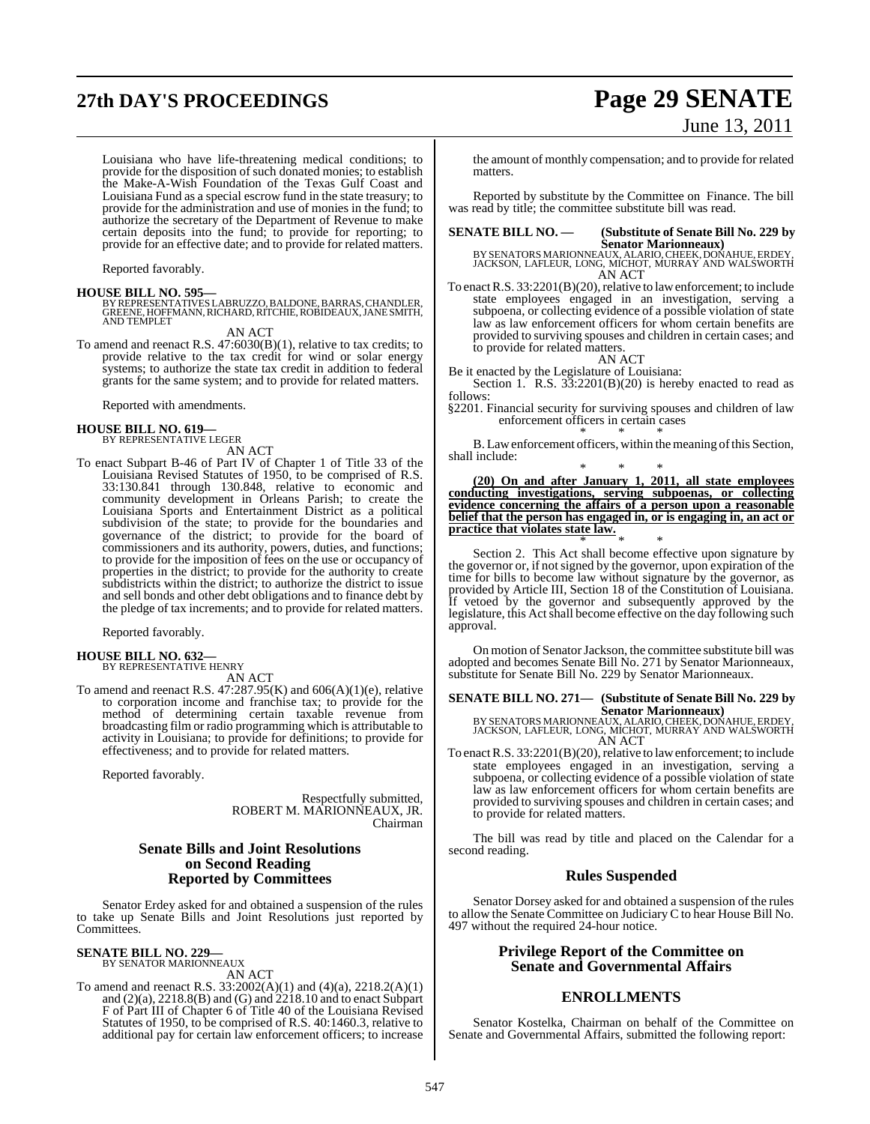## **27th DAY'S PROCEEDINGS Page 29 SENATE** June 13, 2011

Louisiana who have life-threatening medical conditions; to provide for the disposition of such donated monies; to establish the Make-A-Wish Foundation of the Texas Gulf Coast and Louisiana Fund as a special escrow fund in the state treasury; to provide for the administration and use of monies in the fund; to authorize the secretary of the Department of Revenue to make certain deposits into the fund; to provide for reporting; to provide for an effective date; and to provide for related matters.

Reported favorably.

**HOUSE BILL NO. 595—** BY REPRESENTATIVES LABRUZZO, BALDONE, BARRAS, CHANDLER, GREENE, HOFFMANN,RICHARD, RITCHIE, ROBIDEAUX, JANE SMITH, AND TEMPLET

AN ACT

To amend and reenact R.S. 47:6030(B)(1), relative to tax credits; to provide relative to the tax credit for wind or solar energy systems; to authorize the state tax credit in addition to federal grants for the same system; and to provide for related matters.

Reported with amendments.

#### **HOUSE BILL NO. 619—** BY REPRESENTATIVE LEGER

AN ACT

To enact Subpart B-46 of Part IV of Chapter 1 of Title 33 of the Louisiana Revised Statutes of 1950, to be comprised of R.S. 33:130.841 through 130.848, relative to economic and community development in Orleans Parish; to create the Louisiana Sports and Entertainment District as a political subdivision of the state; to provide for the boundaries and governance of the district; to provide for the board of commissioners and its authority, powers, duties, and functions; to provide for the imposition of fees on the use or occupancy of properties in the district; to provide for the authority to create subdistricts within the district; to authorize the district to issue and sell bonds and other debt obligations and to finance debt by the pledge of tax increments; and to provide for related matters.

Reported favorably.

#### **HOUSE BILL NO. 632—** BY REPRESENTATIVE HENRY

AN ACT

To amend and reenact R.S. 47:287.95(K) and 606(A)(1)(e), relative to corporation income and franchise tax; to provide for the method of determining certain taxable revenue from broadcasting film or radio programming which is attributable to activity in Louisiana; to provide for definitions; to provide for effectiveness; and to provide for related matters.

Reported favorably.

Respectfully submitted, ROBERT M. MARIONNEAUX, JR. Chairman

### **Senate Bills and Joint Resolutions on Second Reading Reported by Committees**

Senator Erdey asked for and obtained a suspension of the rules to take up Senate Bills and Joint Resolutions just reported by Committees.

### **SENATE BILL NO. 229—** BY SENATOR MARIONNEAUX

AN ACT

To amend and reenact R.S. 33:2002(A)(1) and (4)(a), 2218.2(A)(1) and (2)(a), 2218.8(B) and (G) and 2218.10 and to enact Subpart F of Part III of Chapter 6 of Title 40 of the Louisiana Revised Statutes of 1950, to be comprised of R.S. 40:1460.3, relative to additional pay for certain law enforcement officers; to increase the amount of monthly compensation; and to provide for related matters.

Reported by substitute by the Committee on Finance. The bill was read by title; the committee substitute bill was read.

**SENATE BILL NO. — (Substitute of Senate Bill No. 229 by**

**Senator Marionneaux)** BY SENATORS MARIONNEAUX, ALARIO, CHEEK, DOŃAHUE, ERDEY,<br>JACKSON, LAFLEUR, LONG, MICHOT, MURRAY AND WALSWORTH AN ACT

To enact R.S. 33:2201(B)(20), relative to law enforcement; to include state employees engaged in an investigation, serving a subpoena, or collecting evidence of a possible violation of state law as law enforcement officers for whom certain benefits are provided to surviving spouses and children in certain cases; and to provide for related matters.

AN ACT

Be it enacted by the Legislature of Louisiana: Section 1. R.S.  $33:2201(B)(20)$  is hereby enacted to read as

follows:

§2201. Financial security for surviving spouses and children of law enforcement officers in certain cases \* \* \*

B. Law enforcement officers, within the meaning of this Section, shall include:

\* \* \* **(20) On and after January 1, 2011, all state employees conducting investigations, serving subpoenas, or collecting evidence concerning the affairs of a person upon a reasonable belief that the person has engaged in, or is engaging in, an act or practice that violates state law.** \* \* \*

Section 2. This Act shall become effective upon signature by the governor or, if not signed by the governor, upon expiration of the time for bills to become law without signature by the governor, as provided by Article III, Section 18 of the Constitution of Louisiana. If vetoed by the governor and subsequently approved by the legislature, this Act shall become effective on the day following such approval.

On motion of Senator Jackson, the committee substitute bill was adopted and becomes Senate Bill No. 271 by Senator Marionneaux, substitute for Senate Bill No. 229 by Senator Marionneaux.

**SENATE BILL NO. 271— (Substitute of Senate Bill No. 229 by**

**Senator Marionneaux)<br>BY SENATORS MARIONNEAUX, ALARIO, CHEEK, DONAHUE, ERDEY,<br>JACKSON, LAFLEUR, LONG, MICHOT, MURRAY AND WALSWORTH** AN ACT

To enact R.S. 33:2201(B)(20), relative to law enforcement; to include state employees engaged in an investigation, serving a subpoena, or collecting evidence of a possible violation of state law as law enforcement officers for whom certain benefits are provided to surviving spouses and children in certain cases; and to provide for related matters.

The bill was read by title and placed on the Calendar for a second reading.

#### **Rules Suspended**

Senator Dorsey asked for and obtained a suspension of the rules to allow the Senate Committee on Judiciary C to hear House Bill No. 497 without the required 24-hour notice.

#### **Privilege Report of the Committee on Senate and Governmental Affairs**

### **ENROLLMENTS**

Senator Kostelka, Chairman on behalf of the Committee on Senate and Governmental Affairs, submitted the following report: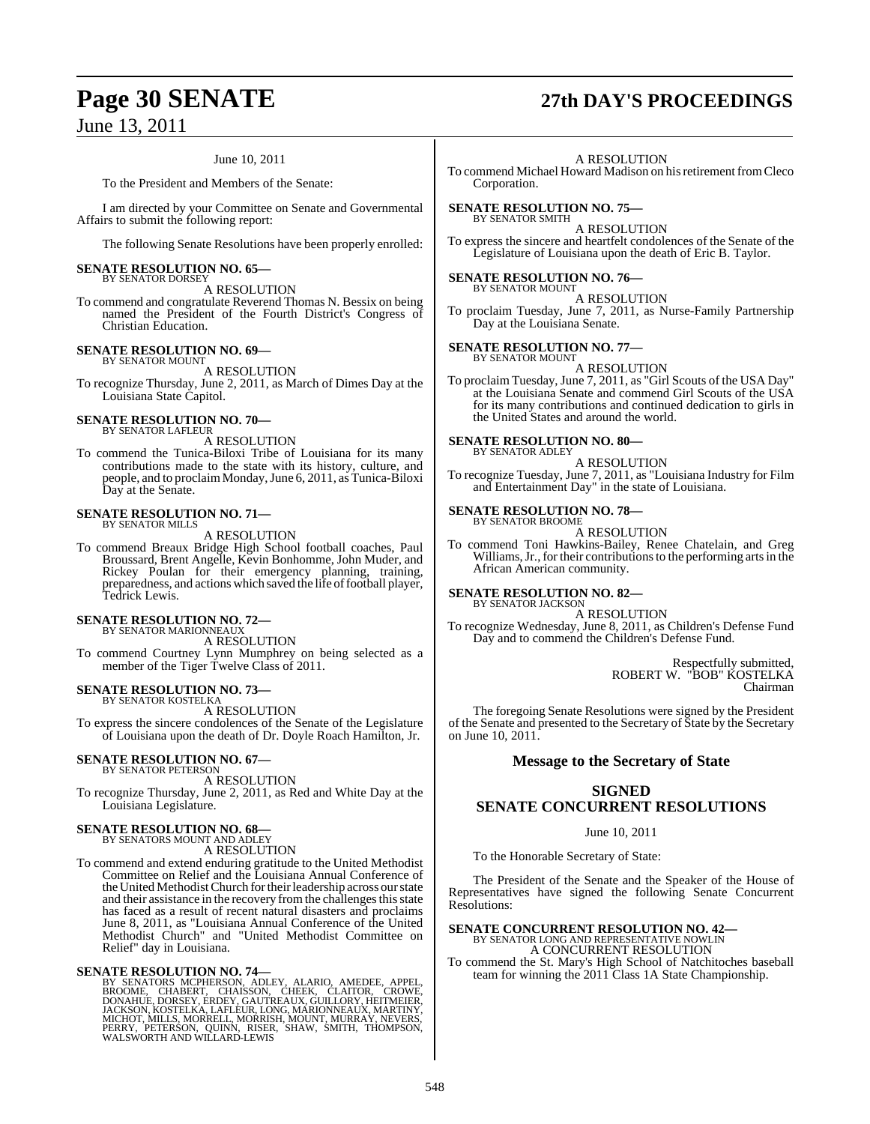#### June 10, 2011

To the President and Members of the Senate:

I am directed by your Committee on Senate and Governmental Affairs to submit the following report:

The following Senate Resolutions have been properly enrolled:

#### **SENATE RESOLUTION NO. 65—** BY SENATOR DORSEY

A RESOLUTION

To commend and congratulate Reverend Thomas N. Bessix on being named the President of the Fourth District's Congress of Christian Education.

#### **SENATE RESOLUTION NO. 69—** BY SENATOR MOUNT

A RESOLUTION

To recognize Thursday, June 2, 2011, as March of Dimes Day at the Louisiana State Capitol.

**SENATE RESOLUTION NO. 70—** BY SENATOR LAFLEUR

A RESOLUTION

To commend the Tunica-Biloxi Tribe of Louisiana for its many contributions made to the state with its history, culture, and people, and to proclaimMonday,June 6, 2011, as Tunica-Biloxi Day at the Senate.

### **SENATE RESOLUTION NO. 71—** BY SENATOR MILLS

A RESOLUTION

To commend Breaux Bridge High School football coaches, Paul Broussard, Brent Angelle, Kevin Bonhomme, John Muder, and Rickey Poulan for their emergency planning, training, preparedness, and actions which saved the life of football player, Tedrick Lewis.

### **SENATE RESOLUTION NO. 72—** BY SENATOR MARIONNEAUX

A RESOLUTION

To commend Courtney Lynn Mumphrey on being selected as a member of the Tiger Twelve Class of 2011.

#### **SENATE RESOLUTION NO. 73—** BY SENATOR KOSTELKA

A RESOLUTION

To express the sincere condolences of the Senate of the Legislature of Louisiana upon the death of Dr. Doyle Roach Hamilton, Jr.

#### **SENATE RESOLUTION NO. 67—** BY SENATOR PETERSON

A RESOLUTION

To recognize Thursday, June 2, 2011, as Red and White Day at the Louisiana Legislature.

**SENATE RESOLUTION NO. 68—**<br>BY SENATORS MOUNT AND ADLEY<br>A RESOLUTION

To commend and extend enduring gratitude to the United Methodist Committee on Relief and the Louisiana Annual Conference of the United Methodist Church for their leadership across our state and their assistance in the recovery from the challenges this state has faced as a result of recent natural disasters and proclaims June 8, 2011, as "Louisiana Annual Conference of the United Methodist Church" and "United Methodist Committee on Relief" day in Louisiana.

SENATE RESOLUTION NO. 74—<br>BY SENATORS MCPHERSON, ADLEY, ALARIO, AMEDEE, APPEL, BROOME, CHABERT, CHAISSON, CHEEK, CLAITOR, CROWE, DONAHUE, DORSEY, ERDEY, GAUTREAUX, GUILLORY, HEITMEIER, JACKSON, KOSTELKA, LAFLEUR, LONG, MAR

## **Page 30 SENATE 27th DAY'S PROCEEDINGS**

#### A RESOLUTION

To commend Michael Howard Madison on his retirement from Cleco Corporation.

**SENATE RESOLUTION NO. 75—** BY SENATOR SMITH

A RESOLUTION

To express the sincere and heartfelt condolences of the Senate of the Legislature of Louisiana upon the death of Eric B. Taylor.

## **SENATE RESOLUTION NO. 76—**<br>BY SENATOR MOUNT

A RESOLUTION

To proclaim Tuesday, June 7, 2011, as Nurse-Family Partnership Day at the Louisiana Senate.

#### **SENATE RESOLUTION NO. 77—** BY SENATOR MOUNT

A RESOLUTION

To proclaim Tuesday, June 7, 2011, as "Girl Scouts of the USA Day" at the Louisiana Senate and commend Girl Scouts of the USA for its many contributions and continued dedication to girls in the United States and around the world.

#### **SENATE RESOLUTION NO. 80—** BY SENATOR ADLEY

A RESOLUTION

To recognize Tuesday, June 7, 2011, as "Louisiana Industry for Film and Entertainment Day" in the state of Louisiana.

#### **SENATE RESOLUTION NO. 78—** BY SENATOR BROOME

A RESOLUTION

To commend Toni Hawkins-Bailey, Renee Chatelain, and Greg Williams, Jr., for their contributions to the performing arts in the African American community.

**SENATE RESOLUTION NO. 82—** BY SENATOR JACKSON

A RESOLUTION

To recognize Wednesday, June 8, 2011, as Children's Defense Fund Day and to commend the Children's Defense Fund.

> Respectfully submitted, ROBERT W. "BOB" KOSTELKA Chairman

The foregoing Senate Resolutions were signed by the President of the Senate and presented to the Secretary of State by the Secretary on June 10, 2011.

#### **Message to the Secretary of State**

### **SIGNED SENATE CONCURRENT RESOLUTIONS**

June 10, 2011

To the Honorable Secretary of State:

The President of the Senate and the Speaker of the House of Representatives have signed the following Senate Concurrent Resolutions:

### **SENATE CONCURRENT RESOLUTION NO. 42—** BY SENATOR LONG AND REPRESENTATIVE NOWLIN

A CONCURRENT RESOLUTION

To commend the St. Mary's High School of Natchitoches baseball team for winning the 2011 Class 1A State Championship.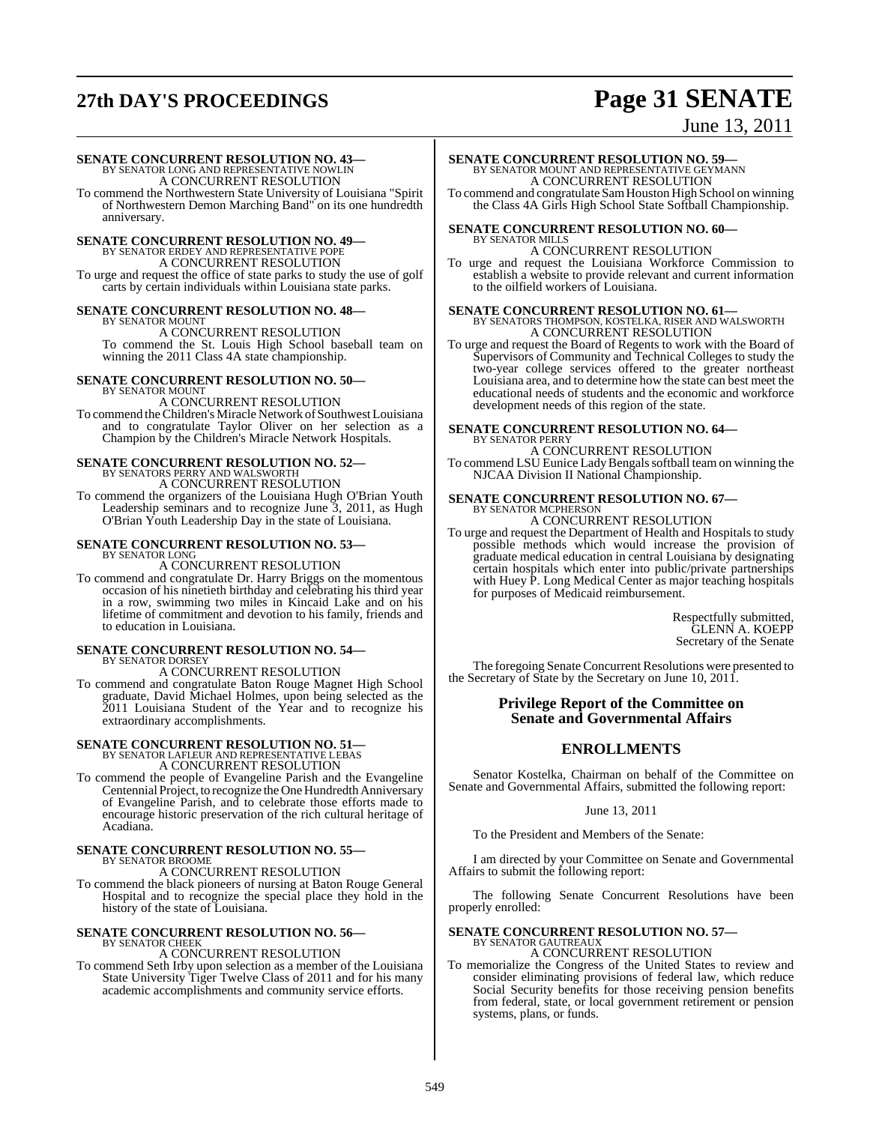## **27th DAY'S PROCEEDINGS Page 31 SENATE**

June 13, 2011

**SENATE CONCURRENT RESOLUTION NO. 43<br>BY SENATOR LONG AND REPRESENTATIVE NOWLIN<br>A CONCURRENT RESOLUTION** 

To commend the Northwestern State University of Louisiana "Spirit of Northwestern Demon Marching Band" on its one hundredth anniversary.

### **SENATE CONCURRENT RESOLUTION NO. 49—**<br>BY SENATOR ERDEY AND REPRESENTATIVE POPE<br>A CONCURRENT RESOLUTION To urge and request the office of state parks to study the use of golf carts by certain individuals within Louisiana state parks.

#### **SENATE CONCURRENT RESOLUTION NO. 48—** BY SENATOR MOUNT

A CONCURRENT RESOLUTION To commend the St. Louis High School baseball team on winning the 2011 Class 4A state championship.

#### **SENATE CONCURRENT RESOLUTION NO. 50—** BY SENATOR MOUNT

A CONCURRENT RESOLUTION To commend the Children's Miracle Network of Southwest Louisiana and to congratulate Taylor Oliver on her selection as a Champion by the Children's Miracle Network Hospitals.

### **SENATE CONCURRENT RESOLUTION NO. 52—** BY SENATORS PERRY AND WALSWORTH A CONCURRENT RESOLUTION

To commend the organizers of the Louisiana Hugh O'Brian Youth Leadership seminars and to recognize June 3, 2011, as Hugh O'Brian Youth Leadership Day in the state of Louisiana.

## **SENATE CONCURRENT RESOLUTION NO. 53—** BY SENATOR LONG

A CONCURRENT RESOLUTION

To commend and congratulate Dr. Harry Briggs on the momentous occasion of his ninetieth birthday and celebrating his third year in a row, swimming two miles in Kincaid Lake and on his lifetime of commitment and devotion to his family, friends and to education in Louisiana.

#### **SENATE CONCURRENT RESOLUTION NO. 54—** BY SENATOR DORSEY

A CONCURRENT RESOLUTION

To commend and congratulate Baton Rouge Magnet High School graduate, David Michael Holmes, upon being selected as the 2011 Louisiana Student of the Year and to recognize his extraordinary accomplishments.

# **SENATE CONCURRENT RESOLUTION NO. 51—**<br>BY SENATOR LAFLEUR AND REPRESENTATIVE LEBAS<br>A CONCURRENT RESOLUTION

To commend the people of Evangeline Parish and the Evangeline Centennial Project, to recognize the One Hundredth Anniversary of Evangeline Parish, and to celebrate those efforts made to encourage historic preservation of the rich cultural heritage of Acadiana.

#### **SENATE CONCURRENT RESOLUTION NO. 55—** BY SENATOR BROOME

A CONCURRENT RESOLUTION

To commend the black pioneers of nursing at Baton Rouge General Hospital and to recognize the special place they hold in the history of the state of Louisiana.

#### **SENATE CONCURRENT RESOLUTION NO. 56—** BY SENATOR CHEEK

A CONCURRENT RESOLUTION

To commend Seth Irby upon selection as a member of the Louisiana State University Tiger Twelve Class of 2011 and for his many academic accomplishments and community service efforts.

### **SENATE CONCURRENT RESOLUTION NO. 59—** BY SENATOR MOUNT AND REPRESENTATIVE GEYMANN A CONCURRENT RESOLUTION

To commend and congratulate SamHouston High School on winning the Class 4A Girls High School State Softball Championship.

#### **SENATE CONCURRENT RESOLUTION NO. 60—** BY SENATOR MILLS

A CONCURRENT RESOLUTION

To urge and request the Louisiana Workforce Commission to establish a website to provide relevant and current information to the oilfield workers of Louisiana.

# **SENATE CONCURRENT RESOLUTION NO. 61—**<br>BY SENATORS THOMPSON, KOSTELKA, RISER AND WALSWORTH A CONCURRENT RESOLUTION

To urge and request the Board of Regents to work with the Board of Supervisors of Community and Technical Colleges to study the two-year college services offered to the greater northeast Louisiana area, and to determine how the state can best meet the educational needs of students and the economic and workforce development needs of this region of the state.

#### **SENATE CONCURRENT RESOLUTION NO. 64—** BY SENATOR PERRY A CONCURRENT RESOLUTION

To commend LSU Eunice Lady Bengals softball team on winning the NJCAA Division II National Championship.

### **SENATE CONCURRENT RESOLUTION NO. 67—** BY SENATOR MCPHERSON A CONCURRENT RESOLUTION

To urge and request the Department of Health and Hospitals to study possible methods which would increase the provision of graduate medical education in central Louisiana by designating certain hospitals which enter into public/private partnerships with Huey P. Long Medical Center as major teaching hospitals for purposes of Medicaid reimbursement.

> Respectfully submitted, GLENN A. KOEPP Secretary of the Senate

The foregoing Senate Concurrent Resolutions were presented to the Secretary of State by the Secretary on June 10, 2011.

### **Privilege Report of the Committee on Senate and Governmental Affairs**

### **ENROLLMENTS**

Senator Kostelka, Chairman on behalf of the Committee on Senate and Governmental Affairs, submitted the following report:

#### June 13, 2011

To the President and Members of the Senate:

I am directed by your Committee on Senate and Governmental Affairs to submit the following report:

The following Senate Concurrent Resolutions have been properly enrolled:

## **SENATE CONCURRENT RESOLUTION NO. 57—** BY SENATOR GAUTREAUX

A CONCURRENT RESOLUTION To memorialize the Congress of the United States to review and consider eliminating provisions of federal law, which reduce Social Security benefits for those receiving pension benefits from federal, state, or local government retirement or pension systems, plans, or funds.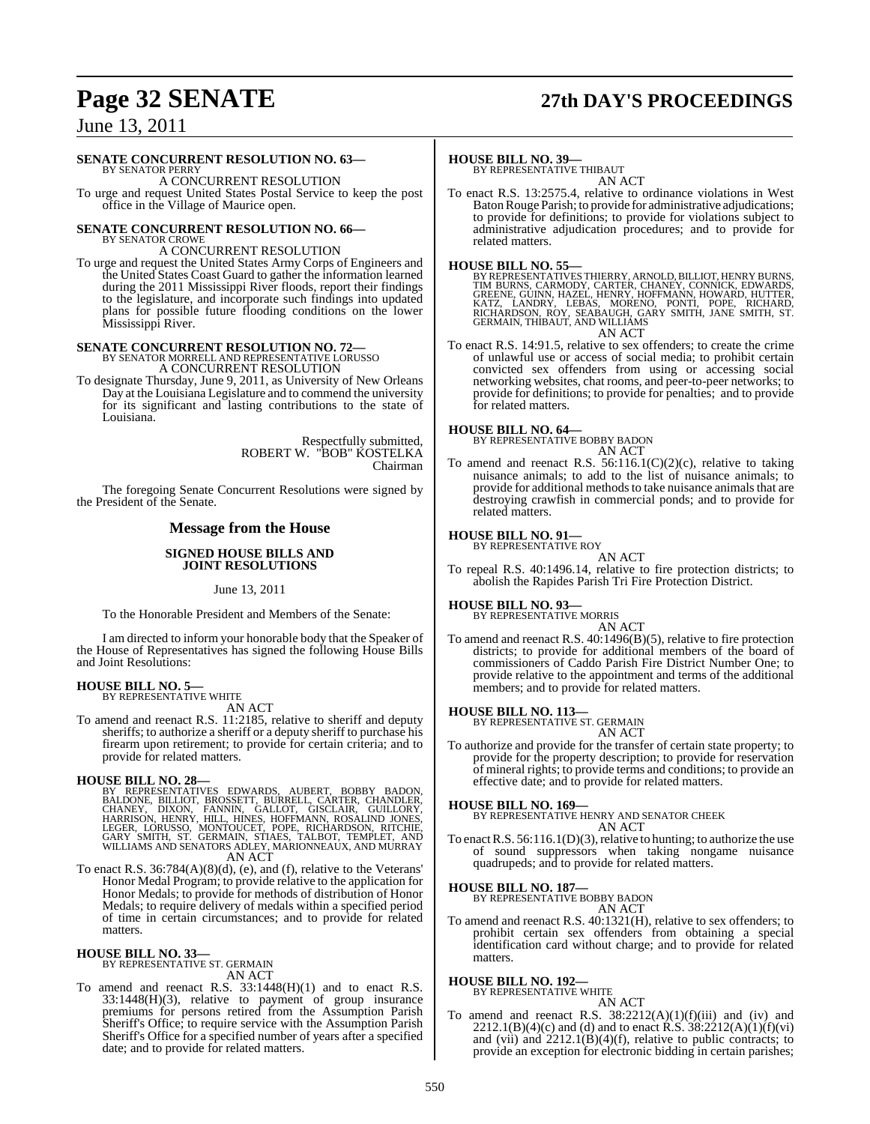## **Page 32 SENATE 27th DAY'S PROCEEDINGS**

June 13, 2011

#### **SENATE CONCURRENT RESOLUTION NO. 63—**

BY SENATOR PERRY A CONCURRENT RESOLUTION

To urge and request United States Postal Service to keep the post office in the Village of Maurice open.

### **SENATE CONCURRENT RESOLUTION NO. 66—** BY SENATOR CROWE

A CONCURRENT RESOLUTION

To urge and request the United States Army Corps of Engineers and the United States Coast Guard to gather the information learned during the 2011 Mississippi River floods, report their findings to the legislature, and incorporate such findings into updated plans for possible future flooding conditions on the lower Mississippi River.

### **SENATE CONCURRENT RESOLUTION NO. 72—** BY SENATOR MORRELL AND REPRESENTATIVE LORUSSO A CONCURRENT RESOLUTION

To designate Thursday, June 9, 2011, as University of New Orleans Day at the Louisiana Legislature and to commend the university for its significant and lasting contributions to the state of Louisiana.

> Respectfully submitted, ROBERT W. "BOB" KOSTELKA Chairman

The foregoing Senate Concurrent Resolutions were signed by the President of the Senate.

#### **Message from the House**

#### **SIGNED HOUSE BILLS AND JOINT RESOLUTIONS**

June 13, 2011

To the Honorable President and Members of the Senate:

I am directed to inform your honorable body that the Speaker of the House of Representatives has signed the following House Bills and Joint Resolutions:

#### **HOUSE BILL NO. 5—**

BY REPRESENTATIVE WHITE AN ACT

To amend and reenact R.S. 11:2185, relative to sheriff and deputy sheriffs; to authorize a sheriff or a deputy sheriff to purchase his firearm upon retirement; to provide for certain criteria; and to provide for related matters.

### **HOUSE BILL NO. 28—**

- BY REPRESENTATIVES EDWARDS, AUBERT, BOBBY BADON,<br>BALDONE, BILLIOT, BROSSETT, BURRELL, CARTER, CHANDLER,<br>CHANEY, DIXON, FANNIN, GALLOT, GISCLAIR, GUILLORY,<br>HARRISON, HENRY, HILL, HINES, HOFFMANN, ROSALIND JONES,<br>LEGER, LORU AN ACT
- To enact R.S. 36:784(A)(8)(d), (e), and (f), relative to the Veterans' Honor Medal Program; to provide relative to the application for Honor Medals; to provide for methods of distribution of Honor Medals; to require delivery of medals within a specified period of time in certain circumstances; and to provide for related matters.

#### **HOUSE BILL NO. 33—**

BY REPRESENTATIVE ST. GERMAIN AN ACT

To amend and reenact R.S. 33:1448(H)(1) and to enact R.S. 33:1448(H)(3), relative to payment of group insurance premiums for persons retired from the Assumption Parish Sheriff's Office; to require service with the Assumption Parish Sheriff's Office for a specified number of years after a specified date; and to provide for related matters.

#### **HOUSE BILL NO. 39—**

BY REPRESENTATIVE THIBAUT AN ACT

To enact R.S. 13:2575.4, relative to ordinance violations in West BatonRouge Parish; to provide for administrative adjudications; to provide for definitions; to provide for violations subject to administrative adjudication procedures; and to provide for related matters.

**HOUSE BILL NO. 55—**<br>BY REPRESENTATIVES THIERRY, ARNOLD, BILLIOT, HENRY BURNS, TIM BURNS, CARMODY, CARTER, CHANEY, CONNICK, EDWARDS,<br>GREENE, GUINN, HAZEL, HENRY, HOFFMANN, HOWARD, HUTTER,<br>KATZ, LANDRY, LEBAS, MORENO, PONTI

AN ACT

To enact R.S. 14:91.5, relative to sex offenders; to create the crime of unlawful use or access of social media; to prohibit certain convicted sex offenders from using or accessing social networking websites, chat rooms, and peer-to-peer networks; to provide for definitions; to provide for penalties; and to provide for related matters.

#### **HOUSE BILL NO. 64—**

BY REPRESENTATIVE BOBBY BADON AN ACT

To amend and reenact R.S.  $56:116.1(C)(2)(c)$ , relative to taking nuisance animals; to add to the list of nuisance animals; to provide for additional methods to take nuisance animals that are destroying crawfish in commercial ponds; and to provide for related matters.

#### **HOUSE BILL NO. 91—**

BY REPRESENTATIVE ROY

AN ACT To repeal R.S. 40:1496.14, relative to fire protection districts; to abolish the Rapides Parish Tri Fire Protection District.

#### **HOUSE BILL NO. 93—**

BY REPRESENTATIVE MORRIS AN ACT

To amend and reenact R.S. 40:1496(B)(5), relative to fire protection districts; to provide for additional members of the board of commissioners of Caddo Parish Fire District Number One; to provide relative to the appointment and terms of the additional members; and to provide for related matters.

**HOUSE BILL NO. 113—** BY REPRESENTATIVE ST. GERMAIN AN ACT

To authorize and provide for the transfer of certain state property; to provide for the property description; to provide for reservation of mineral rights; to provide terms and conditions; to provide an effective date; and to provide for related matters.

#### **HOUSE BILL NO. 169—**

BY REPRESENTATIVE HENRY AND SENATOR CHEEK AN ACT

To enact R.S. 56:116.1(D)(3), relative to hunting; to authorize the use of sound suppressors when taking nongame nuisance quadrupeds; and to provide for related matters.

#### **HOUSE BILL NO. 187—**

BY REPRESENTATIVE BOBBY BADON AN ACT

To amend and reenact R.S. 40:1321(H), relative to sex offenders; to prohibit certain sex offenders from obtaining a special identification card without charge; and to provide for related matters.

### **HOUSE BILL NO. 192—** BY REPRESENTATIVE WHITE

AN ACT

To amend and reenact R.S.  $38:2212(A)(1)(f)(iii)$  and (iv) and 2212.1(B)(4)(c) and (d) and to enact R.S.  $38:2212(A)(1)(f)(vi)$ and (vii) and  $2212.1(B)(4)(f)$ , relative to public contracts; to provide an exception for electronic bidding in certain parishes;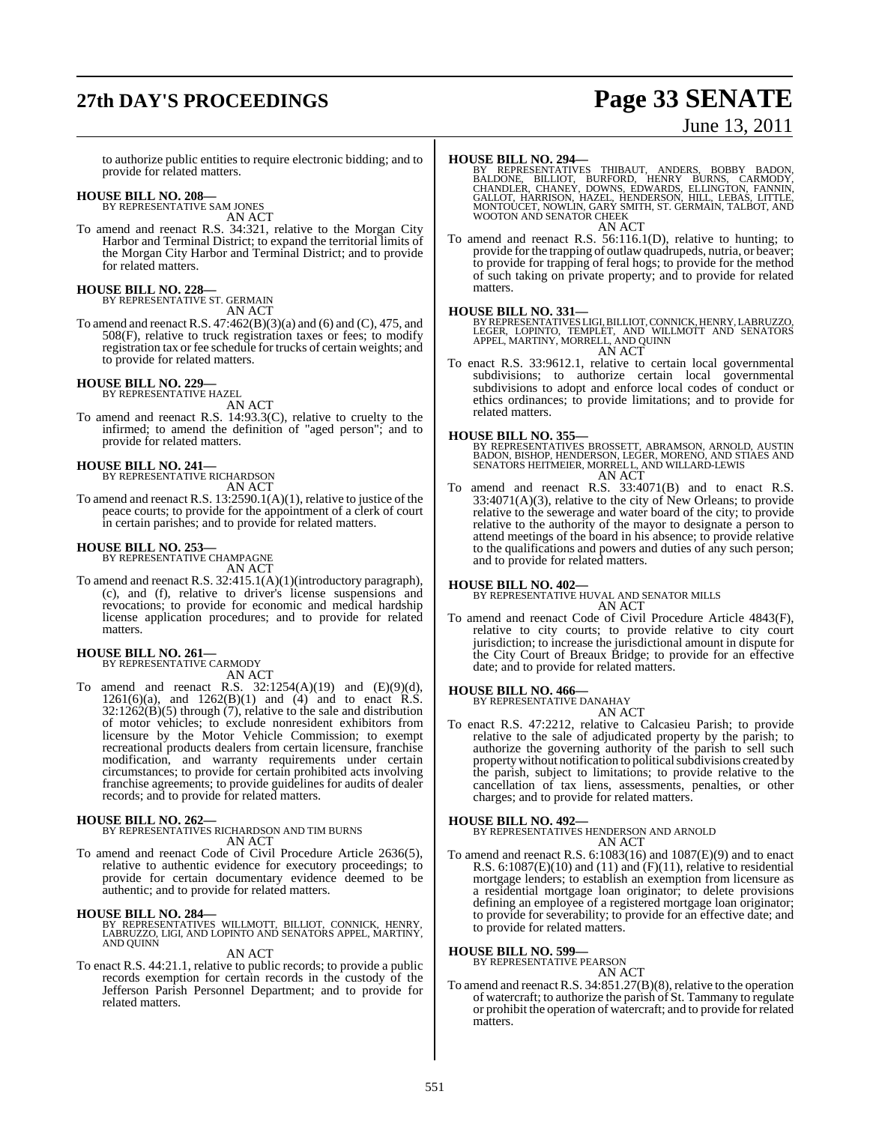## **27th DAY'S PROCEEDINGS Page 33 SENATE**

# June 13, 2011

to authorize public entities to require electronic bidding; and to provide for related matters.

### **HOUSE BILL NO. 208—** BY REPRESENTATIVE SAM JONES

AN ACT

To amend and reenact R.S. 34:321, relative to the Morgan City Harbor and Terminal District; to expand the territorial limits of the Morgan City Harbor and Terminal District; and to provide for related matters.

## **HOUSE BILL NO. 228—** BY REPRESENTATIVE ST. GERMAIN

AN ACT

To amend and reenact R.S. 47:462(B)(3)(a) and (6) and (C), 475, and 508(F), relative to truck registration taxes or fees; to modify registration tax or fee schedule for trucks of certain weights; and to provide for related matters.

### **HOUSE BILL NO. 229—** BY REPRESENTATIVE HAZEL

AN ACT

To amend and reenact R.S. 14:93.3(C), relative to cruelty to the infirmed; to amend the definition of "aged person"; and to provide for related matters.

## **HOUSE BILL NO. 241—** BY REPRESENTATIVE RICHARDSON

AN ACT

To amend and reenact R.S. 13:2590.1(A)(1), relative to justice of the peace courts; to provide for the appointment of a clerk of court in certain parishes; and to provide for related matters.

## **HOUSE BILL NO. 253—** BY REPRESENTATIVE CHAMPAGNE

AN ACT

To amend and reenact R.S. 32:415.1(A)(1)(introductory paragraph), (c), and (f), relative to driver's license suspensions and revocations; to provide for economic and medical hardship license application procedures; and to provide for related matters.

### **HOUSE BILL NO. 261—** BY REPRESENTATIVE CARMODY

AN ACT

To amend and reenact R.S.  $32:1254(A)(19)$  and  $(E)(9)(d)$ , 1261(6)(a), and 1262(B)(1) and  $(4)$  and to enact R.S. 32:1262(B)(5) through (7), relative to the sale and distribution of motor vehicles; to exclude nonresident exhibitors from licensure by the Motor Vehicle Commission; to exempt recreational products dealers from certain licensure, franchise modification, and warranty requirements under certain circumstances; to provide for certain prohibited acts involving franchise agreements; to provide guidelines for audits of dealer records; and to provide for related matters.

**HOUSE BILL NO. 262—** BY REPRESENTATIVES RICHARDSON AND TIM BURNS AN ACT

To amend and reenact Code of Civil Procedure Article 2636(5), relative to authentic evidence for executory proceedings; to provide for certain documentary evidence deemed to be authentic; and to provide for related matters.

**HOUSE BILL NO. 284—**<br>BY REPRESENTATIVES WILLMOTT, BILLIOT, CONNICK, HENRY,<br>LABRUZZO, LIGI, AND LOPINTO AND SENATORS APPEL, MARTINY,<br>AND QUINN

#### AN ACT

To enact R.S. 44:21.1, relative to public records; to provide a public records exemption for certain records in the custody of the Jefferson Parish Personnel Department; and to provide for related matters.

**HOUSE BILL NO. 294....**<br>BY REPRESENTATIVES THIBAUT, ANDERS, BOBBY BADON,<br>BALDONE, BILLIOT, BURFORD, HENRY BURNS, CARMODY,<br>CHANDLER, CHANEY, DOWNS, EDWARDS, ELLINGTON, FANNIN,<br>GALLOT, HARRISON, HAZEL, HENDERSON, HILL, LEBA WOOTON AND SENATOR CHEEK AN ACT

To amend and reenact R.S. 56:116.1(D), relative to hunting; to provide for the trapping of outlaw quadrupeds, nutria, or beaver; to provide for trapping of feral hogs; to provide for the method of such taking on private property; and to provide for related matters.

**HOUSE BILL NO. 331—** BY REPRESENTATIVES LIGI, BILLIOT, CONNICK, HENRY, LABRUZZO, LEGER, LOPINTO, TEMPLET, AND WILLMOTT AND SENATORS APPEL, MARTINY, MORRELL, AND QUINN AN ACT

To enact R.S. 33:9612.1, relative to certain local governmental subdivisions; to authorize certain local governmental subdivisions to adopt and enforce local codes of conduct or ethics ordinances; to provide limitations; and to provide for related matters.

**HOUSE BILL NO. 355—** BY REPRESENTATIVES BROSSETT, ABRAMSON, ARNOLD, AUSTIN BADON, BISHOP, HENDERSON, LEGER, MORENO, AND STIAES AND SENATORS HEITMEIER, MORRELL, AND WILLARD-LEWIS AN ACT

To amend and reenact R.S. 33:4071(B) and to enact R.S. 33:4071(A)(3), relative to the city of New Orleans; to provide relative to the sewerage and water board of the city; to provide relative to the authority of the mayor to designate a person to attend meetings of the board in his absence; to provide relative to the qualifications and powers and duties of any such person; and to provide for related matters.

#### **HOUSE BILL NO. 402—**

BY REPRESENTATIVE HUVAL AND SENATOR MILLS AN ACT

To amend and reenact Code of Civil Procedure Article 4843(F), relative to city courts; to provide relative to city court jurisdiction; to increase the jurisdictional amount in dispute for the City Court of Breaux Bridge; to provide for an effective date; and to provide for related matters.

#### **HOUSE BILL NO. 466—**

BY REPRESENTATIVE DANAHAY AN ACT

To enact R.S. 47:2212, relative to Calcasieu Parish; to provide relative to the sale of adjudicated property by the parish; to authorize the governing authority of the parish to sell such property without notification to political subdivisions created by the parish, subject to limitations; to provide relative to the cancellation of tax liens, assessments, penalties, or other charges; and to provide for related matters.

#### **HOUSE BILL NO. 492—**

BY REPRESENTATIVES HENDERSON AND ARNOLD AN ACT

To amend and reenact R.S.  $6:1083(16)$  and  $1087(E)(9)$  and to enact R.S.  $6:1087(E)(10)$  and  $(11)$  and  $(F)(11)$ , relative to residential mortgage lenders; to establish an exemption from licensure as a residential mortgage loan originator; to delete provisions defining an employee of a registered mortgage loan originator; to provide for severability; to provide for an effective date; and to provide for related matters.

#### **HOUSE BILL NO. 599—**

BY REPRESENTATIVE PEARSON AN ACT

To amend and reenact R.S. 34:851.27(B)(8), relative to the operation of watercraft; to authorize the parish of St. Tammany to regulate or prohibit the operation of watercraft; and to provide for related matters.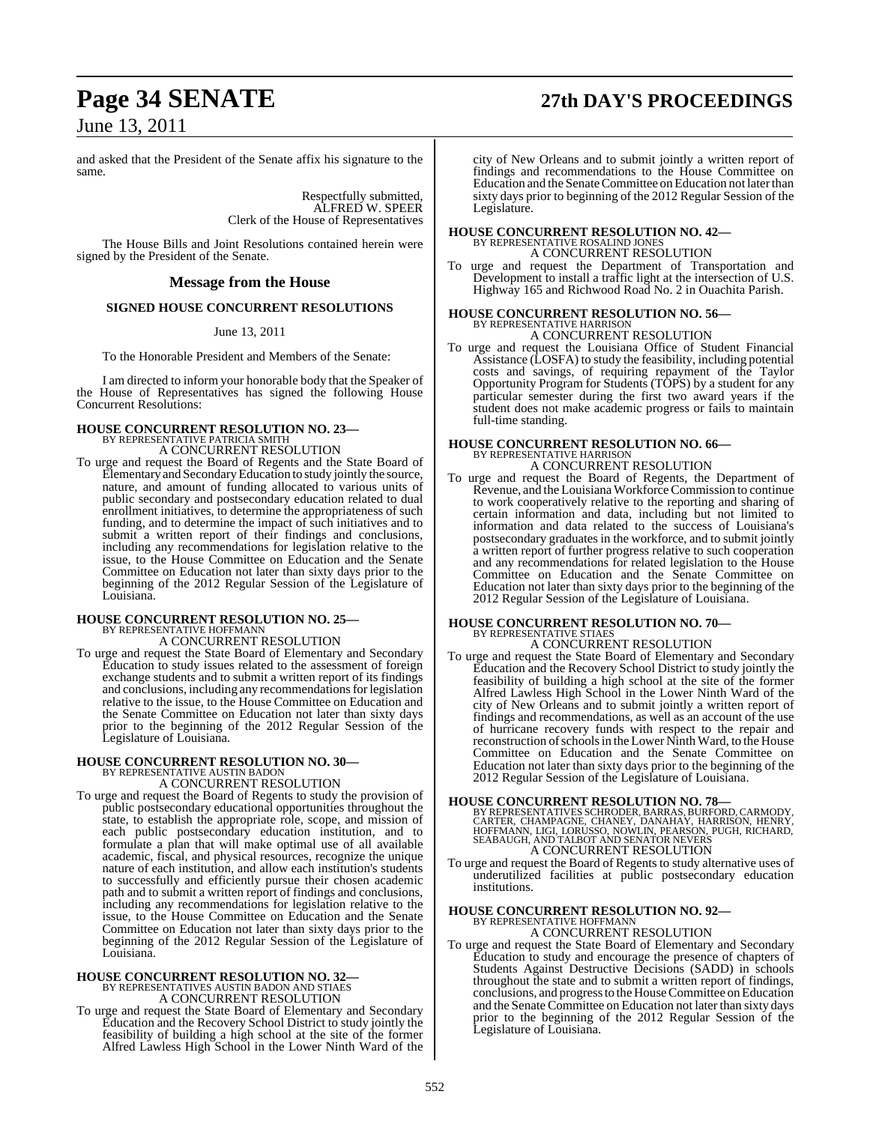## **Page 34 SENATE 27th DAY'S PROCEEDINGS**

June 13, 2011

and asked that the President of the Senate affix his signature to the same.

> Respectfully submitted, ALFRED W. SPEER Clerk of the House of Representatives

The House Bills and Joint Resolutions contained herein were signed by the President of the Senate.

#### **Message from the House**

### **SIGNED HOUSE CONCURRENT RESOLUTIONS**

#### June 13, 2011

To the Honorable President and Members of the Senate:

I am directed to inform your honorable body that the Speaker of the House of Representatives has signed the following House Concurrent Resolutions:

### **HOUSE CONCURRENT RESOLUTION NO. 23—** BY REPRESENTATIVE PATRICIA SMITH A CONCURRENT RESOLUTION

To urge and request the Board of Regents and the State Board of Elementary and Secondary Education to study jointly the source, nature, and amount of funding allocated to various units of public secondary and postsecondary education related to dual enrollment initiatives, to determine the appropriateness of such funding, and to determine the impact of such initiatives and to submit a written report of their findings and conclusions, including any recommendations for legislation relative to the issue, to the House Committee on Education and the Senate Committee on Education not later than sixty days prior to the beginning of the 2012 Regular Session of the Legislature of Louisiana.

## **HOUSE CONCURRENT RESOLUTION NO. 25—** BY REPRESENTATIVE HOFFMANN

A CONCURRENT RESOLUTION

To urge and request the State Board of Elementary and Secondary Education to study issues related to the assessment of foreign exchange students and to submit a written report of its findings and conclusions, including any recommendations for legislation relative to the issue, to the House Committee on Education and the Senate Committee on Education not later than sixty days prior to the beginning of the 2012 Regular Session of the Legislature of Louisiana.

# **HOUSE CONCURRENT RESOLUTION NO. 30—** BY REPRESENTATIVE AUSTIN BADON A CONCURRENT RESOLUTION

To urge and request the Board of Regents to study the provision of public postsecondary educational opportunities throughout the state, to establish the appropriate role, scope, and mission of each public postsecondary education institution, and to formulate a plan that will make optimal use of all available academic, fiscal, and physical resources, recognize the unique nature of each institution, and allow each institution's students to successfully and efficiently pursue their chosen academic path and to submit a written report of findings and conclusions, including any recommendations for legislation relative to the issue, to the House Committee on Education and the Senate Committee on Education not later than sixty days prior to the beginning of the 2012 Regular Session of the Legislature of Louisiana.

### **HOUSE CONCURRENT RESOLUTION NO. 32—** BY REPRESENTATIVES AUSTIN BADON AND STIAES A CONCURRENT RESOLUTION

To urge and request the State Board of Elementary and Secondary Education and the Recovery School District to study jointly the feasibility of building a high school at the site of the former Alfred Lawless High School in the Lower Ninth Ward of the

city of New Orleans and to submit jointly a written report of findings and recommendations to the House Committee on Education and the Senate Committee on Education not later than sixty days prior to beginning of the 2012 Regular Session of the Legislature.

## **HOUSE CONCURRENT RESOLUTION NO. 42—** BY REPRESENTATIVE ROSALIND JONES

A CONCURRENT RESOLUTION

To urge and request the Department of Transportation and Development to install a traffic light at the intersection of U.S. Highway 165 and Richwood Road No. 2 in Ouachita Parish.

# **HOUSE CONCURRENT RESOLUTION NO. 56—** BY REPRESENTATIVE HARRISON A CONCURRENT RESOLUTION

To urge and request the Louisiana Office of Student Financial Assistance (LOSFA) to study the feasibility, including potential costs and savings, of requiring repayment of the Taylor Opportunity Program for Students (TOPS) by a student for any particular semester during the first two award years if the student does not make academic progress or fails to maintain full-time standing.

### **HOUSE CONCURRENT RESOLUTION NO. 66—** BY REPRESENTATIVE HARRISON A CONCURRENT RESOLUTION

To urge and request the Board of Regents, the Department of Revenue, and the Louisiana Workforce Commission to continue to work cooperatively relative to the reporting and sharing of certain information and data, including but not limited to information and data related to the success of Louisiana's postsecondary graduates in the workforce, and to submit jointly a written report of further progress relative to such cooperation and any recommendations for related legislation to the House Committee on Education and the Senate Committee on Education not later than sixty days prior to the beginning of the 2012 Regular Session of the Legislature of Louisiana.

## **HOUSE CONCURRENT RESOLUTION NO. 70—** BY REPRESENTATIVE STIAES

A CONCURRENT RESOLUTION

To urge and request the State Board of Elementary and Secondary Education and the Recovery School District to study jointly the feasibility of building a high school at the site of the former Alfred Lawless High School in the Lower Ninth Ward of the city of New Orleans and to submit jointly a written report of findings and recommendations, as well as an account of the use of hurricane recovery funds with respect to the repair and reconstruction ofschoolsin the Lower Ninth Ward, to the House Committee on Education and the Senate Committee on Education not later than sixty days prior to the beginning of the 2012 Regular Session of the Legislature of Louisiana.

#### **HOUSE CONCURRENT RESOLUTION NO. 78—**

- BY REPRESENTATIVES SCHRODER, BARRAS, BURFORD, CARMODY,<br>CARTER, CHAMPAGNE, CHANEY, DANAHAY, HARRISON, HENRY,<br>HOFFMANN, LIGI, LORUSSO, NOWLIN, PEARSON, PUGH, RICHARD,<br>SEABAUGH, AND TALBOT AND SENATOR NEVERS A CONCURRENT RESOLUTION
- To urge and request the Board of Regents to study alternative uses of underutilized facilities at public postsecondary education institutions.

## **HOUSE CONCURRENT RESOLUTION NO. 92—** BY REPRESENTATIVE HOFFMANN

A CONCURRENT RESOLUTION

To urge and request the State Board of Elementary and Secondary Education to study and encourage the presence of chapters of Students Against Destructive Decisions (SADD) in schools throughout the state and to submit a written report of findings, conclusions, and progressto the House Committee on Education and the Senate Committee on Education not later than sixty days prior to the beginning of the 2012 Regular Session of the Legislature of Louisiana.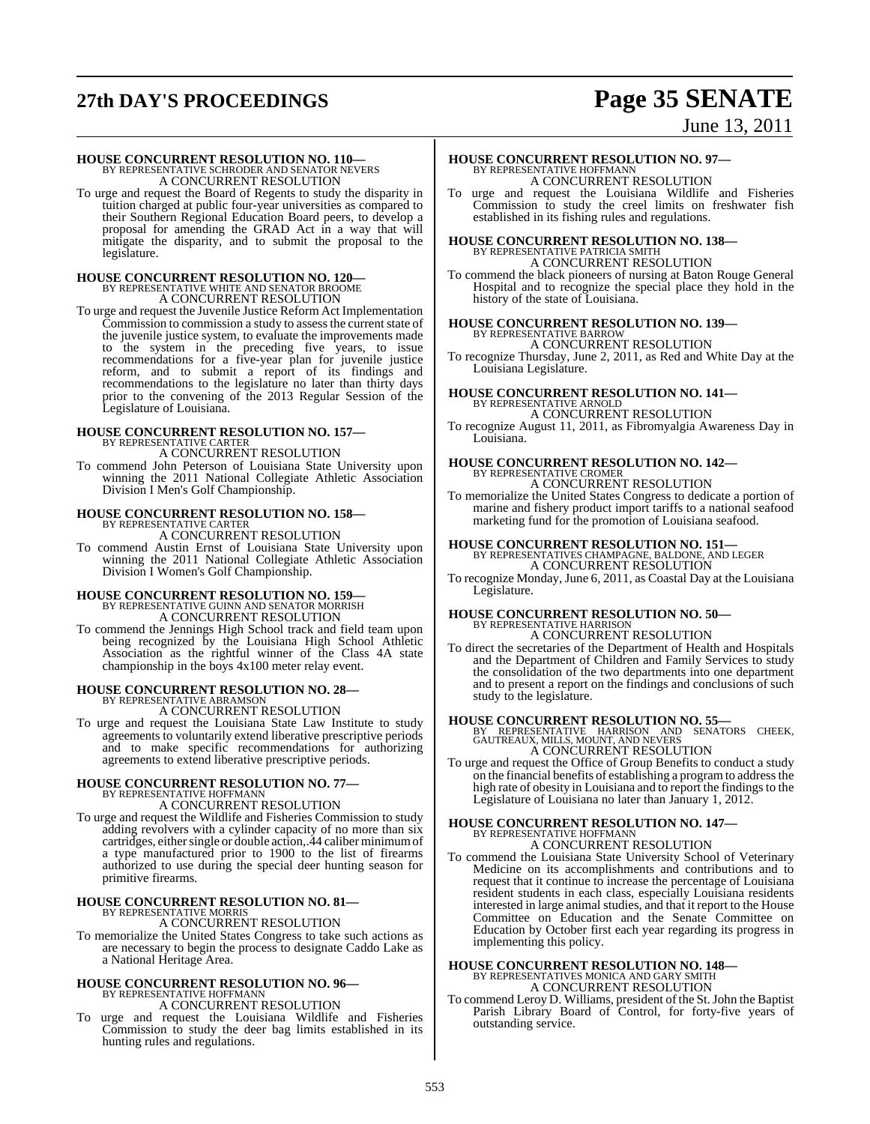## **27th DAY'S PROCEEDINGS Page 35 SENATE**

### June 13, 2011

**HOUSE CONCURRENT RESOLUTION NO. 110—** BY REPRESENTATIVE SCHRODER AND SENATOR NEVERS A CONCURRENT RESOLUTION

To urge and request the Board of Regents to study the disparity in tuition charged at public four-year universities as compared to their Southern Regional Education Board peers, to develop a proposal for amending the GRAD Act in a way that will mitigate the disparity, and to submit the proposal to the legislature.

# **HOUSE CONCURRENT RESOLUTION NO. 120—** BY REPRESENTATIVE WHITE AND SENATOR BROOME A CONCURRENT RESOLUTION

To urge and request the Juvenile Justice Reform Act Implementation Commission to commission a study to assess the current state of the juvenile justice system, to evaluate the improvements made to the system in the preceding five years, to issue recommendations for a five-year plan for juvenile justice reform, and to submit a report of its findings and recommendations to the legislature no later than thirty days prior to the convening of the 2013 Regular Session of the Legislature of Louisiana.

## **HOUSE CONCURRENT RESOLUTION NO. 157—** BY REPRESENTATIVE CARTER

A CONCURRENT RESOLUTION

To commend John Peterson of Louisiana State University upon winning the 2011 National Collegiate Athletic Association Division I Men's Golf Championship.

## **HOUSE CONCURRENT RESOLUTION NO. 158—** BY REPRESENTATIVE CARTER

A CONCURRENT RESOLUTION

To commend Austin Ernst of Louisiana State University upon winning the 2011 National Collegiate Athletic Association Division I Women's Golf Championship.

### **HOUSE CONCURRENT RESOLUTION NO. 159—**

BY REPRESENTATIVE GUINN AND SENATOR MORRISH A CONCURRENT RESOLUTION

To commend the Jennings High School track and field team upon being recognized by the Louisiana High School Athletic Association as the rightful winner of the Class 4A state championship in the boys 4x100 meter relay event.

## **HOUSE CONCURRENT RESOLUTION NO. 28—** BY REPRESENTATIVE ABRAMSON

A CONCURRENT RESOLUTION

To urge and request the Louisiana State Law Institute to study agreements to voluntarily extend liberative prescriptive periods and to make specific recommendations for authorizing agreements to extend liberative prescriptive periods.

# **HOUSE CONCURRENT RESOLUTION NO. 77—**<br>BY REPRESENTATIVE HOFFMANN<br>A CONCURRENT RESOLUTION

To urge and request the Wildlife and Fisheries Commission to study adding revolvers with a cylinder capacity of no more than six cartridges, either single or double action,.44 caliber minimum of a type manufactured prior to 1900 to the list of firearms authorized to use during the special deer hunting season for primitive firearms.

#### **HOUSE CONCURRENT RESOLUTION NO. 81—** BY REPRESENTATIVE MORRIS

A CONCURRENT RESOLUTION

To memorialize the United States Congress to take such actions as are necessary to begin the process to designate Caddo Lake as a National Heritage Area.

### **HOUSE CONCURRENT RESOLUTION NO. 96—** BY REPRESENTATIVE HOFFMANN A CONCURRENT RESOLUTION

To urge and request the Louisiana Wildlife and Fisheries Commission to study the deer bag limits established in its hunting rules and regulations.

### **HOUSE CONCURRENT RESOLUTION NO. 97—** BY REPRESENTATIVE HOFFMANN A CONCURRENT RESOLUTION

To urge and request the Louisiana Wildlife and Fisheries Commission to study the creel limits on freshwater fish established in its fishing rules and regulations.

### **HOUSE CONCURRENT RESOLUTION NO. 138—** BY REPRESENTATIVE PATRICIA SMITH A CONCURRENT RESOLUTION

To commend the black pioneers of nursing at Baton Rouge General Hospital and to recognize the special place they hold in the history of the state of Louisiana.

#### **HOUSE CONCURRENT RESOLUTION NO. 139—** BY REPRESENTATIVE BARROW A CONCURRENT RESOLUTION

To recognize Thursday, June 2, 2011, as Red and White Day at the Louisiana Legislature.

# **HOUSE CONCURRENT RESOLUTION NO. 141—** BY REPRESENTATIVE ARNOLD A CONCURRENT RESOLUTION

To recognize August 11, 2011, as Fibromyalgia Awareness Day in Louisiana.

### **HOUSE CONCURRENT RESOLUTION NO. 142—** BY REPRESENTATIVE CROMER A CONCURRENT RESOLUTION

To memorialize the United States Congress to dedicate a portion of marine and fishery product import tariffs to a national seafood marketing fund for the promotion of Louisiana seafood.

# **HOUSE CONCURRENT RESOLUTION NO. 151—** BY REPRESENTATIVES CHAMPAGNE, BALDONE, AND LEGER A CONCURRENT RESOLUTION

To recognize Monday, June 6, 2011, as Coastal Day at the Louisiana Legislature.

### **HOUSE CONCURRENT RESOLUTION NO. 50—** BY REPRESENTATIVE HARRISON A CONCURRENT RESOLUTION

To direct the secretaries of the Department of Health and Hospitals and the Department of Children and Family Services to study the consolidation of the two departments into one department and to present a report on the findings and conclusions of such study to the legislature.

**HOUSE CONCURRENT RESOLUTION NO. 55—**<br>BY REPRESENTATIVE HARRISON AND SENATORS CHEEK,<br>GAUTREAUX, MILLS, MOUNT, AND NEVERS<br>A CONCURRENT RESOLUTION

To urge and request the Office of Group Benefits to conduct a study on the financial benefits of establishing a programto addressthe high rate of obesity in Louisiana and to report the findings to the Legislature of Louisiana no later than January 1, 2012.

# **HOUSE CONCURRENT RESOLUTION NO. 147—**<br>BY REPRESENTATIVE HOFFMANN<br>A CONCURRENT RESOLUTION

To commend the Louisiana State University School of Veterinary Medicine on its accomplishments and contributions and to request that it continue to increase the percentage of Louisiana resident students in each class, especially Louisiana residents interested in large animal studies, and that it report to the House Committee on Education and the Senate Committee on Education by October first each year regarding its progress in implementing this policy.

# **HOUSE CONCURRENT RESOLUTION NO. 148—** BY REPRESENTATIVES MONICA AND GARY SMITH A CONCURRENT RESOLUTION

To commend Leroy D. Williams, president of the St.John the Baptist Parish Library Board of Control, for forty-five years of outstanding service.